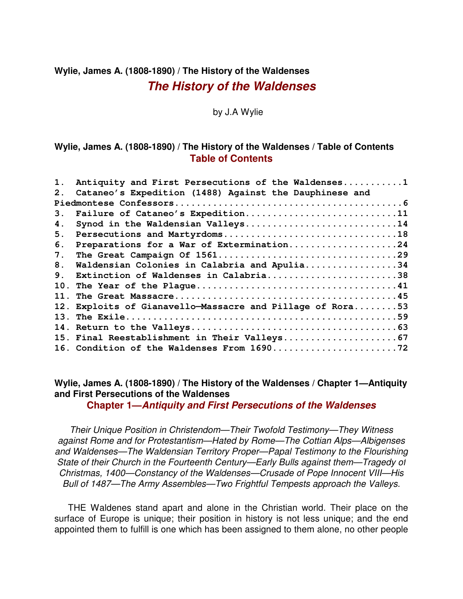# **Wylie, James A. (1808-1890) / The History of the Waldenses The History of the Waldenses**

by J.A Wylie

#### **Wylie, James A. (1808-1890) / The History of the Waldenses / Table of Contents Table of Contents**

| $\mathbf 1$ .   | Antiquity and First Persecutions of the Waldenses1     |
|-----------------|--------------------------------------------------------|
| 2 <sub>1</sub>  | Cataneo's Expedition (1488) Against the Dauphinese and |
|                 |                                                        |
| 3 <sub>1</sub>  | Failure of Cataneo's Expedition11                      |
| 4.              | Synod in the Waldensian Valleys14                      |
| 5.              |                                                        |
| 6.              | Preparations for a War of Extermination24              |
| 7.              |                                                        |
| 8.              | Waldensian Colonies in Calabria and Apulia34           |
| 9 <sub>1</sub>  | Extinction of Waldenses in Calabria38                  |
| 10 <sub>1</sub> |                                                        |
| $11$ .          |                                                        |
| 12.             | Exploits of Gianavello-Massacre and Pillage of Rora53  |
| 13 <sub>1</sub> |                                                        |
|                 |                                                        |
|                 |                                                        |
|                 |                                                        |

**Wylie, James A. (1808-1890) / The History of the Waldenses / Chapter 1—Antiquity and First Persecutions of the Waldenses**

**Chapter 1—Antiquity and First Persecutions of the Waldenses**

Their Unique Position in Christendom—Their Twofold Testimony—They Witness against Rome and for Protestantism—Hated by Rome—The Cottian Alps—Albigenses and Waldenses—The Waldensian Territory Proper—Papal Testimony to the Flourishing State of their Church in the Fourteenth Century—Early Bulls against them—Tragedy of Christmas, 1400—Constancy of the Waldenses—Crusade of Pope Innocent VIII—His Bull of 1487—The Army Assembles—Two Frightful Tempests approach the Valleys.

THE Waldenes stand apart and alone in the Christian world. Their place on the surface of Europe is unique; their position in history is not less unique; and the end appointed them to fulfill is one which has been assigned to them alone, no other people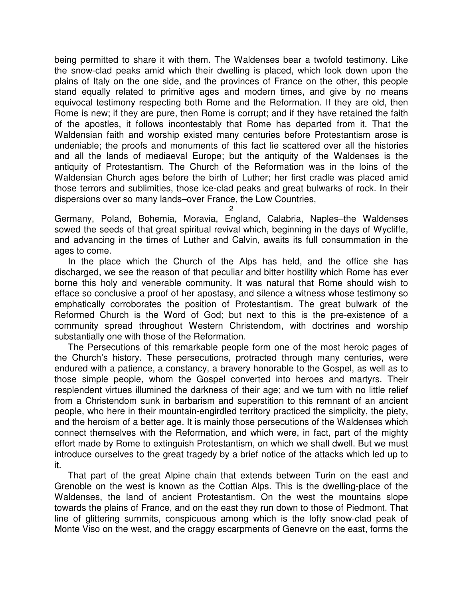being permitted to share it with them. The Waldenses bear a twofold testimony. Like the snow-clad peaks amid which their dwelling is placed, which look down upon the plains of Italy on the one side, and the provinces of France on the other, this people stand equally related to primitive ages and modern times, and give by no means equivocal testimony respecting both Rome and the Reformation. If they are old, then Rome is new; if they are pure, then Rome is corrupt; and if they have retained the faith of the apostles, it follows incontestably that Rome has departed from it. That the Waldensian faith and worship existed many centuries before Protestantism arose is undeniable; the proofs and monuments of this fact lie scattered over all the histories and all the lands of mediaeval Europe; but the antiquity of the Waldenses is the antiquity of Protestantism. The Church of the Reformation was in the loins of the Waldensian Church ages before the birth of Luther; her first cradle was placed amid those terrors and sublimities, those ice-clad peaks and great bulwarks of rock. In their dispersions over so many lands–over France, the Low Countries,

2

Germany, Poland, Bohemia, Moravia, England, Calabria, Naples–the Waldenses sowed the seeds of that great spiritual revival which, beginning in the days of Wycliffe, and advancing in the times of Luther and Calvin, awaits its full consummation in the ages to come.

In the place which the Church of the Alps has held, and the office she has discharged, we see the reason of that peculiar and bitter hostility which Rome has ever borne this holy and venerable community. It was natural that Rome should wish to efface so conclusive a proof of her apostasy, and silence a witness whose testimony so emphatically corroborates the position of Protestantism. The great bulwark of the Reformed Church is the Word of God; but next to this is the pre-existence of a community spread throughout Western Christendom, with doctrines and worship substantially one with those of the Reformation.

The Persecutions of this remarkable people form one of the most heroic pages of the Church's history. These persecutions, protracted through many centuries, were endured with a patience, a constancy, a bravery honorable to the Gospel, as well as to those simple people, whom the Gospel converted into heroes and martyrs. Their resplendent virtues illumined the darkness of their age; and we turn with no little relief from a Christendom sunk in barbarism and superstition to this remnant of an ancient people, who here in their mountain-engirdled territory practiced the simplicity, the piety, and the heroism of a better age. It is mainly those persecutions of the Waldenses which connect themselves with the Reformation, and which were, in fact, part of the mighty effort made by Rome to extinguish Protestantism, on which we shall dwell. But we must introduce ourselves to the great tragedy by a brief notice of the attacks which led up to it.

That part of the great Alpine chain that extends between Turin on the east and Grenoble on the west is known as the Cottian Alps. This is the dwelling-place of the Waldenses, the land of ancient Protestantism. On the west the mountains slope towards the plains of France, and on the east they run down to those of Piedmont. That line of glittering summits, conspicuous among which is the lofty snow-clad peak of Monte Viso on the west, and the craggy escarpments of Genevre on the east, forms the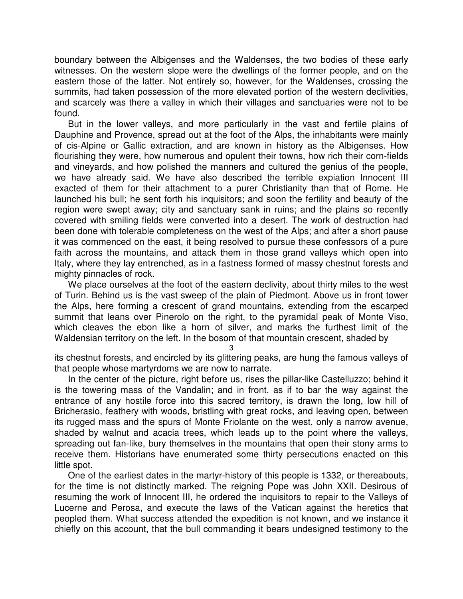boundary between the Albigenses and the Waldenses, the two bodies of these early witnesses. On the western slope were the dwellings of the former people, and on the eastern those of the latter. Not entirely so, however, for the Waldenses, crossing the summits, had taken possession of the more elevated portion of the western declivities, and scarcely was there a valley in which their villages and sanctuaries were not to be found.

But in the lower valleys, and more particularly in the vast and fertile plains of Dauphine and Provence, spread out at the foot of the Alps, the inhabitants were mainly of cis-Alpine or Gallic extraction, and are known in history as the Albigenses. How flourishing they were, how numerous and opulent their towns, how rich their corn-fields and vineyards, and how polished the manners and cultured the genius of the people, we have already said. We have also described the terrible expiation Innocent III exacted of them for their attachment to a purer Christianity than that of Rome. He launched his bull; he sent forth his inquisitors; and soon the fertility and beauty of the region were swept away; city and sanctuary sank in ruins; and the plains so recently covered with smiling fields were converted into a desert. The work of destruction had been done with tolerable completeness on the west of the Alps; and after a short pause it was commenced on the east, it being resolved to pursue these confessors of a pure faith across the mountains, and attack them in those grand valleys which open into Italy, where they lay entrenched, as in a fastness formed of massy chestnut forests and mighty pinnacles of rock.

We place ourselves at the foot of the eastern declivity, about thirty miles to the west of Turin. Behind us is the vast sweep of the plain of Piedmont. Above us in front tower the Alps, here forming a crescent of grand mountains, extending from the escarped summit that leans over Pinerolo on the right, to the pyramidal peak of Monte Viso, which cleaves the ebon like a horn of silver, and marks the furthest limit of the Waldensian territory on the left. In the bosom of that mountain crescent, shaded by

3

its chestnut forests, and encircled by its glittering peaks, are hung the famous valleys of that people whose martyrdoms we are now to narrate.

In the center of the picture, right before us, rises the pillar-like Castelluzzo; behind it is the towering mass of the Vandalin; and in front, as if to bar the way against the entrance of any hostile force into this sacred territory, is drawn the long, low hill of Bricherasio, feathery with woods, bristling with great rocks, and leaving open, between its rugged mass and the spurs of Monte Friolante on the west, only a narrow avenue, shaded by walnut and acacia trees, which leads up to the point where the valleys, spreading out fan-like, bury themselves in the mountains that open their stony arms to receive them. Historians have enumerated some thirty persecutions enacted on this little spot.

One of the earliest dates in the martyr-history of this people is 1332, or thereabouts, for the time is not distinctly marked. The reigning Pope was John XXII. Desirous of resuming the work of Innocent III, he ordered the inquisitors to repair to the Valleys of Lucerne and Perosa, and execute the laws of the Vatican against the heretics that peopled them. What success attended the expedition is not known, and we instance it chiefly on this account, that the bull commanding it bears undesigned testimony to the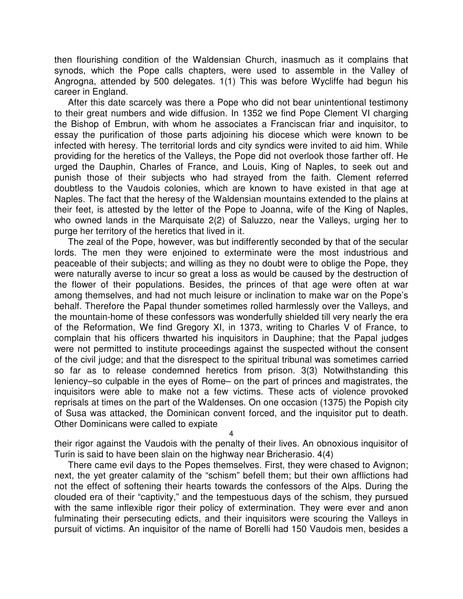then flourishing condition of the Waldensian Church, inasmuch as it complains that synods, which the Pope calls chapters, were used to assemble in the Valley of Angrogna, attended by 500 delegates. 1(1) This was before Wycliffe had begun his career in England.

After this date scarcely was there a Pope who did not bear unintentional testimony to their great numbers and wide diffusion. In 1352 we find Pope Clement VI charging the Bishop of Embrun, with whom he associates a Franciscan friar and inquisitor, to essay the purification of those parts adjoining his diocese which were known to be infected with heresy. The territorial lords and city syndics were invited to aid him. While providing for the heretics of the Valleys, the Pope did not overlook those farther off. He urged the Dauphin, Charles of France, and Louis, King of Naples, to seek out and punish those of their subjects who had strayed from the faith. Clement referred doubtless to the Vaudois colonies, which are known to have existed in that age at Naples. The fact that the heresy of the Waldensian mountains extended to the plains at their feet, is attested by the letter of the Pope to Joanna, wife of the King of Naples, who owned lands in the Marquisate 2(2) of Saluzzo, near the Valleys, urging her to purge her territory of the heretics that lived in it.

The zeal of the Pope, however, was but indifferently seconded by that of the secular lords. The men they were enjoined to exterminate were the most industrious and peaceable of their subjects; and willing as they no doubt were to oblige the Pope, they were naturally averse to incur so great a loss as would be caused by the destruction of the flower of their populations. Besides, the princes of that age were often at war among themselves, and had not much leisure or inclination to make war on the Pope's behalf. Therefore the Papal thunder sometimes rolled harmlessly over the Valleys, and the mountain-home of these confessors was wonderfully shielded till very nearly the era of the Reformation, We find Gregory XI, in 1373, writing to Charles V of France, to complain that his officers thwarted his inquisitors in Dauphine; that the Papal judges were not permitted to institute proceedings against the suspected without the consent of the civil judge; and that the disrespect to the spiritual tribunal was sometimes carried so far as to release condemned heretics from prison. 3(3) Notwithstanding this leniency–so culpable in the eyes of Rome– on the part of princes and magistrates, the inquisitors were able to make not a few victims. These acts of violence provoked reprisals at times on the part of the Waldenses. On one occasion (1375) the Popish city of Susa was attacked, the Dominican convent forced, and the inquisitor put to death. Other Dominicans were called to expiate

4

their rigor against the Vaudois with the penalty of their lives. An obnoxious inquisitor of Turin is said to have been slain on the highway near Bricherasio. 4(4)

There came evil days to the Popes themselves. First, they were chased to Avignon; next, the yet greater calamity of the "schism" befell them; but their own afflictions had not the effect of softening their hearts towards the confessors of the Alps. During the clouded era of their "captivity," and the tempestuous days of the schism, they pursued with the same inflexible rigor their policy of extermination. They were ever and anon fulminating their persecuting edicts, and their inquisitors were scouring the Valleys in pursuit of victims. An inquisitor of the name of Borelli had 150 Vaudois men, besides a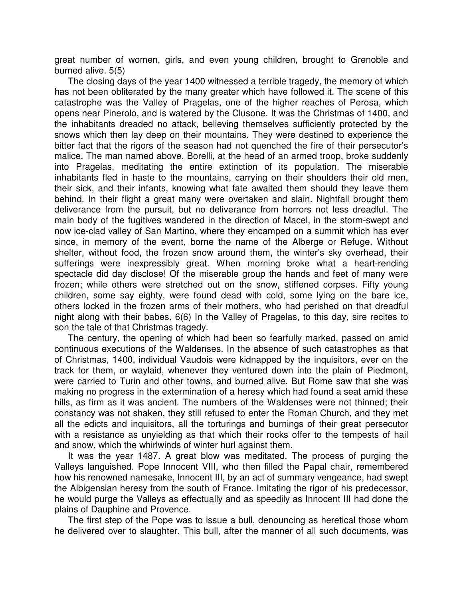great number of women, girls, and even young children, brought to Grenoble and burned alive. 5(5)

The closing days of the year 1400 witnessed a terrible tragedy, the memory of which has not been obliterated by the many greater which have followed it. The scene of this catastrophe was the Valley of Pragelas, one of the higher reaches of Perosa, which opens near Pinerolo, and is watered by the Clusone. It was the Christmas of 1400, and the inhabitants dreaded no attack, believing themselves sufficiently protected by the snows which then lay deep on their mountains. They were destined to experience the bitter fact that the rigors of the season had not quenched the fire of their persecutor's malice. The man named above, Borelli, at the head of an armed troop, broke suddenly into Pragelas, meditating the entire extinction of its population. The miserable inhabitants fled in haste to the mountains, carrying on their shoulders their old men, their sick, and their infants, knowing what fate awaited them should they leave them behind. In their flight a great many were overtaken and slain. Nightfall brought them deliverance from the pursuit, but no deliverance from horrors not less dreadful. The main body of the fugitives wandered in the direction of Macel, in the storm-swept and now ice-clad valley of San Martino, where they encamped on a summit which has ever since, in memory of the event, borne the name of the Alberge or Refuge. Without shelter, without food, the frozen snow around them, the winter's sky overhead, their sufferings were inexpressibly great. When morning broke what a heart-rending spectacle did day disclose! Of the miserable group the hands and feet of many were frozen; while others were stretched out on the snow, stiffened corpses. Fifty young children, some say eighty, were found dead with cold, some lying on the bare ice, others locked in the frozen arms of their mothers, who had perished on that dreadful night along with their babes. 6(6) In the Valley of Pragelas, to this day, sire recites to son the tale of that Christmas tragedy.

The century, the opening of which had been so fearfully marked, passed on amid continuous executions of the Waldenses. In the absence of such catastrophes as that of Christmas, 1400, individual Vaudois were kidnapped by the inquisitors, ever on the track for them, or waylaid, whenever they ventured down into the plain of Piedmont, were carried to Turin and other towns, and burned alive. But Rome saw that she was making no progress in the extermination of a heresy which had found a seat amid these hills, as firm as it was ancient. The numbers of the Waldenses were not thinned; their constancy was not shaken, they still refused to enter the Roman Church, and they met all the edicts and inquisitors, all the torturings and burnings of their great persecutor with a resistance as unyielding as that which their rocks offer to the tempests of hail and snow, which the whirlwinds of winter hurl against them.

It was the year 1487. A great blow was meditated. The process of purging the Valleys languished. Pope Innocent VIII, who then filled the Papal chair, remembered how his renowned namesake, Innocent III, by an act of summary vengeance, had swept the Albigensian heresy from the south of France. Imitating the rigor of his predecessor, he would purge the Valleys as effectually and as speedily as Innocent III had done the plains of Dauphine and Provence.

The first step of the Pope was to issue a bull, denouncing as heretical those whom he delivered over to slaughter. This bull, after the manner of all such documents, was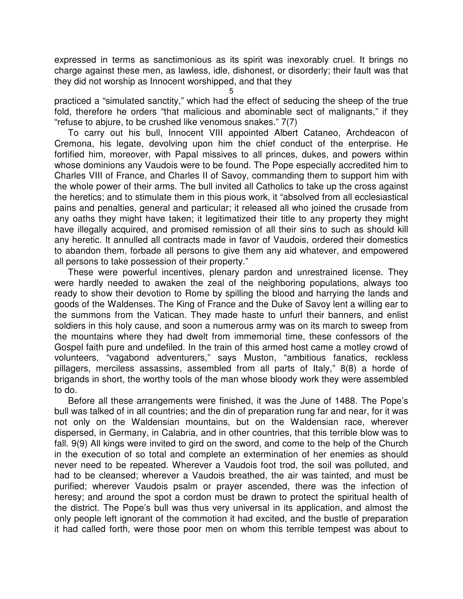expressed in terms as sanctimonious as its spirit was inexorably cruel. It brings no charge against these men, as lawless, idle, dishonest, or disorderly; their fault was that they did not worship as Innocent worshipped, and that they

5 practiced a "simulated sanctity," which had the effect of seducing the sheep of the true fold, therefore he orders "that malicious and abominable sect of malignants," if they "refuse to abjure, to be crushed like venomous snakes." 7(7)

To carry out his bull, Innocent VIII appointed Albert Cataneo, Archdeacon of Cremona, his legate, devolving upon him the chief conduct of the enterprise. He fortified him, moreover, with Papal missives to all princes, dukes, and powers within whose dominions any Vaudois were to be found. The Pope especially accredited him to Charles VIII of France, and Charles II of Savoy, commanding them to support him with the whole power of their arms. The bull invited all Catholics to take up the cross against the heretics; and to stimulate them in this pious work, it "absolved from all ecclesiastical pains and penalties, general and particular; it released all who joined the crusade from any oaths they might have taken; it legitimatized their title to any property they might have illegally acquired, and promised remission of all their sins to such as should kill any heretic. It annulled all contracts made in favor of Vaudois, ordered their domestics to abandon them, forbade all persons to give them any aid whatever, and empowered all persons to take possession of their property."

These were powerful incentives, plenary pardon and unrestrained license. They were hardly needed to awaken the zeal of the neighboring populations, always too ready to show their devotion to Rome by spilling the blood and harrying the lands and goods of the Waldenses. The King of France and the Duke of Savoy lent a willing ear to the summons from the Vatican. They made haste to unfurl their banners, and enlist soldiers in this holy cause, and soon a numerous army was on its march to sweep from the mountains where they had dwelt from immemorial time, these confessors of the Gospel faith pure and undefiled. In the train of this armed host came a motley crowd of volunteers, "vagabond adventurers," says Muston, "ambitious fanatics, reckless pillagers, merciless assassins, assembled from all parts of Italy," 8(8) a horde of brigands in short, the worthy tools of the man whose bloody work they were assembled to do.

Before all these arrangements were finished, it was the June of 1488. The Pope's bull was talked of in all countries; and the din of preparation rung far and near, for it was not only on the Waldensian mountains, but on the Waldensian race, wherever dispersed, in Germany, in Calabria, and in other countries, that this terrible blow was to fall. 9(9) All kings were invited to gird on the sword, and come to the help of the Church in the execution of so total and complete an extermination of her enemies as should never need to be repeated. Wherever a Vaudois foot trod, the soil was polluted, and had to be cleansed; wherever a Vaudois breathed, the air was tainted, and must be purified; wherever Vaudois psalm or prayer ascended, there was the infection of heresy; and around the spot a cordon must be drawn to protect the spiritual health of the district. The Pope's bull was thus very universal in its application, and almost the only people left ignorant of the commotion it had excited, and the bustle of preparation it had called forth, were those poor men on whom this terrible tempest was about to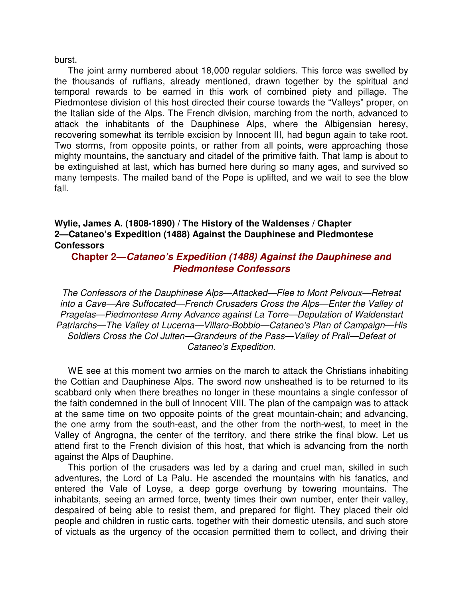burst.

The joint army numbered about 18,000 regular soldiers. This force was swelled by the thousands of ruffians, already mentioned, drawn together by the spiritual and temporal rewards to be earned in this work of combined piety and pillage. The Piedmontese division of this host directed their course towards the "Valleys" proper, on the Italian side of the Alps. The French division, marching from the north, advanced to attack the inhabitants of the Dauphinese Alps, where the Albigensian heresy, recovering somewhat its terrible excision by Innocent III, had begun again to take root. Two storms, from opposite points, or rather from all points, were approaching those mighty mountains, the sanctuary and citadel of the primitive faith. That lamp is about to be extinguished at last, which has burned here during so many ages, and survived so many tempests. The mailed band of the Pope is uplifted, and we wait to see the blow fall.

### **Wylie, James A. (1808-1890) / The History of the Waldenses / Chapter 2—Cataneo's Expedition (1488) Against the Dauphinese and Piedmontese Confessors**

### **Chapter 2—Cataneo's Expedition (1488) Against the Dauphinese and Piedmontese Confessors**

The Confessors of the Dauphinese Alps—Attacked—Flee to Mont Pelvoux—Retreat into a Cave—Are Suffocated—French Crusaders Cross the Alps—Enter the Valley of Pragelas—Piedmontese Army Advance against La Torre—Deputation of Waldenstart Patriarchs—The Valley of Lucerna—Villaro-Bobbio—Cataneo's Plan of Campaign—His Soldiers Cross the Col Julten—Grandeurs of the Pass—Valley of Prali—Defeat of Cataneo's Expedition.

WE see at this moment two armies on the march to attack the Christians inhabiting the Cottian and Dauphinese Alps. The sword now unsheathed is to be returned to its scabbard only when there breathes no longer in these mountains a single confessor of the faith condemned in the bull of Innocent VIII. The plan of the campaign was to attack at the same time on two opposite points of the great mountain-chain; and advancing, the one army from the south-east, and the other from the north-west, to meet in the Valley of Angrogna, the center of the territory, and there strike the final blow. Let us attend first to the French division of this host, that which is advancing from the north against the Alps of Dauphine.

This portion of the crusaders was led by a daring and cruel man, skilled in such adventures, the Lord of La Palu. He ascended the mountains with his fanatics, and entered the Vale of Loyse, a deep gorge overhung by towering mountains. The inhabitants, seeing an armed force, twenty times their own number, enter their valley, despaired of being able to resist them, and prepared for flight. They placed their old people and children in rustic carts, together with their domestic utensils, and such store of victuals as the urgency of the occasion permitted them to collect, and driving their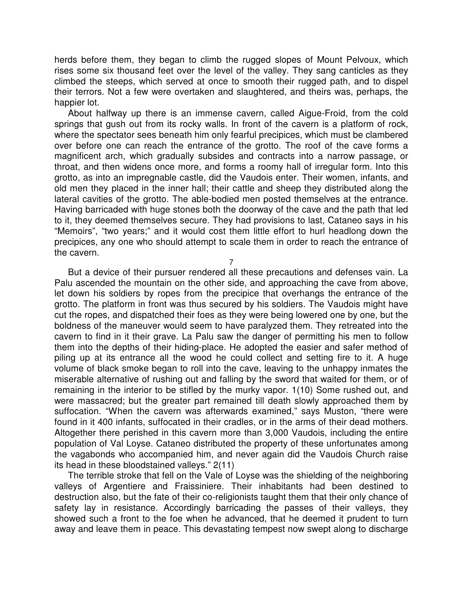herds before them, they began to climb the rugged slopes of Mount Pelvoux, which rises some six thousand feet over the level of the valley. They sang canticles as they climbed the steeps, which served at once to smooth their rugged path, and to dispel their terrors. Not a few were overtaken and slaughtered, and theirs was, perhaps, the happier lot.

About halfway up there is an immense cavern, called Aigue-Froid, from the cold springs that gush out from its rocky walls. In front of the cavern is a platform of rock, where the spectator sees beneath him only fearful precipices, which must be clambered over before one can reach the entrance of the grotto. The roof of the cave forms a magnificent arch, which gradually subsides and contracts into a narrow passage, or throat, and then widens once more, and forms a roomy hall of irregular form. Into this grotto, as into an impregnable castle, did the Vaudois enter. Their women, infants, and old men they placed in the inner hall; their cattle and sheep they distributed along the lateral cavities of the grotto. The able-bodied men posted themselves at the entrance. Having barricaded with huge stones both the doorway of the cave and the path that led to it, they deemed themselves secure. They had provisions to last, Cataneo says in his "Memoirs", "two years;" and it would cost them little effort to hurl headlong down the precipices, any one who should attempt to scale them in order to reach the entrance of the cavern.

7

But a device of their pursuer rendered all these precautions and defenses vain. La Palu ascended the mountain on the other side, and approaching the cave from above, let down his soldiers by ropes from the precipice that overhangs the entrance of the grotto. The platform in front was thus secured by his soldiers. The Vaudois might have cut the ropes, and dispatched their foes as they were being lowered one by one, but the boldness of the maneuver would seem to have paralyzed them. They retreated into the cavern to find in it their grave. La Palu saw the danger of permitting his men to follow them into the depths of their hiding-place. He adopted the easier and safer method of piling up at its entrance all the wood he could collect and setting fire to it. A huge volume of black smoke began to roll into the cave, leaving to the unhappy inmates the miserable alternative of rushing out and falling by the sword that waited for them, or of remaining in the interior to be stifled by the murky vapor. 1(10) Some rushed out, and were massacred; but the greater part remained till death slowly approached them by suffocation. "When the cavern was afterwards examined," says Muston, "there were found in it 400 infants, suffocated in their cradles, or in the arms of their dead mothers. Altogether there perished in this cavern more than 3,000 Vaudois, including the entire population of Val Loyse. Cataneo distributed the property of these unfortunates among the vagabonds who accompanied him, and never again did the Vaudois Church raise its head in these bloodstained valleys." 2(11)

The terrible stroke that fell on the Vale of Loyse was the shielding of the neighboring valleys of Argentiere and Fraissiniere. Their inhabitants had been destined to destruction also, but the fate of their co-religionists taught them that their only chance of safety lay in resistance. Accordingly barricading the passes of their valleys, they showed such a front to the foe when he advanced, that he deemed it prudent to turn away and leave them in peace. This devastating tempest now swept along to discharge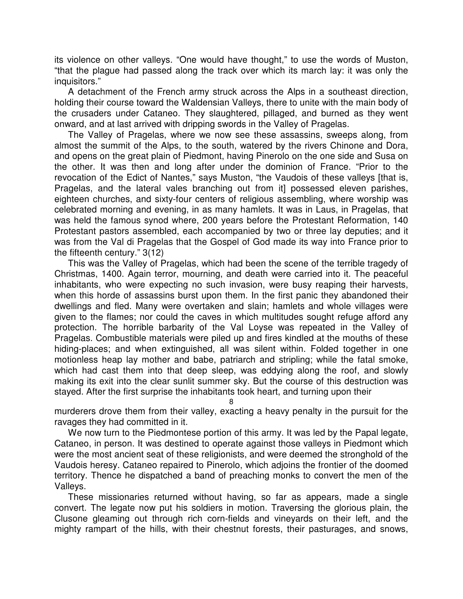its violence on other valleys. "One would have thought," to use the words of Muston, "that the plague had passed along the track over which its march lay: it was only the inquisitors."

A detachment of the French army struck across the Alps in a southeast direction, holding their course toward the Waldensian Valleys, there to unite with the main body of the crusaders under Cataneo. They slaughtered, pillaged, and burned as they went onward, and at last arrived with dripping swords in the Valley of Pragelas.

The Valley of Pragelas, where we now see these assassins, sweeps along, from almost the summit of the Alps, to the south, watered by the rivers Chinone and Dora, and opens on the great plain of Piedmont, having Pinerolo on the one side and Susa on the other. It was then and long after under the dominion of France. "Prior to the revocation of the Edict of Nantes," says Muston, "the Vaudois of these valleys [that is, Pragelas, and the lateral vales branching out from it] possessed eleven parishes, eighteen churches, and sixty-four centers of religious assembling, where worship was celebrated morning and evening, in as many hamlets. It was in Laus, in Pragelas, that was held the famous synod where, 200 years before the Protestant Reformation, 140 Protestant pastors assembled, each accompanied by two or three lay deputies; and it was from the Val di Pragelas that the Gospel of God made its way into France prior to the fifteenth century." 3(12)

This was the Valley of Pragelas, which had been the scene of the terrible tragedy of Christmas, 1400. Again terror, mourning, and death were carried into it. The peaceful inhabitants, who were expecting no such invasion, were busy reaping their harvests, when this horde of assassins burst upon them. In the first panic they abandoned their dwellings and fled. Many were overtaken and slain; hamlets and whole villages were given to the flames; nor could the caves in which multitudes sought refuge afford any protection. The horrible barbarity of the Val Loyse was repeated in the Valley of Pragelas. Combustible materials were piled up and fires kindled at the mouths of these hiding-places; and when extinguished, all was silent within. Folded together in one motionless heap lay mother and babe, patriarch and stripling; while the fatal smoke, which had cast them into that deep sleep, was eddying along the roof, and slowly making its exit into the clear sunlit summer sky. But the course of this destruction was stayed. After the first surprise the inhabitants took heart, and turning upon their

8

murderers drove them from their valley, exacting a heavy penalty in the pursuit for the ravages they had committed in it.

We now turn to the Piedmontese portion of this army. It was led by the Papal legate, Cataneo, in person. It was destined to operate against those valleys in Piedmont which were the most ancient seat of these religionists, and were deemed the stronghold of the Vaudois heresy. Cataneo repaired to Pinerolo, which adjoins the frontier of the doomed territory. Thence he dispatched a band of preaching monks to convert the men of the Valleys.

These missionaries returned without having, so far as appears, made a single convert. The legate now put his soldiers in motion. Traversing the glorious plain, the Clusone gleaming out through rich corn-fields and vineyards on their left, and the mighty rampart of the hills, with their chestnut forests, their pasturages, and snows,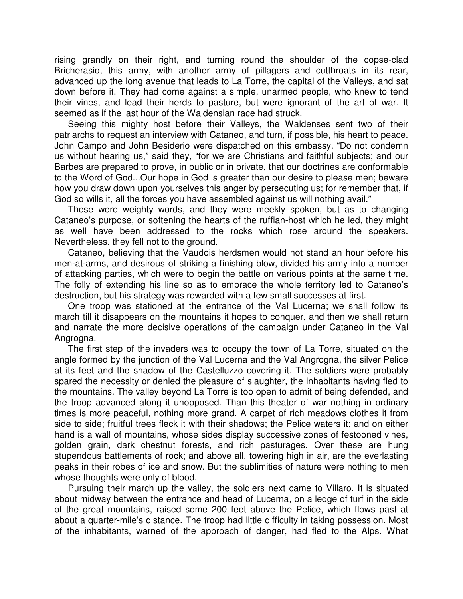rising grandly on their right, and turning round the shoulder of the copse-clad Bricherasio, this army, with another army of pillagers and cutthroats in its rear, advanced up the long avenue that leads to La Torre, the capital of the Valleys, and sat down before it. They had come against a simple, unarmed people, who knew to tend their vines, and lead their herds to pasture, but were ignorant of the art of war. It seemed as if the last hour of the Waldensian race had struck.

Seeing this mighty host before their Valleys, the Waldenses sent two of their patriarchs to request an interview with Cataneo, and turn, if possible, his heart to peace. John Campo and John Besiderio were dispatched on this embassy. "Do not condemn us without hearing us," said they, "for we are Christians and faithful subjects; and our Barbes are prepared to prove, in public or in private, that our doctrines are conformable to the Word of God...Our hope in God is greater than our desire to please men; beware how you draw down upon yourselves this anger by persecuting us; for remember that, if God so wills it, all the forces you have assembled against us will nothing avail."

These were weighty words, and they were meekly spoken, but as to changing Cataneo's purpose, or softening the hearts of the ruffian-host which he led, they might as well have been addressed to the rocks which rose around the speakers. Nevertheless, they fell not to the ground.

Cataneo, believing that the Vaudois herdsmen would not stand an hour before his men-at-arms, and desirous of striking a finishing blow, divided his army into a number of attacking parties, which were to begin the battle on various points at the same time. The folly of extending his line so as to embrace the whole territory led to Cataneo's destruction, but his strategy was rewarded with a few small successes at first.

One troop was stationed at the entrance of the Val Lucerna; we shall follow its march till it disappears on the mountains it hopes to conquer, and then we shall return and narrate the more decisive operations of the campaign under Cataneo in the Val Angrogna.

The first step of the invaders was to occupy the town of La Torre, situated on the angle formed by the junction of the Val Lucerna and the Val Angrogna, the silver Pelice at its feet and the shadow of the Castelluzzo covering it. The soldiers were probably spared the necessity or denied the pleasure of slaughter, the inhabitants having fled to the mountains. The valley beyond La Torre is too open to admit of being defended, and the troop advanced along it unopposed. Than this theater of war nothing in ordinary times is more peaceful, nothing more grand. A carpet of rich meadows clothes it from side to side; fruitful trees fleck it with their shadows; the Pelice waters it; and on either hand is a wall of mountains, whose sides display successive zones of festooned vines, golden grain, dark chestnut forests, and rich pasturages. Over these are hung stupendous battlements of rock; and above all, towering high in air, are the everlasting peaks in their robes of ice and snow. But the sublimities of nature were nothing to men whose thoughts were only of blood.

Pursuing their march up the valley, the soldiers next came to Villaro. It is situated about midway between the entrance and head of Lucerna, on a ledge of turf in the side of the great mountains, raised some 200 feet above the Pelice, which flows past at about a quarter-mile's distance. The troop had little difficulty in taking possession. Most of the inhabitants, warned of the approach of danger, had fled to the Alps. What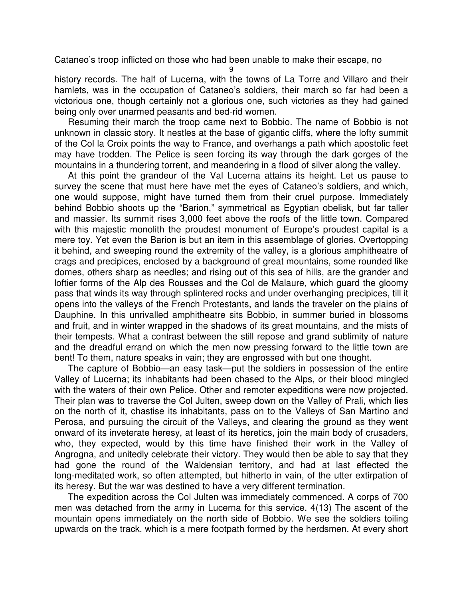Cataneo's troop inflicted on those who had been unable to make their escape, no

9 history records. The half of Lucerna, with the towns of La Torre and Villaro and their hamlets, was in the occupation of Cataneo's soldiers, their march so far had been a victorious one, though certainly not a glorious one, such victories as they had gained being only over unarmed peasants and bed-rid women.

Resuming their march the troop came next to Bobbio. The name of Bobbio is not unknown in classic story. It nestles at the base of gigantic cliffs, where the lofty summit of the Col la Croix points the way to France, and overhangs a path which apostolic feet may have trodden. The Pelice is seen forcing its way through the dark gorges of the mountains in a thundering torrent, and meandering in a flood of silver along the valley.

At this point the grandeur of the Val Lucerna attains its height. Let us pause to survey the scene that must here have met the eyes of Cataneo's soldiers, and which, one would suppose, might have turned them from their cruel purpose. Immediately behind Bobbio shoots up the "Barion," symmetrical as Egyptian obelisk, but far taller and massier. Its summit rises 3,000 feet above the roofs of the little town. Compared with this majestic monolith the proudest monument of Europe's proudest capital is a mere toy. Yet even the Barion is but an item in this assemblage of glories. Overtopping it behind, and sweeping round the extremity of the valley, is a glorious amphitheatre of crags and precipices, enclosed by a background of great mountains, some rounded like domes, others sharp as needles; and rising out of this sea of hills, are the grander and loftier forms of the Alp des Rousses and the Col de Malaure, which guard the gloomy pass that winds its way through splintered rocks and under overhanging precipices, till it opens into the valleys of the French Protestants, and lands the traveler on the plains of Dauphine. In this unrivalled amphitheatre sits Bobbio, in summer buried in blossoms and fruit, and in winter wrapped in the shadows of its great mountains, and the mists of their tempests. What a contrast between the still repose and grand sublimity of nature and the dreadful errand on which the men now pressing forward to the little town are bent! To them, nature speaks in vain; they are engrossed with but one thought.

The capture of Bobbio—an easy task—put the soldiers in possession of the entire Valley of Lucerna; its inhabitants had been chased to the Alps, or their blood mingled with the waters of their own Pelice. Other and remoter expeditions were now projected. Their plan was to traverse the Col Julten, sweep down on the Valley of Prali, which lies on the north of it, chastise its inhabitants, pass on to the Valleys of San Martino and Perosa, and pursuing the circuit of the Valleys, and clearing the ground as they went onward of its inveterate heresy, at least of its heretics, join the main body of crusaders, who, they expected, would by this time have finished their work in the Valley of Angrogna, and unitedly celebrate their victory. They would then be able to say that they had gone the round of the Waldensian territory, and had at last effected the long-meditated work, so often attempted, but hitherto in vain, of the utter extirpation of its heresy. But the war was destined to have a very different termination.

The expedition across the Col Julten was immediately commenced. A corps of 700 men was detached from the army in Lucerna for this service. 4(13) The ascent of the mountain opens immediately on the north side of Bobbio. We see the soldiers toiling upwards on the track, which is a mere footpath formed by the herdsmen. At every short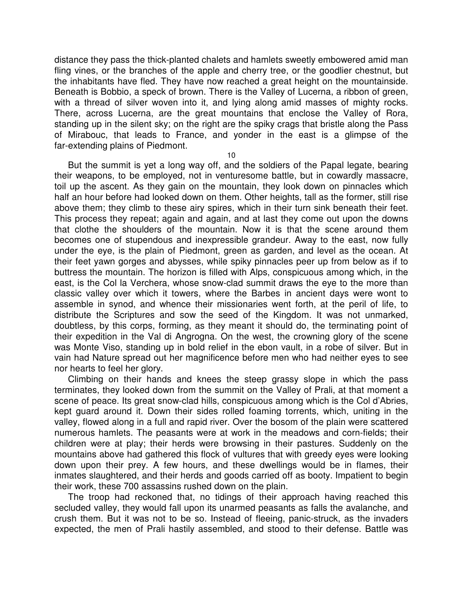distance they pass the thick-planted chalets and hamlets sweetly embowered amid man fling vines, or the branches of the apple and cherry tree, or the goodlier chestnut, but the inhabitants have fled. They have now reached a great height on the mountainside. Beneath is Bobbio, a speck of brown. There is the Valley of Lucerna, a ribbon of green, with a thread of silver woven into it, and lying along amid masses of mighty rocks. There, across Lucerna, are the great mountains that enclose the Valley of Rora, standing up in the silent sky; on the right are the spiky crags that bristle along the Pass of Mirabouc, that leads to France, and yonder in the east is a glimpse of the far-extending plains of Piedmont.

10

But the summit is yet a long way off, and the soldiers of the Papal legate, bearing their weapons, to be employed, not in venturesome battle, but in cowardly massacre, toil up the ascent. As they gain on the mountain, they look down on pinnacles which half an hour before had looked down on them. Other heights, tall as the former, still rise above them; they climb to these airy spires, which in their turn sink beneath their feet. This process they repeat; again and again, and at last they come out upon the downs that clothe the shoulders of the mountain. Now it is that the scene around them becomes one of stupendous and inexpressible grandeur. Away to the east, now fully under the eye, is the plain of Piedmont, green as garden, and level as the ocean. At their feet yawn gorges and abysses, while spiky pinnacles peer up from below as if to buttress the mountain. The horizon is filled with Alps, conspicuous among which, in the east, is the Col la Verchera, whose snow-clad summit draws the eye to the more than classic valley over which it towers, where the Barbes in ancient days were wont to assemble in synod, and whence their missionaries went forth, at the peril of life, to distribute the Scriptures and sow the seed of the Kingdom. It was not unmarked, doubtless, by this corps, forming, as they meant it should do, the terminating point of their expedition in the Val di Angrogna. On the west, the crowning glory of the scene was Monte Viso, standing up in bold relief in the ebon vault, in a robe of silver. But in vain had Nature spread out her magnificence before men who had neither eyes to see nor hearts to feel her glory.

Climbing on their hands and knees the steep grassy slope in which the pass terminates, they looked down from the summit on the Valley of Prali, at that moment a scene of peace. Its great snow-clad hills, conspicuous among which is the Col d'Abries, kept guard around it. Down their sides rolled foaming torrents, which, uniting in the valley, flowed along in a full and rapid river. Over the bosom of the plain were scattered numerous hamlets. The peasants were at work in the meadows and corn-fields; their children were at play; their herds were browsing in their pastures. Suddenly on the mountains above had gathered this flock of vultures that with greedy eyes were looking down upon their prey. A few hours, and these dwellings would be in flames, their inmates slaughtered, and their herds and goods carried off as booty. Impatient to begin their work, these 700 assassins rushed down on the plain.

The troop had reckoned that, no tidings of their approach having reached this secluded valley, they would fall upon its unarmed peasants as falls the avalanche, and crush them. But it was not to be so. Instead of fleeing, panic-struck, as the invaders expected, the men of Prali hastily assembled, and stood to their defense. Battle was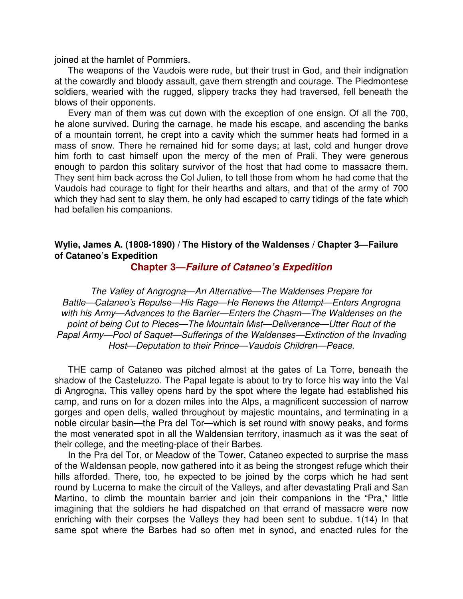joined at the hamlet of Pommiers.

The weapons of the Vaudois were rude, but their trust in God, and their indignation at the cowardly and bloody assault, gave them strength and courage. The Piedmontese soldiers, wearied with the rugged, slippery tracks they had traversed, fell beneath the blows of their opponents.

Every man of them was cut down with the exception of one ensign. Of all the 700, he alone survived. During the carnage, he made his escape, and ascending the banks of a mountain torrent, he crept into a cavity which the summer heats had formed in a mass of snow. There he remained hid for some days; at last, cold and hunger drove him forth to cast himself upon the mercy of the men of Prali. They were generous enough to pardon this solitary survivor of the host that had come to massacre them. They sent him back across the Col Julien, to tell those from whom he had come that the Vaudois had courage to fight for their hearths and altars, and that of the army of 700 which they had sent to slay them, he only had escaped to carry tidings of the fate which had befallen his companions.

#### **Wylie, James A. (1808-1890) / The History of the Waldenses / Chapter 3—Failure of Cataneo's Expedition**

**Chapter 3—Failure of Cataneo's Expedition**

The Valley of Angrogna—An Alternative—The Waldenses Prepare for Battle—Cataneo's Repulse—His Rage—He Renews the Attempt—Enters Angrogna with his Army—Advances to the Barrier—Enters the Chasm—The Waldenses on the point of being Cut to Pieces—The Mountain Mist—Deliverance—Utter Rout of the Papal Army—Pool of Saquet—Sufferings of the Waldenses—Extinction of the Invading Host—Deputation to their Prince—Vaudois Children—Peace.

THE camp of Cataneo was pitched almost at the gates of La Torre, beneath the shadow of the Casteluzzo. The Papal legate is about to try to force his way into the Val di Angrogna. This valley opens hard by the spot where the legate had established his camp, and runs on for a dozen miles into the Alps, a magnificent succession of narrow gorges and open dells, walled throughout by majestic mountains, and terminating in a noble circular basin—the Pra del Tor—which is set round with snowy peaks, and forms the most venerated spot in all the Waldensian territory, inasmuch as it was the seat of their college, and the meeting-place of their Barbes.

In the Pra del Tor, or Meadow of the Tower, Cataneo expected to surprise the mass of the Waldensan people, now gathered into it as being the strongest refuge which their hills afforded. There, too, he expected to be joined by the corps which he had sent round by Lucerna to make the circuit of the Valleys, and after devastating Prali and San Martino, to climb the mountain barrier and join their companions in the "Pra," little imagining that the soldiers he had dispatched on that errand of massacre were now enriching with their corpses the Valleys they had been sent to subdue. 1(14) In that same spot where the Barbes had so often met in synod, and enacted rules for the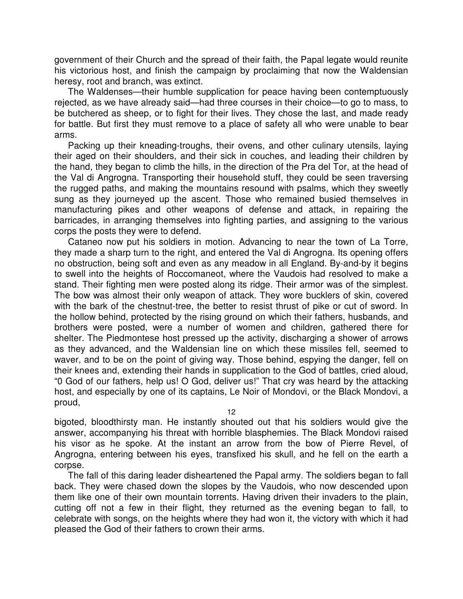government of their Church and the spread of their faith, the Papal legate would reunite his victorious host, and finish the campaign by proclaiming that now the Waldensian heresy, root and branch, was extinct.

The Waldenses—their humble supplication for peace having been contemptuously rejected, as we have already said—had three courses in their choice—to go to mass, to be butchered as sheep, or to fight for their lives. They chose the last, and made ready for battle. But first they must remove to a place of safety all who were unable to bear arms.

Packing up their kneading-troughs, their ovens, and other culinary utensils, laying their aged on their shoulders, and their sick in couches, and leading their children by the hand, they began to climb the hills, in the direction of the Pra del Tor, at the head of the Val di Angrogna. Transporting their household stuff, they could be seen traversing the rugged paths, and making the mountains resound with psalms, which they sweetly sung as they journeyed up the ascent. Those who remained busied themselves in manufacturing pikes and other weapons of defense and attack, in repairing the barricades, in arranging themselves into fighting parties, and assigning to the various corps the posts they were to defend.

Cataneo now put his soldiers in motion. Advancing to near the town of La Torre, they made a sharp turn to the right, and entered the Val di Angrogna. Its opening offers no obstruction, being soft and even as any meadow in all England. By-and-by it begins to swell into the heights of Roccomaneot, where the Vaudois had resolved to make a stand. Their fighting men were posted along its ridge. Their armor was of the simplest. The bow was almost their only weapon of attack. They wore bucklers of skin, covered with the bark of the chestnut-tree, the better to resist thrust of pike or cut of sword. In the hollow behind, protected by the rising ground on which their fathers, husbands, and brothers were posted, were a number of women and children, gathered there for shelter. The Piedmontese host pressed up the activity, discharging a shower of arrows as they advanced, and the Waldensian line on which these missiles fell, seemed to waver, and to be on the point of giving way. Those behind, espying the danger, fell on their knees and, extending their hands in supplication to the God of battles, cried aloud, "0 God of our fathers, help us! O God, deliver us!" That cry was heard by the attacking host, and especially by one of its captains, Le Noir of Mondovi, or the Black Mondovi, a proud,

12

bigoted, bloodthirsty man. He instantly shouted out that his soldiers would give the answer, accompanying his threat with horrible blasphemies. The Black Mondovi raised his visor as he spoke. At the instant an arrow from the bow of Pierre Revel, of Angrogna, entering between his eyes, transfixed his skull, and he fell on the earth a corpse.

The fall of this daring leader disheartened the Papal army. The soldiers began to fall back. They were chased down the slopes by the Vaudois, who now descended upon them like one of their own mountain torrents. Having driven their invaders to the plain, cutting off not a few in their flight, they returned as the evening began to fall, to celebrate with songs, on the heights where they had won it, the victory with which it had pleased the God of their fathers to crown their arms.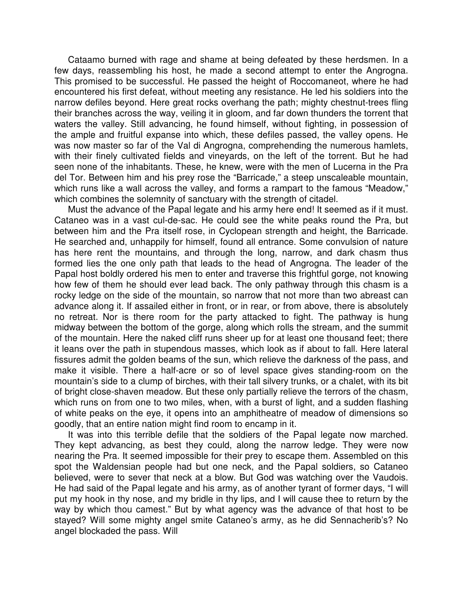Cataamo burned with rage and shame at being defeated by these herdsmen. In a few days, reassembling his host, he made a second attempt to enter the Angrogna. This promised to be successful. He passed the height of Roccomaneot, where he had encountered his first defeat, without meeting any resistance. He led his soldiers into the narrow defiles beyond. Here great rocks overhang the path; mighty chestnut-trees fling their branches across the way, veiling it in gloom, and far down thunders the torrent that waters the valley. Still advancing, he found himself, without fighting, in possession of the ample and fruitful expanse into which, these defiles passed, the valley opens. He was now master so far of the Val di Angrogna, comprehending the numerous hamlets, with their finely cultivated fields and vineyards, on the left of the torrent. But he had seen none of the inhabitants. These, he knew, were with the men of Lucerna in the Pra del Tor. Between him and his prey rose the "Barricade," a steep unscaleable mountain, which runs like a wall across the valley, and forms a rampart to the famous "Meadow," which combines the solemnity of sanctuary with the strength of citadel.

Must the advance of the Papal legate and his army here end! It seemed as if it must. Cataneo was in a vast cul-de-sac. He could see the white peaks round the Pra, but between him and the Pra itself rose, in Cyclopean strength and height, the Barricade. He searched and, unhappily for himself, found all entrance. Some convulsion of nature has here rent the mountains, and through the long, narrow, and dark chasm thus formed lies the one only path that leads to the head of Angrogna. The leader of the Papal host boldly ordered his men to enter and traverse this frightful gorge, not knowing how few of them he should ever lead back. The only pathway through this chasm is a rocky ledge on the side of the mountain, so narrow that not more than two abreast can advance along it. If assailed either in front, or in rear, or from above, there is absolutely no retreat. Nor is there room for the party attacked to fight. The pathway is hung midway between the bottom of the gorge, along which rolls the stream, and the summit of the mountain. Here the naked cliff runs sheer up for at least one thousand feet; there it leans over the path in stupendous masses, which look as if about to fall. Here lateral fissures admit the golden beams of the sun, which relieve the darkness of the pass, and make it visible. There a half-acre or so of level space gives standing-room on the mountain's side to a clump of birches, with their tall silvery trunks, or a chalet, with its bit of bright close-shaven meadow. But these only partially relieve the terrors of the chasm, which runs on from one to two miles, when, with a burst of light, and a sudden flashing of white peaks on the eye, it opens into an amphitheatre of meadow of dimensions so goodly, that an entire nation might find room to encamp in it.

It was into this terrible defile that the soldiers of the Papal legate now marched. They kept advancing, as best they could, along the narrow ledge. They were now nearing the Pra. It seemed impossible for their prey to escape them. Assembled on this spot the Waldensian people had but one neck, and the Papal soldiers, so Cataneo believed, were to sever that neck at a blow. But God was watching over the Vaudois. He had said of the Papal legate and his army, as of another tyrant of former days, "I will put my hook in thy nose, and my bridle in thy lips, and I will cause thee to return by the way by which thou camest." But by what agency was the advance of that host to be stayed? Will some mighty angel smite Cataneo's army, as he did Sennacherib's? No angel blockaded the pass. Will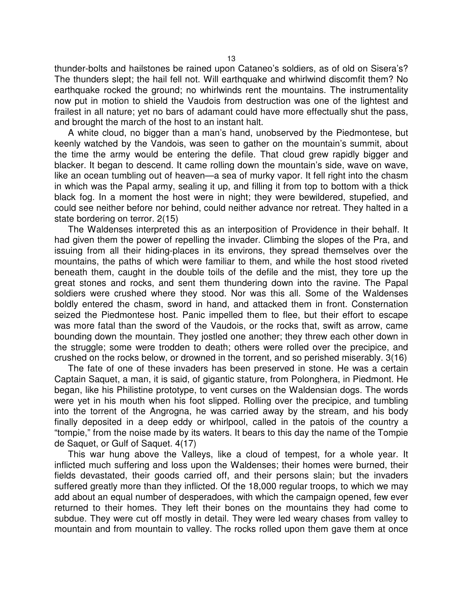thunder-bolts and hailstones be rained upon Cataneo's soldiers, as of old on Sisera's? The thunders slept; the hail fell not. Will earthquake and whirlwind discomfit them? No earthquake rocked the ground; no whirlwinds rent the mountains. The instrumentality now put in motion to shield the Vaudois from destruction was one of the lightest and frailest in all nature; yet no bars of adamant could have more effectually shut the pass, and brought the march of the host to an instant halt.

A white cloud, no bigger than a man's hand, unobserved by the Piedmontese, but keenly watched by the Vandois, was seen to gather on the mountain's summit, about the time the army would be entering the defile. That cloud grew rapidly bigger and blacker. It began to descend. It came rolling down the mountain's side, wave on wave, like an ocean tumbling out of heaven—a sea of murky vapor. It fell right into the chasm in which was the Papal army, sealing it up, and filling it from top to bottom with a thick black fog. In a moment the host were in night; they were bewildered, stupefied, and could see neither before nor behind, could neither advance nor retreat. They halted in a state bordering on terror. 2(15)

The Waldenses interpreted this as an interposition of Providence in their behalf. It had given them the power of repelling the invader. Climbing the slopes of the Pra, and issuing from all their hiding-places in its environs, they spread themselves over the mountains, the paths of which were familiar to them, and while the host stood riveted beneath them, caught in the double toils of the defile and the mist, they tore up the great stones and rocks, and sent them thundering down into the ravine. The Papal soldiers were crushed where they stood. Nor was this all. Some of the Waldenses boldly entered the chasm, sword in hand, and attacked them in front. Consternation seized the Piedmontese host. Panic impelled them to flee, but their effort to escape was more fatal than the sword of the Vaudois, or the rocks that, swift as arrow, came bounding down the mountain. They jostled one another; they threw each other down in the struggle; some were trodden to death; others were rolled over the precipice, and crushed on the rocks below, or drowned in the torrent, and so perished miserably. 3(16)

The fate of one of these invaders has been preserved in stone. He was a certain Captain Saquet, a man, it is said, of gigantic stature, from Polonghera, in Piedmont. He began, like his Philistine prototype, to vent curses on the Waldensian dogs. The words were yet in his mouth when his foot slipped. Rolling over the precipice, and tumbling into the torrent of the Angrogna, he was carried away by the stream, and his body finally deposited in a deep eddy or whirlpool, called in the patois of the country a "tompie," from the noise made by its waters. It bears to this day the name of the Tompie de Saquet, or Gulf of Saquet. 4(17)

This war hung above the Valleys, like a cloud of tempest, for a whole year. It inflicted much suffering and loss upon the Waldenses; their homes were burned, their fields devastated, their goods carried off, and their persons slain; but the invaders suffered greatly more than they inflicted. Of the 18,000 regular troops, to which we may add about an equal number of desperadoes, with which the campaign opened, few ever returned to their homes. They left their bones on the mountains they had come to subdue. They were cut off mostly in detail. They were led weary chases from valley to mountain and from mountain to valley. The rocks rolled upon them gave them at once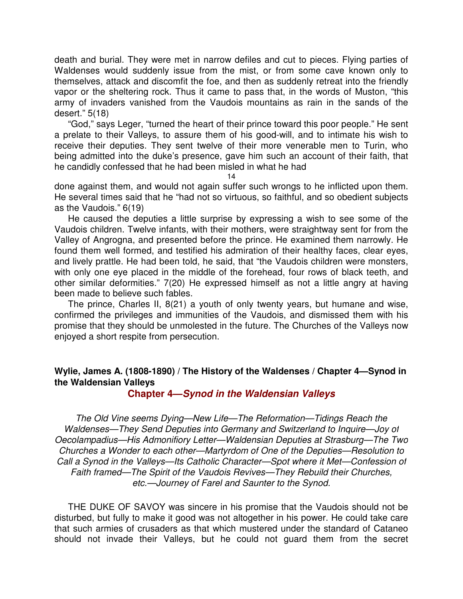death and burial. They were met in narrow defiles and cut to pieces. Flying parties of Waldenses would suddenly issue from the mist, or from some cave known only to themselves, attack and discomfit the foe, and then as suddenly retreat into the friendly vapor or the sheltering rock. Thus it came to pass that, in the words of Muston, "this army of invaders vanished from the Vaudois mountains as rain in the sands of the desert." 5(18)

"God," says Leger, "turned the heart of their prince toward this poor people." He sent a prelate to their Valleys, to assure them of his good-will, and to intimate his wish to receive their deputies. They sent twelve of their more venerable men to Turin, who being admitted into the duke's presence, gave him such an account of their faith, that he candidly confessed that he had been misled in what he had

14

done against them, and would not again suffer such wrongs to he inflicted upon them. He several times said that he "had not so virtuous, so faithful, and so obedient subjects as the Vaudois." 6(19)

He caused the deputies a little surprise by expressing a wish to see some of the Vaudois children. Twelve infants, with their mothers, were straightway sent for from the Valley of Angrogna, and presented before the prince. He examined them narrowly. He found them well formed, and testified his admiration of their healthy faces, clear eyes, and lively prattle. He had been told, he said, that "the Vaudois children were monsters, with only one eye placed in the middle of the forehead, four rows of black teeth, and other similar deformities." 7(20) He expressed himself as not a little angry at having been made to believe such fables.

The prince, Charles II, 8(21) a youth of only twenty years, but humane and wise, confirmed the privileges and immunities of the Vaudois, and dismissed them with his promise that they should be unmolested in the future. The Churches of the Valleys now enjoyed a short respite from persecution.

## **Wylie, James A. (1808-1890) / The History of the Waldenses / Chapter 4—Synod in the Waldensian Valleys**

**Chapter 4—Synod in the Waldensian Valleys**

The Old Vine seems Dying—New Life—The Reformation—Tidings Reach the Waldenses—They Send Deputies into Germany and Switzerland to Inquire—Joy of Oecolampadius—His Admonifiory Letter—Waldensian Deputies at Strasburg—The Two Churches a Wonder to each other—Martyrdom of One of the Deputies—Resolution to Call a Synod in the Valleys—Its Catholic Character—Spot where it Met—Confession of Faith framed—The Spirit of the Vaudois Revives—They Rebuild their Churches, etc.—Journey of Farel and Saunter to the Synod.

THE DUKE OF SAVOY was sincere in his promise that the Vaudois should not be disturbed, but fully to make it good was not altogether in his power. He could take care that such armies of crusaders as that which mustered under the standard of Cataneo should not invade their Valleys, but he could not guard them from the secret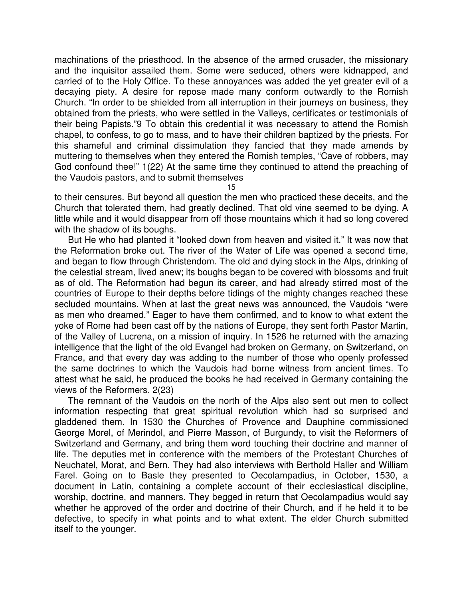machinations of the priesthood. In the absence of the armed crusader, the missionary and the inquisitor assailed them. Some were seduced, others were kidnapped, and carried of to the Holy Office. To these annoyances was added the yet greater evil of a decaying piety. A desire for repose made many conform outwardly to the Romish Church. "In order to be shielded from all interruption in their journeys on business, they obtained from the priests, who were settled in the Valleys, certificates or testimonials of their being Papists."9 To obtain this credential it was necessary to attend the Romish chapel, to confess, to go to mass, and to have their children baptized by the priests. For this shameful and criminal dissimulation they fancied that they made amends by muttering to themselves when they entered the Romish temples, "Cave of robbers, may God confound thee!" 1(22) At the same time they continued to attend the preaching of the Vaudois pastors, and to submit themselves

15

to their censures. But beyond all question the men who practiced these deceits, and the Church that tolerated them, had greatly declined. That old vine seemed to be dying. A little while and it would disappear from off those mountains which it had so long covered with the shadow of its boughs.

But He who had planted it "looked down from heaven and visited it." It was now that the Reformation broke out. The river of the Water of Life was opened a second time, and began to flow through Christendom. The old and dying stock in the Alps, drinking of the celestial stream, lived anew; its boughs began to be covered with blossoms and fruit as of old. The Reformation had begun its career, and had already stirred most of the countries of Europe to their depths before tidings of the mighty changes reached these secluded mountains. When at last the great news was announced, the Vaudois "were as men who dreamed." Eager to have them confirmed, and to know to what extent the yoke of Rome had been cast off by the nations of Europe, they sent forth Pastor Martin, of the Valley of Lucrena, on a mission of inquiry. In 1526 he returned with the amazing intelligence that the light of the old Evangel had broken on Germany, on Switzerland, on France, and that every day was adding to the number of those who openly professed the same doctrines to which the Vaudois had borne witness from ancient times. To attest what he said, he produced the books he had received in Germany containing the views of the Reformers. 2(23)

The remnant of the Vaudois on the north of the Alps also sent out men to collect information respecting that great spiritual revolution which had so surprised and gladdened them. In 1530 the Churches of Provence and Dauphine commissioned George Morel, of Merindol, and Pierre Masson, of Burgundy, to visit the Reformers of Switzerland and Germany, and bring them word touching their doctrine and manner of life. The deputies met in conference with the members of the Protestant Churches of Neuchatel, Morat, and Bern. They had also interviews with Berthold Haller and William Farel. Going on to Basle they presented to Oecolampadius, in October, 1530, a document in Latin, containing a complete account of their ecclesiastical discipline, worship, doctrine, and manners. They begged in return that Oecolampadius would say whether he approved of the order and doctrine of their Church, and if he held it to be defective, to specify in what points and to what extent. The elder Church submitted itself to the younger.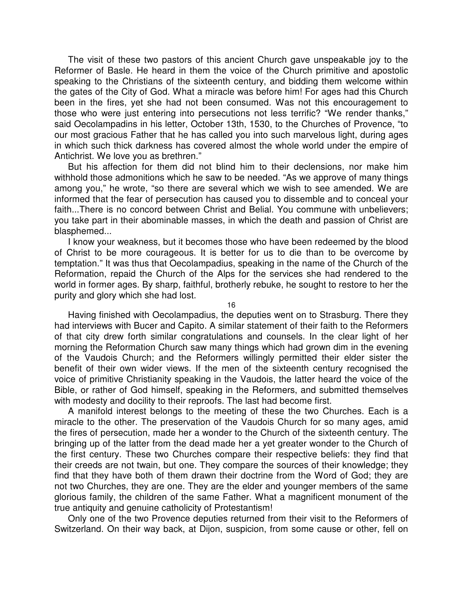The visit of these two pastors of this ancient Church gave unspeakable joy to the Reformer of Basle. He heard in them the voice of the Church primitive and apostolic speaking to the Christians of the sixteenth century, and bidding them welcome within the gates of the City of God. What a miracle was before him! For ages had this Church been in the fires, yet she had not been consumed. Was not this encouragement to those who were just entering into persecutions not less terrific? "We render thanks," said Oecolampadins in his letter, October 13th, 1530, to the Churches of Provence, "to our most gracious Father that he has called you into such marvelous light, during ages in which such thick darkness has covered almost the whole world under the empire of Antichrist. We love you as brethren."

But his affection for them did not blind him to their declensions, nor make him withhold those admonitions which he saw to be needed. "As we approve of many things among you," he wrote, "so there are several which we wish to see amended. We are informed that the fear of persecution has caused you to dissemble and to conceal your faith...There is no concord between Christ and Belial. You commune with unbelievers; you take part in their abominable masses, in which the death and passion of Christ are blasphemed...

I know your weakness, but it becomes those who have been redeemed by the blood of Christ to be more courageous. It is better for us to die than to be overcome by temptation." It was thus that Oecolampadius, speaking in the name of the Church of the Reformation, repaid the Church of the Alps for the services she had rendered to the world in former ages. By sharp, faithful, brotherly rebuke, he sought to restore to her the purity and glory which she had lost.

16

Having finished with Oecolampadius, the deputies went on to Strasburg. There they had interviews with Bucer and Capito. A similar statement of their faith to the Reformers of that city drew forth similar congratulations and counsels. In the clear light of her morning the Reformation Church saw many things which had grown dim in the evening of the Vaudois Church; and the Reformers willingly permitted their elder sister the benefit of their own wider views. If the men of the sixteenth century recognised the voice of primitive Christianity speaking in the Vaudois, the latter heard the voice of the Bible, or rather of God himself, speaking in the Reformers, and submitted themselves with modesty and docility to their reproofs. The last had become first.

A manifold interest belongs to the meeting of these the two Churches. Each is a miracle to the other. The preservation of the Vaudois Church for so many ages, amid the fires of persecution, made her a wonder to the Church of the sixteenth century. The bringing up of the latter from the dead made her a yet greater wonder to the Church of the first century. These two Churches compare their respective beliefs: they find that their creeds are not twain, but one. They compare the sources of their knowledge; they find that they have both of them drawn their doctrine from the Word of God; they are not two Churches, they are one. They are the elder and younger members of the same glorious family, the children of the same Father. What a magnificent monument of the true antiquity and genuine catholicity of Protestantism!

Only one of the two Provence deputies returned from their visit to the Reformers of Switzerland. On their way back, at Dijon, suspicion, from some cause or other, fell on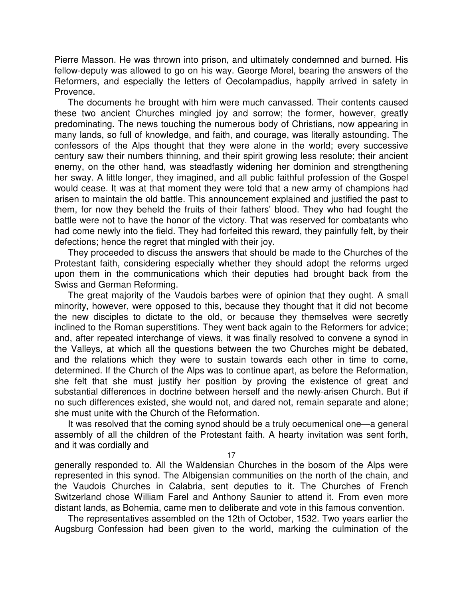Pierre Masson. He was thrown into prison, and ultimately condemned and burned. His fellow-deputy was allowed to go on his way. George Morel, bearing the answers of the Reformers, and especially the letters of Oecolampadius, happily arrived in safety in Provence.

The documents he brought with him were much canvassed. Their contents caused these two ancient Churches mingled joy and sorrow; the former, however, greatly predominating. The news touching the numerous body of Christians, now appearing in many lands, so full of knowledge, and faith, and courage, was literally astounding. The confessors of the Alps thought that they were alone in the world; every successive century saw their numbers thinning, and their spirit growing less resolute; their ancient enemy, on the other hand, was steadfastly widening her dominion and strengthening her sway. A little longer, they imagined, and all public faithful profession of the Gospel would cease. It was at that moment they were told that a new army of champions had arisen to maintain the old battle. This announcement explained and justified the past to them, for now they beheld the fruits of their fathers' blood. They who had fought the battle were not to have the honor of the victory. That was reserved for combatants who had come newly into the field. They had forfeited this reward, they painfully felt, by their defections; hence the regret that mingled with their joy.

They proceeded to discuss the answers that should be made to the Churches of the Protestant faith, considering especially whether they should adopt the reforms urged upon them in the communications which their deputies had brought back from the Swiss and German Reforming.

The great majority of the Vaudois barbes were of opinion that they ought. A small minority, however, were opposed to this, because they thought that it did not become the new disciples to dictate to the old, or because they themselves were secretly inclined to the Roman superstitions. They went back again to the Reformers for advice; and, after repeated interchange of views, it was finally resolved to convene a synod in the Valleys, at which all the questions between the two Churches might be debated, and the relations which they were to sustain towards each other in time to come, determined. If the Church of the Alps was to continue apart, as before the Reformation, she felt that she must justify her position by proving the existence of great and substantial differences in doctrine between herself and the newly-arisen Church. But if no such differences existed, she would not, and dared not, remain separate and alone; she must unite with the Church of the Reformation.

It was resolved that the coming synod should be a truly oecumenical one—a general assembly of all the children of the Protestant faith. A hearty invitation was sent forth, and it was cordially and

17

generally responded to. All the Waldensian Churches in the bosom of the Alps were represented in this synod. The Albigensian communities on the north of the chain, and the Vaudois Churches in Calabria, sent deputies to it. The Churches of French Switzerland chose William Farel and Anthony Saunier to attend it. From even more distant lands, as Bohemia, came men to deliberate and vote in this famous convention.

The representatives assembled on the 12th of October, 1532. Two years earlier the Augsburg Confession had been given to the world, marking the culmination of the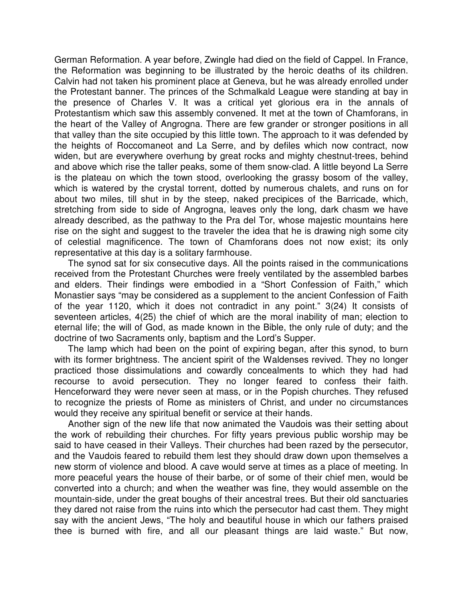German Reformation. A year before, Zwingle had died on the field of Cappel. In France, the Reformation was beginning to be illustrated by the heroic deaths of its children. Calvin had not taken his prominent place at Geneva, but he was already enrolled under the Protestant banner. The princes of the Schmalkald League were standing at bay in the presence of Charles V. It was a critical yet glorious era in the annals of Protestantism which saw this assembly convened. It met at the town of Chamforans, in the heart of the Valley of Angrogna. There are few grander or stronger positions in all that valley than the site occupied by this little town. The approach to it was defended by the heights of Roccomaneot and La Serre, and by defiles which now contract, now widen, but are everywhere overhung by great rocks and mighty chestnut-trees, behind and above which rise the taller peaks, some of them snow-clad. A little beyond La Serre is the plateau on which the town stood, overlooking the grassy bosom of the valley, which is watered by the crystal torrent, dotted by numerous chalets, and runs on for about two miles, till shut in by the steep, naked precipices of the Barricade, which, stretching from side to side of Angrogna, leaves only the long, dark chasm we have already described, as the pathway to the Pra del Tor, whose majestic mountains here rise on the sight and suggest to the traveler the idea that he is drawing nigh some city of celestial magnificence. The town of Chamforans does not now exist; its only representative at this day is a solitary farmhouse.

The synod sat for six consecutive days. All the points raised in the communications received from the Protestant Churches were freely ventilated by the assembled barbes and elders. Their findings were embodied in a "Short Confession of Faith," which Monastier says "may be considered as a supplement to the ancient Confession of Faith of the year 1120, which it does not contradict in any point." 3(24) It consists of seventeen articles, 4(25) the chief of which are the moral inability of man; election to eternal life; the will of God, as made known in the Bible, the only rule of duty; and the doctrine of two Sacraments only, baptism and the Lord's Supper.

The lamp which had been on the point of expiring began, after this synod, to burn with its former brightness. The ancient spirit of the Waldenses revived. They no longer practiced those dissimulations and cowardly concealments to which they had had recourse to avoid persecution. They no longer feared to confess their faith. Henceforward they were never seen at mass, or in the Popish churches. They refused to recognize the priests of Rome as ministers of Christ, and under no circumstances would they receive any spiritual benefit or service at their hands.

Another sign of the new life that now animated the Vaudois was their setting about the work of rebuilding their churches. For fifty years previous public worship may be said to have ceased in their Valleys. Their churches had been razed by the persecutor, and the Vaudois feared to rebuild them lest they should draw down upon themselves a new storm of violence and blood. A cave would serve at times as a place of meeting. In more peaceful years the house of their barbe, or of some of their chief men, would be converted into a church; and when the weather was fine, they would assemble on the mountain-side, under the great boughs of their ancestral trees. But their old sanctuaries they dared not raise from the ruins into which the persecutor had cast them. They might say with the ancient Jews, "The holy and beautiful house in which our fathers praised thee is burned with fire, and all our pleasant things are laid waste." But now,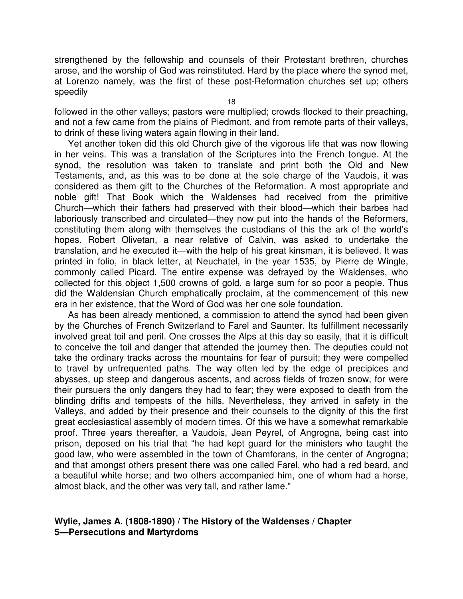strengthened by the fellowship and counsels of their Protestant brethren, churches arose, and the worship of God was reinstituted. Hard by the place where the synod met, at Lorenzo namely, was the first of these post-Reformation churches set up; others speedily

followed in the other valleys; pastors were multiplied; crowds flocked to their preaching, and not a few came from the plains of Piedmont, and from remote parts of their valleys, to drink of these living waters again flowing in their land.

Yet another token did this old Church give of the vigorous life that was now flowing in her veins. This was a translation of the Scriptures into the French tongue. At the synod, the resolution was taken to translate and print both the Old and New Testaments, and, as this was to be done at the sole charge of the Vaudois, it was considered as them gift to the Churches of the Reformation. A most appropriate and noble gift! That Book which the Waldenses had received from the primitive Church—which their fathers had preserved with their blood—which their barbes had laboriously transcribed and circulated—they now put into the hands of the Reformers, constituting them along with themselves the custodians of this the ark of the world's hopes. Robert Olivetan, a near relative of Calvin, was asked to undertake the translation, and he executed it—with the help of his great kinsman, it is believed. It was printed in folio, in black letter, at Neuchatel, in the year 1535, by Pierre de Wingle, commonly called Picard. The entire expense was defrayed by the Waldenses, who collected for this object 1,500 crowns of gold, a large sum for so poor a people. Thus did the Waldensian Church emphatically proclaim, at the commencement of this new era in her existence, that the Word of God was her one sole foundation.

As has been already mentioned, a commission to attend the synod had been given by the Churches of French Switzerland to Farel and Saunter. Its fulfillment necessarily involved great toil and peril. One crosses the Alps at this day so easily, that it is difficult to conceive the toil and danger that attended the journey then. The deputies could not take the ordinary tracks across the mountains for fear of pursuit; they were compelled to travel by unfrequented paths. The way often led by the edge of precipices and abysses, up steep and dangerous ascents, and across fields of frozen snow, for were their pursuers the only dangers they had to fear; they were exposed to death from the blinding drifts and tempests of the hills. Nevertheless, they arrived in safety in the Valleys, and added by their presence and their counsels to the dignity of this the first great ecclesiastical assembly of modern times. Of this we have a somewhat remarkable proof. Three years thereafter, a Vaudois, Jean Peyrel, of Angrogna, being cast into prison, deposed on his trial that "he had kept guard for the ministers who taught the good law, who were assembled in the town of Chamforans, in the center of Angrogna; and that amongst others present there was one called Farel, who had a red beard, and a beautiful white horse; and two others accompanied him, one of whom had a horse, almost black, and the other was very tall, and rather lame."

#### **Wylie, James A. (1808-1890) / The History of the Waldenses / Chapter 5—Persecutions and Martyrdoms**

18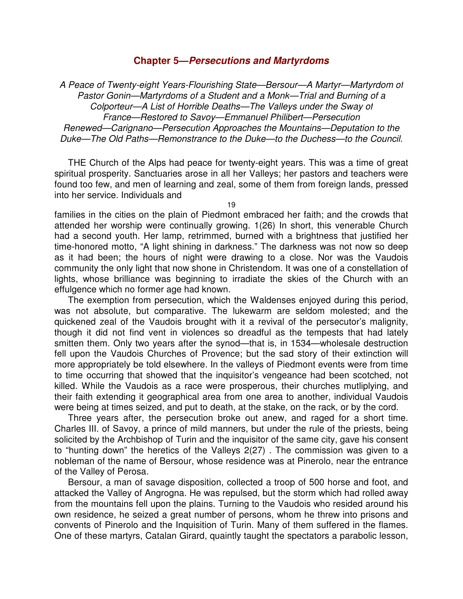#### **Chapter 5—Persecutions and Martyrdoms**

A Peace of Twenty-eight Years-Flourishing State—Bersour—A Martyr—Martyrdom of Pastor Gonin—Martyrdoms of a Student and a Monk—Trial and Burning of a Colporteur—A List of Horrible Deaths—The Valleys under the Sway of France—Restored to Savoy—Emmanuel Philibert—Persecution Renewed—Carignano—Persecution Approaches the Mountains—Deputation to the Duke—The Old Paths—Remonstrance to the Duke—to the Duchess—to the Council.

THE Church of the Alps had peace for twenty-eight years. This was a time of great spiritual prosperity. Sanctuaries arose in all her Valleys; her pastors and teachers were found too few, and men of learning and zeal, some of them from foreign lands, pressed into her service. Individuals and

families in the cities on the plain of Piedmont embraced her faith; and the crowds that attended her worship were continually growing. 1(26) In short, this venerable Church had a second youth. Her lamp, retrimmed, burned with a brightness that justified her time-honored motto, "A light shining in darkness." The darkness was not now so deep as it had been; the hours of night were drawing to a close. Nor was the Vaudois community the only light that now shone in Christendom. It was one of a constellation of lights, whose brilliance was beginning to irradiate the skies of the Church with an effulgence which no former age had known.

The exemption from persecution, which the Waldenses enjoyed during this period, was not absolute, but comparative. The lukewarm are seldom molested; and the quickened zeal of the Vaudois brought with it a revival of the persecutor's malignity, though it did not find vent in violences so dreadful as the tempests that had lately smitten them. Only two years after the synod—that is, in 1534—wholesale destruction fell upon the Vaudois Churches of Provence; but the sad story of their extinction will more appropriately be told elsewhere. In the valleys of Piedmont events were from time to time occurring that showed that the inquisitor's vengeance had been scotched, not killed. While the Vaudois as a race were prosperous, their churches mutliplying, and their faith extending it geographical area from one area to another, individual Vaudois were being at times seized, and put to death, at the stake, on the rack, or by the cord.

Three years after, the persecution broke out anew, and raged for a short time. Charles III. of Savoy, a prince of mild manners, but under the rule of the priests, being solicited by the Archbishop of Turin and the inquisitor of the same city, gave his consent to "hunting down" the heretics of the Valleys 2(27) . The commission was given to a nobleman of the name of Bersour, whose residence was at Pinerolo, near the entrance of the Valley of Perosa.

Bersour, a man of savage disposition, collected a troop of 500 horse and foot, and attacked the Valley of Angrogna. He was repulsed, but the storm which had rolled away from the mountains fell upon the plains. Turning to the Vaudois who resided around his own residence, he seized a great number of persons, whom he threw into prisons and convents of Pinerolo and the Inquisition of Turin. Many of them suffered in the flames. One of these martyrs, Catalan Girard, quaintly taught the spectators a parabolic lesson,

19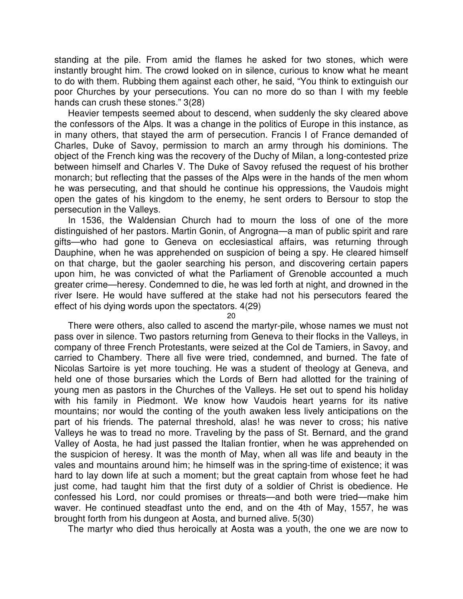standing at the pile. From amid the flames he asked for two stones, which were instantly brought him. The crowd looked on in silence, curious to know what he meant to do with them. Rubbing them against each other, he said, "You think to extinguish our poor Churches by your persecutions. You can no more do so than I with my feeble hands can crush these stones." 3(28)

Heavier tempests seemed about to descend, when suddenly the sky cleared above the confessors of the Alps. It was a change in the politics of Europe in this instance, as in many others, that stayed the arm of persecution. Francis I of France demanded of Charles, Duke of Savoy, permission to march an army through his dominions. The object of the French king was the recovery of the Duchy of Milan, a long-contested prize between himself and Charles V. The Duke of Savoy refused the request of his brother monarch; but reflecting that the passes of the Alps were in the hands of the men whom he was persecuting, and that should he continue his oppressions, the Vaudois might open the gates of his kingdom to the enemy, he sent orders to Bersour to stop the persecution in the Valleys.

In 1536, the Waldensian Church had to mourn the loss of one of the more distinguished of her pastors. Martin Gonin, of Angrogna—a man of public spirit and rare gifts—who had gone to Geneva on ecclesiastical affairs, was returning through Dauphine, when he was apprehended on suspicion of being a spy. He cleared himself on that charge, but the gaoler searching his person, and discovering certain papers upon him, he was convicted of what the Parliament of Grenoble accounted a much greater crime—heresy. Condemned to die, he was led forth at night, and drowned in the river Isere. He would have suffered at the stake had not his persecutors feared the effect of his dying words upon the spectators. 4(29)

 $20$ 

There were others, also called to ascend the martyr-pile, whose names we must not pass over in silence. Two pastors returning from Geneva to their flocks in the Valleys, in company of three French Protestants, were seized at the Col de Tamiers, in Savoy, and carried to Chambery. There all five were tried, condemned, and burned. The fate of Nicolas Sartoire is yet more touching. He was a student of theology at Geneva, and held one of those bursaries which the Lords of Bern had allotted for the training of young men as pastors in the Churches of the Valleys. He set out to spend his holiday with his family in Piedmont. We know how Vaudois heart yearns for its native mountains; nor would the conting of the youth awaken less lively anticipations on the part of his friends. The paternal threshold, alas! he was never to cross; his native Valleys he was to tread no more. Traveling by the pass of St. Bernard, and the grand Valley of Aosta, he had just passed the Italian frontier, when he was apprehended on the suspicion of heresy. It was the month of May, when all was life and beauty in the vales and mountains around him; he himself was in the spring-time of existence; it was hard to lay down life at such a moment; but the great captain from whose feet he had just come, had taught him that the first duty of a soldier of Christ is obedience. He confessed his Lord, nor could promises or threats—and both were tried—make him waver. He continued steadfast unto the end, and on the 4th of May, 1557, he was brought forth from his dungeon at Aosta, and burned alive. 5(30)

The martyr who died thus heroically at Aosta was a youth, the one we are now to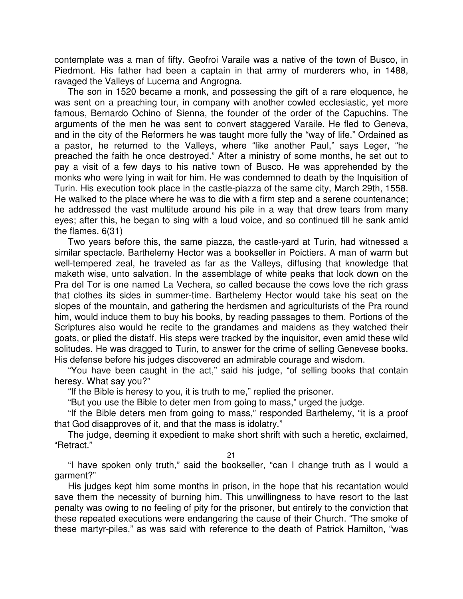contemplate was a man of fifty. Geofroi Varaile was a native of the town of Busco, in Piedmont. His father had been a captain in that army of murderers who, in 1488, ravaged the Valleys of Lucerna and Angrogna.

The son in 1520 became a monk, and possessing the gift of a rare eloquence, he was sent on a preaching tour, in company with another cowled ecclesiastic, yet more famous, Bernardo Ochino of Sienna, the founder of the order of the Capuchins. The arguments of the men he was sent to convert staggered Varaile. He fled to Geneva, and in the city of the Reformers he was taught more fully the "way of life." Ordained as a pastor, he returned to the Valleys, where "like another Paul," says Leger, "he preached the faith he once destroyed." After a ministry of some months, he set out to pay a visit of a few days to his native town of Busco. He was apprehended by the monks who were lying in wait for him. He was condemned to death by the Inquisition of Turin. His execution took place in the castle-piazza of the same city, March 29th, 1558. He walked to the place where he was to die with a firm step and a serene countenance; he addressed the vast multitude around his pile in a way that drew tears from many eyes; after this, he began to sing with a loud voice, and so continued till he sank amid the flames. 6(31)

Two years before this, the same piazza, the castle-yard at Turin, had witnessed a similar spectacle. Barthelemy Hector was a bookseller in Poictiers. A man of warm but well-tempered zeal, he traveled as far as the Valleys, diffusing that knowledge that maketh wise, unto salvation. In the assemblage of white peaks that look down on the Pra del Tor is one named La Vechera, so called because the cows love the rich grass that clothes its sides in summer-time. Barthelemy Hector would take his seat on the slopes of the mountain, and gathering the herdsmen and agriculturists of the Pra round him, would induce them to buy his books, by reading passages to them. Portions of the Scriptures also would he recite to the grandames and maidens as they watched their goats, or plied the distaff. His steps were tracked by the inquisitor, even amid these wild solitudes. He was dragged to Turin, to answer for the crime of selling Genevese books. His defense before his judges discovered an admirable courage and wisdom.

"You have been caught in the act," said his judge, "of selling books that contain heresy. What say you?"

"If the Bible is heresy to you, it is truth to me," replied the prisoner.

"But you use the Bible to deter men from going to mass," urged the judge.

"If the Bible deters men from going to mass," responded Barthelemy, "it is a proof that God disapproves of it, and that the mass is idolatry."

The judge, deeming it expedient to make short shrift with such a heretic, exclaimed, "Retract."

21

"I have spoken only truth," said the bookseller, "can I change truth as I would a garment?"

His judges kept him some months in prison, in the hope that his recantation would save them the necessity of burning him. This unwillingness to have resort to the last penalty was owing to no feeling of pity for the prisoner, but entirely to the conviction that these repeated executions were endangering the cause of their Church. "The smoke of these martyr-piles," as was said with reference to the death of Patrick Hamilton, "was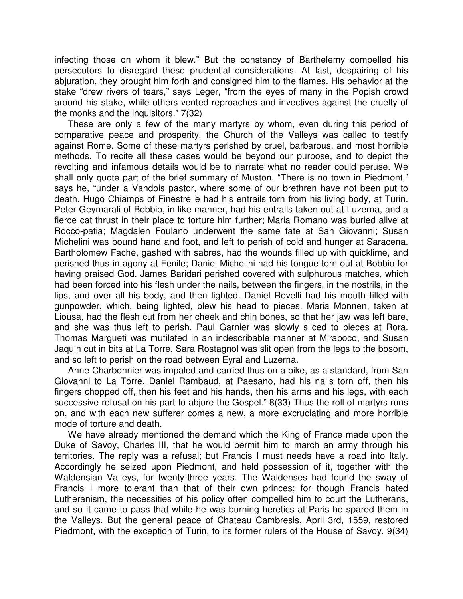infecting those on whom it blew." But the constancy of Barthelemy compelled his persecutors to disregard these prudential considerations. At last, despairing of his abjuration, they brought him forth and consigned him to the flames. His behavior at the stake "drew rivers of tears," says Leger, "from the eyes of many in the Popish crowd around his stake, while others vented reproaches and invectives against the cruelty of the monks and the inquisitors." 7(32)

These are only a few of the many martyrs by whom, even during this period of comparative peace and prosperity, the Church of the Valleys was called to testify against Rome. Some of these martyrs perished by cruel, barbarous, and most horrible methods. To recite all these cases would be beyond our purpose, and to depict the revolting and infamous details would be to narrate what no reader could peruse. We shall only quote part of the brief summary of Muston. "There is no town in Piedmont," says he, "under a Vandois pastor, where some of our brethren have not been put to death. Hugo Chiamps of Finestrelle had his entrails torn from his living body, at Turin. Peter Geymarali of Bobbio, in like manner, had his entrails taken out at Luzerna, and a fierce cat thrust in their place to torture him further; Maria Romano was buried alive at Rocco-patia; Magdalen Foulano underwent the same fate at San Giovanni; Susan Michelini was bound hand and foot, and left to perish of cold and hunger at Saracena. Bartholomew Fache, gashed with sabres, had the wounds filled up with quicklime, and perished thus in agony at Fenile; Daniel Michelini had his tongue torn out at Bobbio for having praised God. James Baridari perished covered with sulphurous matches, which had been forced into his flesh under the nails, between the fingers, in the nostrils, in the lips, and over all his body, and then lighted. Daniel Revelli had his mouth filled with gunpowder, which, being lighted, blew his head to pieces. Maria Monnen, taken at Liousa, had the flesh cut from her cheek and chin bones, so that her jaw was left bare, and she was thus left to perish. Paul Garnier was slowly sliced to pieces at Rora. Thomas Margueti was mutilated in an indescribable manner at Miraboco, and Susan Jaquin cut in bits at La Torre. Sara Rostagnol was slit open from the legs to the bosom, and so left to perish on the road between Eyral and Luzerna.

Anne Charbonnier was impaled and carried thus on a pike, as a standard, from San Giovanni to La Torre. Daniel Rambaud, at Paesano, had his nails torn off, then his fingers chopped off, then his feet and his hands, then his arms and his legs, with each successive refusal on his part to abjure the Gospel." 8(33) Thus the roll of martyrs runs on, and with each new sufferer comes a new, a more excruciating and more horrible mode of torture and death.

We have already mentioned the demand which the King of France made upon the Duke of Savoy, Charles III, that he would permit him to march an army through his territories. The reply was a refusal; but Francis I must needs have a road into Italy. Accordingly he seized upon Piedmont, and held possession of it, together with the Waldensian Valleys, for twenty-three years. The Waldenses had found the sway of Francis I more tolerant than that of their own princes; for though Francis hated Lutheranism, the necessities of his policy often compelled him to court the Lutherans, and so it came to pass that while he was burning heretics at Paris he spared them in the Valleys. But the general peace of Chateau Cambresis, April 3rd, 1559, restored Piedmont, with the exception of Turin, to its former rulers of the House of Savoy. 9(34)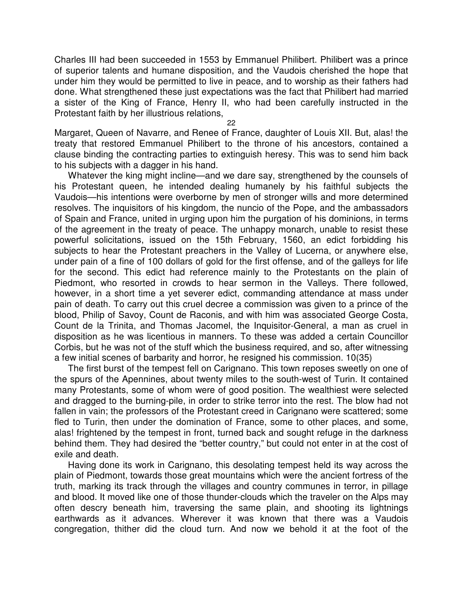Charles III had been succeeded in 1553 by Emmanuel Philibert. Philibert was a prince of superior talents and humane disposition, and the Vaudois cherished the hope that under him they would be permitted to live in peace, and to worship as their fathers had done. What strengthened these just expectations was the fact that Philibert had married a sister of the King of France, Henry II, who had been carefully instructed in the Protestant faith by her illustrious relations,

22

Margaret, Queen of Navarre, and Renee of France, daughter of Louis XII. But, alas! the treaty that restored Emmanuel Philibert to the throne of his ancestors, contained a clause binding the contracting parties to extinguish heresy. This was to send him back to his subjects with a dagger in his hand.

Whatever the king might incline—and we dare say, strengthened by the counsels of his Protestant queen, he intended dealing humanely by his faithful subjects the Vaudois—his intentions were overborne by men of stronger wills and more determined resolves. The inquisitors of his kingdom, the nuncio of the Pope, and the ambassadors of Spain and France, united in urging upon him the purgation of his dominions, in terms of the agreement in the treaty of peace. The unhappy monarch, unable to resist these powerful solicitations, issued on the 15th February, 1560, an edict forbidding his subjects to hear the Protestant preachers in the Valley of Lucerna, or anywhere else, under pain of a fine of 100 dollars of gold for the first offense, and of the galleys for life for the second. This edict had reference mainly to the Protestants on the plain of Piedmont, who resorted in crowds to hear sermon in the Valleys. There followed, however, in a short time a yet severer edict, commanding attendance at mass under pain of death. To carry out this cruel decree a commission was given to a prince of the blood, Philip of Savoy, Count de Raconis, and with him was associated George Costa, Count de la Trinita, and Thomas Jacomel, the Inquisitor-General, a man as cruel in disposition as he was licentious in manners. To these was added a certain Councillor Corbis, but he was not of the stuff which the business required, and so, after witnessing a few initial scenes of barbarity and horror, he resigned his commission. 10(35)

The first burst of the tempest fell on Carignano. This town reposes sweetly on one of the spurs of the Apennines, about twenty miles to the south-west of Turin. It contained many Protestants, some of whom were of good position. The wealthiest were selected and dragged to the burning-pile, in order to strike terror into the rest. The blow had not fallen in vain; the professors of the Protestant creed in Carignano were scattered; some fled to Turin, then under the domination of France, some to other places, and some, alas! frightened by the tempest in front, turned back and sought refuge in the darkness behind them. They had desired the "better country," but could not enter in at the cost of exile and death.

Having done its work in Carignano, this desolating tempest held its way across the plain of Piedmont, towards those great mountains which were the ancient fortress of the truth, marking its track through the villages and country communes in terror, in pillage and blood. It moved like one of those thunder-clouds which the traveler on the Alps may often descry beneath him, traversing the same plain, and shooting its lightnings earthwards as it advances. Wherever it was known that there was a Vaudois congregation, thither did the cloud turn. And now we behold it at the foot of the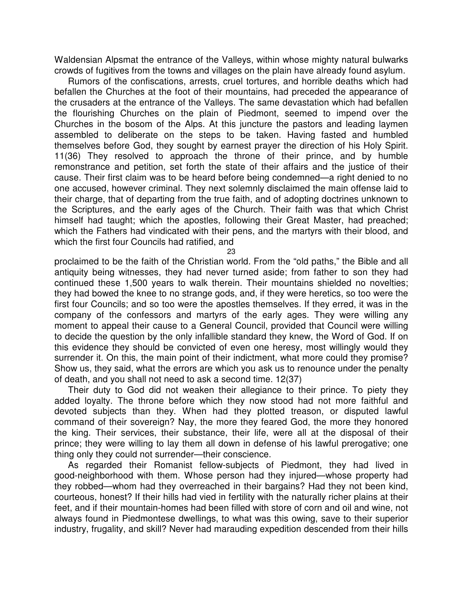Waldensian Alpsmat the entrance of the Valleys, within whose mighty natural bulwarks crowds of fugitives from the towns and villages on the plain have already found asylum.

Rumors of the confiscations, arrests, cruel tortures, and horrible deaths which had befallen the Churches at the foot of their mountains, had preceded the appearance of the crusaders at the entrance of the Valleys. The same devastation which had befallen the flourishing Churches on the plain of Piedmont, seemed to impend over the Churches in the bosom of the Alps. At this juncture the pastors and leading laymen assembled to deliberate on the steps to be taken. Having fasted and humbled themselves before God, they sought by earnest prayer the direction of his Holy Spirit. 11(36) They resolved to approach the throne of their prince, and by humble remonstrance and petition, set forth the state of their affairs and the justice of their cause. Their first claim was to be heard before being condemned—a right denied to no one accused, however criminal. They next solemnly disclaimed the main offense laid to their charge, that of departing from the true faith, and of adopting doctrines unknown to the Scriptures, and the early ages of the Church. Their faith was that which Christ himself had taught; which the apostles, following their Great Master, had preached; which the Fathers had vindicated with their pens, and the martyrs with their blood, and which the first four Councils had ratified, and

23

proclaimed to be the faith of the Christian world. From the "old paths," the Bible and all antiquity being witnesses, they had never turned aside; from father to son they had continued these 1,500 years to walk therein. Their mountains shielded no novelties; they had bowed the knee to no strange gods, and, if they were heretics, so too were the first four Councils; and so too were the apostles themselves. If they erred, it was in the company of the confessors and martyrs of the early ages. They were willing any moment to appeal their cause to a General Council, provided that Council were willing to decide the question by the only infallible standard they knew, the Word of God. If on this evidence they should be convicted of even one heresy, most willingly would they surrender it. On this, the main point of their indictment, what more could they promise? Show us, they said, what the errors are which you ask us to renounce under the penalty of death, and you shall not need to ask a second time. 12(37)

Their duty to God did not weaken their allegiance to their prince. To piety they added loyalty. The throne before which they now stood had not more faithful and devoted subjects than they. When had they plotted treason, or disputed lawful command of their sovereign? Nay, the more they feared God, the more they honored the king. Their services, their substance, their life, were all at the disposal of their prince; they were willing to lay them all down in defense of his lawful prerogative; one thing only they could not surrender—their conscience.

As regarded their Romanist fellow-subjects of Piedmont, they had lived in good-neighborhood with them. Whose person had they injured—whose property had they robbed—whom had they overreached in their bargains? Had they not been kind, courteous, honest? If their hills had vied in fertility with the naturally richer plains at their feet, and if their mountain-homes had been filled with store of corn and oil and wine, not always found in Piedmontese dwellings, to what was this owing, save to their superior industry, frugality, and skill? Never had marauding expedition descended from their hills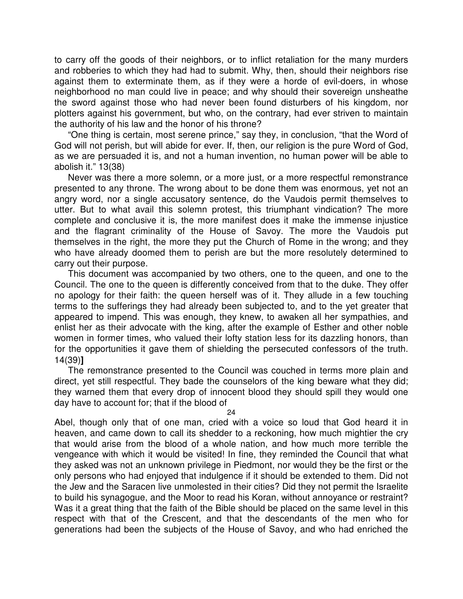to carry off the goods of their neighbors, or to inflict retaliation for the many murders and robberies to which they had had to submit. Why, then, should their neighbors rise against them to exterminate them, as if they were a horde of evil-doers, in whose neighborhood no man could live in peace; and why should their sovereign unsheathe the sword against those who had never been found disturbers of his kingdom, nor plotters against his government, but who, on the contrary, had ever striven to maintain the authority of his law and the honor of his throne?

"One thing is certain, most serene prince," say they, in conclusion, "that the Word of God will not perish, but will abide for ever. If, then, our religion is the pure Word of God, as we are persuaded it is, and not a human invention, no human power will be able to abolish it." 13(38)

Never was there a more solemn, or a more just, or a more respectful remonstrance presented to any throne. The wrong about to be done them was enormous, yet not an angry word, nor a single accusatory sentence, do the Vaudois permit themselves to utter. But to what avail this solemn protest, this triumphant vindication? The more complete and conclusive it is, the more manifest does it make the immense injustice and the flagrant criminality of the House of Savoy. The more the Vaudois put themselves in the right, the more they put the Church of Rome in the wrong; and they who have already doomed them to perish are but the more resolutely determined to carry out their purpose.

This document was accompanied by two others, one to the queen, and one to the Council. The one to the queen is differently conceived from that to the duke. They offer no apology for their faith: the queen herself was of it. They allude in a few touching terms to the sufferings they had already been subjected to, and to the yet greater that appeared to impend. This was enough, they knew, to awaken all her sympathies, and enlist her as their advocate with the king, after the example of Esther and other noble women in former times, who valued their lofty station less for its dazzling honors, than for the opportunities it gave them of shielding the persecuted confessors of the truth. 14(39)**]**

The remonstrance presented to the Council was couched in terms more plain and direct, yet still respectful. They bade the counselors of the king beware what they did; they warned them that every drop of innocent blood they should spill they would one day have to account for; that if the blood of

24

Abel, though only that of one man, cried with a voice so loud that God heard it in heaven, and came down to call its shedder to a reckoning, how much mightier the cry that would arise from the blood of a whole nation, and how much more terrible the vengeance with which it would be visited! In fine, they reminded the Council that what they asked was not an unknown privilege in Piedmont, nor would they be the first or the only persons who had enjoyed that indulgence if it should be extended to them. Did not the Jew and the Saracen live unmolested in their cities? Did they not permit the Israelite to build his synagogue, and the Moor to read his Koran, without annoyance or restraint? Was it a great thing that the faith of the Bible should be placed on the same level in this respect with that of the Crescent, and that the descendants of the men who for generations had been the subjects of the House of Savoy, and who had enriched the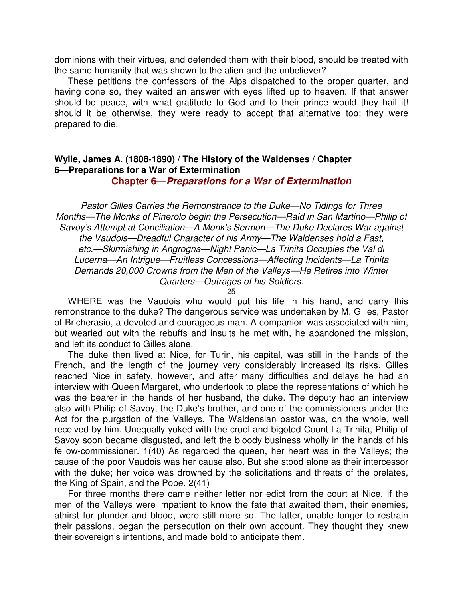dominions with their virtues, and defended them with their blood, should be treated with the same humanity that was shown to the alien and the unbeliever?

These petitions the confessors of the Alps dispatched to the proper quarter, and having done so, they waited an answer with eyes lifted up to heaven. If that answer should be peace, with what gratitude to God and to their prince would they hail it! should it be otherwise, they were ready to accept that alternative too; they were prepared to die.

### **Wylie, James A. (1808-1890) / The History of the Waldenses / Chapter 6—Preparations for a War of Extermination**

**Chapter 6—Preparations for a War of Extermination**

Pastor Gilles Carries the Remonstrance to the Duke—No Tidings for Three Months—The Monks of Pinerolo begin the Persecution—Raid in San Martino—Philip of Savoy's Attempt at Conciliation—A Monk's Sermon—The Duke Declares War against the Vaudois—Dreadful Character of his Army—The Waldenses hold a Fast, etc.—Skirmishing in Angrogna—Night Panic—La Trinita Occupies the Val di Lucerna—An Intrigue—Fruitless Concessions—Affecting Incidents—La Trinita Demands 20,000 Crowns from the Men of the Valleys—He Retires into Winter Quarters—Outrages of his Soldiers.

25

WHERE was the Vaudois who would put his life in his hand, and carry this remonstrance to the duke? The dangerous service was undertaken by M. Gilles, Pastor of Bricherasio, a devoted and courageous man. A companion was associated with him, but wearied out with the rebuffs and insults he met with, he abandoned the mission, and left its conduct to Gilles alone.

The duke then lived at Nice, for Turin, his capital, was still in the hands of the French, and the length of the journey very considerably increased its risks. Gilles reached Nice in safety, however, and after many difficulties and delays he had an interview with Queen Margaret, who undertook to place the representations of which he was the bearer in the hands of her husband, the duke. The deputy had an interview also with Philip of Savoy, the Duke's brother, and one of the commissioners under the Act for the purgation of the Valleys. The Waldensian pastor was, on the whole, well received by him. Unequally yoked with the cruel and bigoted Count La Trinita, Philip of Savoy soon became disgusted, and left the bloody business wholly in the hands of his fellow-commissioner. 1(40) As regarded the queen, her heart was in the Valleys; the cause of the poor Vaudois was her cause also. But she stood alone as their intercessor with the duke; her voice was drowned by the solicitations and threats of the prelates, the King of Spain, and the Pope. 2(41)

For three months there came neither letter nor edict from the court at Nice. If the men of the Valleys were impatient to know the fate that awaited them, their enemies, athirst for plunder and blood, were still more so. The latter, unable longer to restrain their passions, began the persecution on their own account. They thought they knew their sovereign's intentions, and made bold to anticipate them.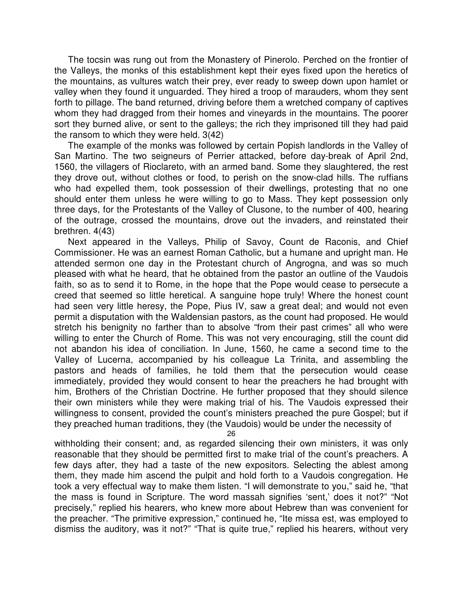The tocsin was rung out from the Monastery of Pinerolo. Perched on the frontier of the Valleys, the monks of this establishment kept their eyes fixed upon the heretics of the mountains, as vultures watch their prey, ever ready to sweep down upon hamlet or valley when they found it unguarded. They hired a troop of marauders, whom they sent forth to pillage. The band returned, driving before them a wretched company of captives whom they had dragged from their homes and vineyards in the mountains. The poorer sort they burned alive, or sent to the galleys; the rich they imprisoned till they had paid the ransom to which they were held. 3(42)

The example of the monks was followed by certain Popish landlords in the Valley of San Martino. The two seigneurs of Perrier attacked, before day-break of April 2nd, 1560, the villagers of Rioclareto, with an armed band. Some they slaughtered, the rest they drove out, without clothes or food, to perish on the snow-clad hills. The ruffians who had expelled them, took possession of their dwellings, protesting that no one should enter them unless he were willing to go to Mass. They kept possession only three days, for the Protestants of the Valley of Clusone, to the number of 400, hearing of the outrage, crossed the mountains, drove out the invaders, and reinstated their brethren. 4(43)

Next appeared in the Valleys, Philip of Savoy, Count de Raconis, and Chief Commissioner. He was an earnest Roman Catholic, but a humane and upright man. He attended sermon one day in the Protestant church of Angrogna, and was so much pleased with what he heard, that he obtained from the pastor an outline of the Vaudois faith, so as to send it to Rome, in the hope that the Pope would cease to persecute a creed that seemed so little heretical. A sanguine hope truly! Where the honest count had seen very little heresy, the Pope, Pius IV, saw a great deal; and would not even permit a disputation with the Waldensian pastors, as the count had proposed. He would stretch his benignity no farther than to absolve "from their past crimes" all who were willing to enter the Church of Rome. This was not very encouraging, still the count did not abandon his idea of conciliation. In June, 1560, he came a second time to the Valley of Lucerna, accompanied by his colleague La Trinita, and assembling the pastors and heads of families, he told them that the persecution would cease immediately, provided they would consent to hear the preachers he had brought with him, Brothers of the Christian Doctrine. He further proposed that they should silence their own ministers while they were making trial of his. The Vaudois expressed their willingness to consent, provided the count's ministers preached the pure Gospel; but if they preached human traditions, they (the Vaudois) would be under the necessity of

26

withholding their consent; and, as regarded silencing their own ministers, it was only reasonable that they should be permitted first to make trial of the count's preachers. A few days after, they had a taste of the new expositors. Selecting the ablest among them, they made him ascend the pulpit and hold forth to a Vaudois congregation. He took a very effectual way to make them listen. "I will demonstrate to you," said he, "that the mass is found in Scripture. The word massah signifies 'sent,' does it not?" "Not precisely," replied his hearers, who knew more about Hebrew than was convenient for the preacher. "The primitive expression," continued he, "Ite missa est, was employed to dismiss the auditory, was it not?" "That is quite true," replied his hearers, without very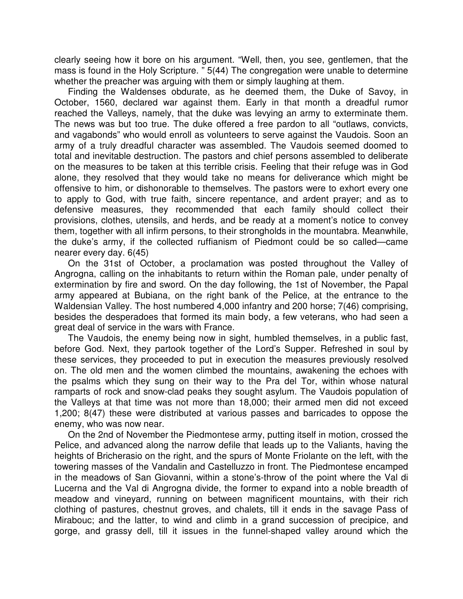clearly seeing how it bore on his argument. "Well, then, you see, gentlemen, that the mass is found in the Holy Scripture. " 5(44) The congregation were unable to determine whether the preacher was arguing with them or simply laughing at them.

Finding the Waldenses obdurate, as he deemed them, the Duke of Savoy, in October, 1560, declared war against them. Early in that month a dreadful rumor reached the Valleys, namely, that the duke was levying an army to exterminate them. The news was but too true. The duke offered a free pardon to all "outlaws, convicts, and vagabonds" who would enroll as volunteers to serve against the Vaudois. Soon an army of a truly dreadful character was assembled. The Vaudois seemed doomed to total and inevitable destruction. The pastors and chief persons assembled to deliberate on the measures to be taken at this terrible crisis. Feeling that their refuge was in God alone, they resolved that they would take no means for deliverance which might be offensive to him, or dishonorable to themselves. The pastors were to exhort every one to apply to God, with true faith, sincere repentance, and ardent prayer; and as to defensive measures, they recommended that each family should collect their provisions, clothes, utensils, and herds, and be ready at a moment's notice to convey them, together with all infirm persons, to their strongholds in the mountabra. Meanwhile, the duke's army, if the collected ruffianism of Piedmont could be so called—came nearer every day. 6(45)

On the 31st of October, a proclamation was posted throughout the Valley of Angrogna, calling on the inhabitants to return within the Roman pale, under penalty of extermination by fire and sword. On the day following, the 1st of November, the Papal army appeared at Bubiana, on the right bank of the Pelice, at the entrance to the Waldensian Valley. The host numbered 4,000 infantry and 200 horse; 7(46) comprising, besides the desperadoes that formed its main body, a few veterans, who had seen a great deal of service in the wars with France.

The Vaudois, the enemy being now in sight, humbled themselves, in a public fast, before God. Next, they partook together of the Lord's Supper. Refreshed in soul by these services, they proceeded to put in execution the measures previously resolved on. The old men and the women climbed the mountains, awakening the echoes with the psalms which they sung on their way to the Pra del Tor, within whose natural ramparts of rock and snow-clad peaks they sought asylum. The Vaudois population of the Valleys at that time was not more than 18,000; their armed men did not exceed 1,200; 8(47) these were distributed at various passes and barricades to oppose the enemy, who was now near.

On the 2nd of November the Piedmontese army, putting itself in motion, crossed the Pelice, and advanced along the narrow defile that leads up to the Valiants, having the heights of Bricherasio on the right, and the spurs of Monte Friolante on the left, with the towering masses of the Vandalin and Castelluzzo in front. The Piedmontese encamped in the meadows of San Giovanni, within a stone's-throw of the point where the Val di Lucerna and the Val di Angrogna divide, the former to expand into a noble breadth of meadow and vineyard, running on between magnificent mountains, with their rich clothing of pastures, chestnut groves, and chalets, till it ends in the savage Pass of Mirabouc; and the latter, to wind and climb in a grand succession of precipice, and gorge, and grassy dell, till it issues in the funnel-shaped valley around which the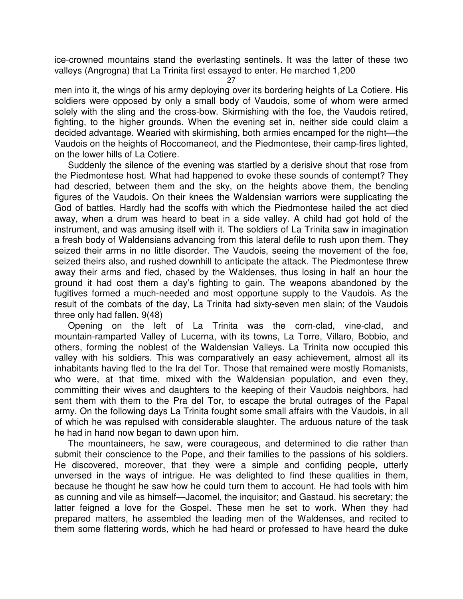ice-crowned mountains stand the everlasting sentinels. It was the latter of these two valleys (Angrogna) that La Trinita first essayed to enter. He marched 1,200

27

men into it, the wings of his army deploying over its bordering heights of La Cotiere. His soldiers were opposed by only a small body of Vaudois, some of whom were armed solely with the sling and the cross-bow. Skirmishing with the foe, the Vaudois retired, fighting, to the higher grounds. When the evening set in, neither side could claim a decided advantage. Wearied with skirmishing, both armies encamped for the night—the Vaudois on the heights of Roccomaneot, and the Piedmontese, their camp-fires lighted, on the lower hills of La Cotiere.

Suddenly the silence of the evening was startled by a derisive shout that rose from the Piedmontese host. What had happened to evoke these sounds of contempt? They had descried, between them and the sky, on the heights above them, the bending figures of the Vaudois. On their knees the Waldensian warriors were supplicating the God of battles. Hardly had the scoffs with which the Piedmontese hailed the act died away, when a drum was heard to beat in a side valley. A child had got hold of the instrument, and was amusing itself with it. The soldiers of La Trinita saw in imagination a fresh body of Waldensians advancing from this lateral defile to rush upon them. They seized their arms in no little disorder. The Vaudois, seeing the movement of the foe, seized theirs also, and rushed downhill to anticipate the attack. The Piedmontese threw away their arms and fled, chased by the Waldenses, thus losing in half an hour the ground it had cost them a day's fighting to gain. The weapons abandoned by the fugitives formed a much-needed and most opportune supply to the Vaudois. As the result of the combats of the day, La Trinita had sixty-seven men slain; of the Vaudois three only had fallen. 9(48)

Opening on the left of La Trinita was the corn-clad, vine-clad, and mountain-ramparted Valley of Lucerna, with its towns, La Torre, Villaro, Bobbio, and others, forming the noblest of the Waldensian Valleys. La Trinita now occupied this valley with his soldiers. This was comparatively an easy achievement, almost all its inhabitants having fled to the Ira del Tor. Those that remained were mostly Romanists, who were, at that time, mixed with the Waldensian population, and even they, committing their wives and daughters to the keeping of their Vaudois neighbors, had sent them with them to the Pra del Tor, to escape the brutal outrages of the Papal army. On the following days La Trinita fought some small affairs with the Vaudois, in all of which he was repulsed with considerable slaughter. The arduous nature of the task he had in hand now began to dawn upon him.

The mountaineers, he saw, were courageous, and determined to die rather than submit their conscience to the Pope, and their families to the passions of his soldiers. He discovered, moreover, that they were a simple and confiding people, utterly unversed in the ways of intrigue. He was delighted to find these qualities in them, because he thought he saw how he could turn them to account. He had tools with him as cunning and vile as himself—Jacomel, the inquisitor; and Gastaud, his secretary; the latter feigned a love for the Gospel. These men he set to work. When they had prepared matters, he assembled the leading men of the Waldenses, and recited to them some flattering words, which he had heard or professed to have heard the duke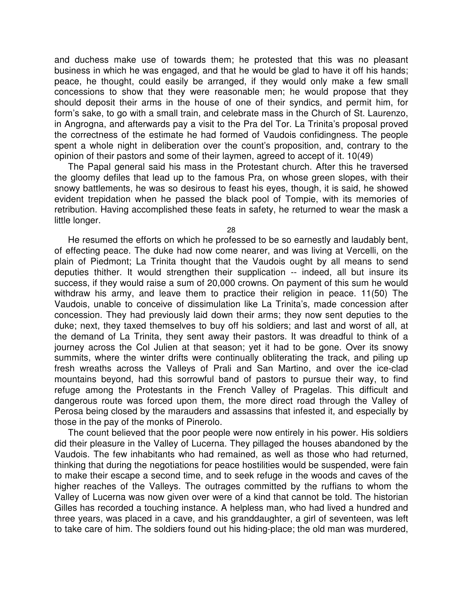and duchess make use of towards them; he protested that this was no pleasant business in which he was engaged, and that he would be glad to have it off his hands; peace, he thought, could easily be arranged, if they would only make a few small concessions to show that they were reasonable men; he would propose that they should deposit their arms in the house of one of their syndics, and permit him, for form's sake, to go with a small train, and celebrate mass in the Church of St. Laurenzo, in Angrogna, and afterwards pay a visit to the Pra del Tor. La Trinita's proposal proved the correctness of the estimate he had formed of Vaudois confidingness. The people spent a whole night in deliberation over the count's proposition, and, contrary to the opinion of their pastors and some of their laymen, agreed to accept of it. 10(49)

The Papal general said his mass in the Protestant church. After this he traversed the gloomy defiles that lead up to the famous Pra, on whose green slopes, with their snowy battlements, he was so desirous to feast his eyes, though, it is said, he showed evident trepidation when he passed the black pool of Tompie, with its memories of retribution. Having accomplished these feats in safety, he returned to wear the mask a little longer.

28

He resumed the efforts on which he professed to be so earnestly and laudably bent, of effecting peace. The duke had now come nearer, and was living at Vercelli, on the plain of Piedmont; La Trinita thought that the Vaudois ought by all means to send deputies thither. It would strengthen their supplication -- indeed, all but insure its success, if they would raise a sum of 20,000 crowns. On payment of this sum he would withdraw his army, and leave them to practice their religion in peace. 11(50) The Vaudois, unable to conceive of dissimulation like La Trinita's, made concession after concession. They had previously laid down their arms; they now sent deputies to the duke; next, they taxed themselves to buy off his soldiers; and last and worst of all, at the demand of La Trinita, they sent away their pastors. It was dreadful to think of a journey across the Col Julien at that season; yet it had to be gone. Over its snowy summits, where the winter drifts were continually obliterating the track, and piling up fresh wreaths across the Valleys of Prali and San Martino, and over the ice-clad mountains beyond, had this sorrowful band of pastors to pursue their way, to find refuge among the Protestants in the French Valley of Pragelas. This difficult and dangerous route was forced upon them, the more direct road through the Valley of Perosa being closed by the marauders and assassins that infested it, and especially by those in the pay of the monks of Pinerolo.

The count believed that the poor people were now entirely in his power. His soldiers did their pleasure in the Valley of Lucerna. They pillaged the houses abandoned by the Vaudois. The few inhabitants who had remained, as well as those who had returned, thinking that during the negotiations for peace hostilities would be suspended, were fain to make their escape a second time, and to seek refuge in the woods and caves of the higher reaches of the Valleys. The outrages committed by the ruffians to whom the Valley of Lucerna was now given over were of a kind that cannot be told. The historian Gilles has recorded a touching instance. A helpless man, who had lived a hundred and three years, was placed in a cave, and his granddaughter, a girl of seventeen, was left to take care of him. The soldiers found out his hiding-place; the old man was murdered,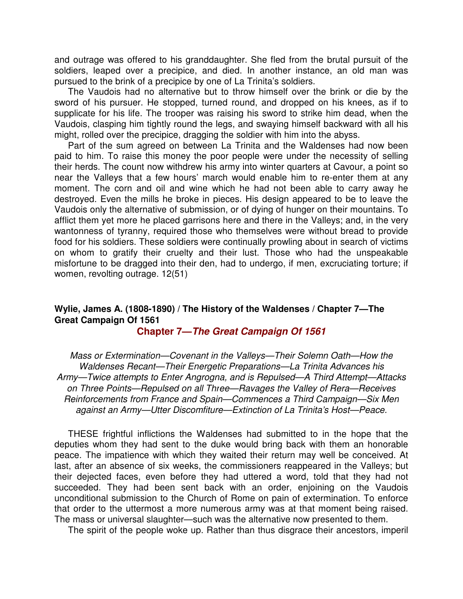and outrage was offered to his granddaughter. She fled from the brutal pursuit of the soldiers, leaped over a precipice, and died. In another instance, an old man was pursued to the brink of a precipice by one of La Trinita's soldiers.

The Vaudois had no alternative but to throw himself over the brink or die by the sword of his pursuer. He stopped, turned round, and dropped on his knees, as if to supplicate for his life. The trooper was raising his sword to strike him dead, when the Vaudois, clasping him tightly round the legs, and swaying himself backward with all his might, rolled over the precipice, dragging the soldier with him into the abyss.

Part of the sum agreed on between La Trinita and the Waldenses had now been paid to him. To raise this money the poor people were under the necessity of selling their herds. The count now withdrew his army into winter quarters at Cavour, a point so near the Valleys that a few hours' march would enable him to re-enter them at any moment. The corn and oil and wine which he had not been able to carry away he destroyed. Even the mills he broke in pieces. His design appeared to be to leave the Vaudois only the alternative of submission, or of dying of hunger on their mountains. To afflict them yet more he placed garrisons here and there in the Valleys; and, in the very wantonness of tyranny, required those who themselves were without bread to provide food for his soldiers. These soldiers were continually prowling about in search of victims on whom to gratify their cruelty and their lust. Those who had the unspeakable misfortune to be dragged into their den, had to undergo, if men, excruciating torture; if women, revolting outrage. 12(51)

## **Wylie, James A. (1808-1890) / The History of the Waldenses / Chapter 7—The Great Campaign Of 1561**

**Chapter 7—The Great Campaign Of 1561**

Mass or Extermination—Covenant in the Valleys—Their Solemn Oath—How the Waldenses Recant—Their Energetic Preparations—La Trinita Advances his Army—Twice attempts to Enter Angrogna, and is Repulsed—A Third Attempt—Attacks on Three Points—Repulsed on all Three—Ravages the Valley of Rera—Receives Reinforcements from France and Spain—Commences a Third Campaign—Six Men against an Army—Utter Discomfiture—Extinction of La Trinita's Host—Peace.

THESE frightful inflictions the Waldenses had submitted to in the hope that the deputies whom they had sent to the duke would bring back with them an honorable peace. The impatience with which they waited their return may well be conceived. At last, after an absence of six weeks, the commissioners reappeared in the Valleys; but their dejected faces, even before they had uttered a word, told that they had not succeeded. They had been sent back with an order, enjoining on the Vaudois unconditional submission to the Church of Rome on pain of extermination. To enforce that order to the uttermost a more numerous army was at that moment being raised. The mass or universal slaughter—such was the alternative now presented to them.

The spirit of the people woke up. Rather than thus disgrace their ancestors, imperil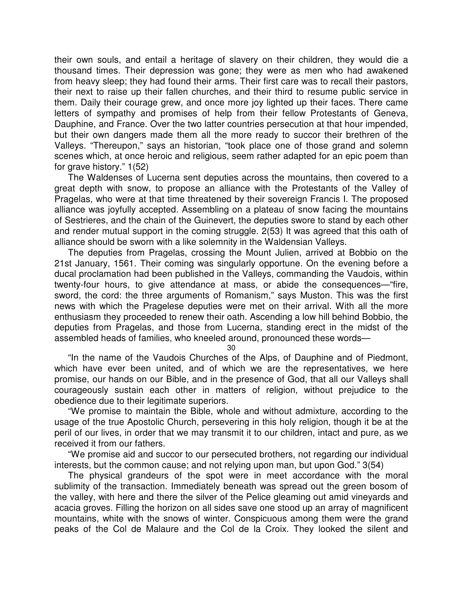their own souls, and entail a heritage of slavery on their children, they would die a thousand times. Their depression was gone; they were as men who had awakened from heavy sleep; they had found their arms. Their first care was to recall their pastors, their next to raise up their fallen churches, and their third to resume public service in them. Daily their courage grew, and once more joy lighted up their faces. There came letters of sympathy and promises of help from their fellow Protestants of Geneva, Dauphine, and France. Over the two latter countries persecution at that hour impended, but their own dangers made them all the more ready to succor their brethren of the Valleys. "Thereupon," says an historian, "took place one of those grand and solemn scenes which, at once heroic and religious, seem rather adapted for an epic poem than for grave history." 1(52)

The Waldenses of Lucerna sent deputies across the mountains, then covered to a great depth with snow, to propose an alliance with the Protestants of the Valley of Pragelas, who were at that time threatened by their sovereign Francis I. The proposed alliance was joyfully accepted. Assembling on a plateau of snow facing the mountains of Sestrieres, and the chain of the Guinevert, the deputies swore to stand by each other and render mutual support in the coming struggle. 2(53) It was agreed that this oath of alliance should be sworn with a like solemnity in the Waldensian Valleys.

The deputies from Pragelas, crossing the Mount Julien, arrived at Bobbio on the 21st January, 1561. Their coming was singularly opportune. On the evening before a ducal proclamation had been published in the Valleys, commanding the Vaudois, within twenty-four hours, to give attendance at mass, or abide the consequences—"fire, sword, the cord: the three arguments of Romanism," says Muston. This was the first news with which the Pragelese deputies were met on their arrival. With all the more enthusiasm they proceeded to renew their oath. Ascending a low hill behind Bobbio, the deputies from Pragelas, and those from Lucerna, standing erect in the midst of the assembled heads of families, who kneeled around, pronounced these words—

30

"In the name of the Vaudois Churches of the Alps, of Dauphine and of Piedmont, which have ever been united, and of which we are the representatives, we here promise, our hands on our Bible, and in the presence of God, that all our Valleys shall courageously sustain each other in matters of religion, without prejudice to the obedience due to their legitimate superiors.

"We promise to maintain the Bible, whole and without admixture, according to the usage of the true Apostolic Church, persevering in this holy religion, though it be at the peril of our lives, in order that we may transmit it to our children, intact and pure, as we received it from our fathers.

"We promise aid and succor to our persecuted brothers, not regarding our individual interests, but the common cause; and not relying upon man, but upon God." 3(54)

The physical grandeurs of the spot were in meet accordance with the moral sublimity of the transaction. Immediately beneath was spread out the green bosom of the valley, with here and there the silver of the Pelice gleaming out amid vineyards and acacia groves. Filling the horizon on all sides save one stood up an array of magnificent mountains, white with the snows of winter. Conspicuous among them were the grand peaks of the Col de Malaure and the Col de la Croix. They looked the silent and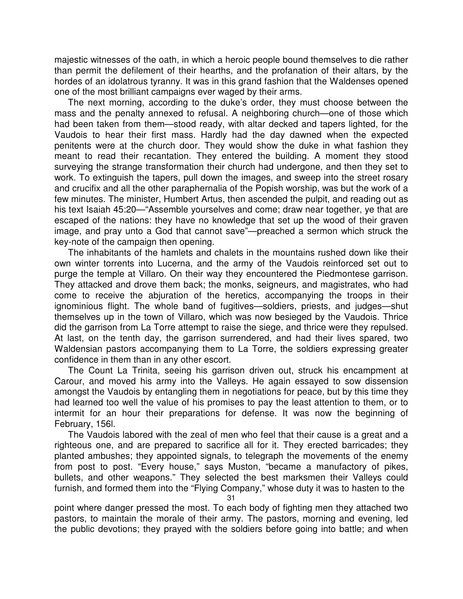majestic witnesses of the oath, in which a heroic people bound themselves to die rather than permit the defilement of their hearths, and the profanation of their altars, by the hordes of an idolatrous tyranny. It was in this grand fashion that the Waldenses opened one of the most brilliant campaigns ever waged by their arms.

The next morning, according to the duke's order, they must choose between the mass and the penalty annexed to refusal. A neighboring church—one of those which had been taken from them—stood ready, with altar decked and tapers lighted, for the Vaudois to hear their first mass. Hardly had the day dawned when the expected penitents were at the church door. They would show the duke in what fashion they meant to read their recantation. They entered the building. A moment they stood surveying the strange transformation their church had undergone, and then they set to work. To extinguish the tapers, pull down the images, and sweep into the street rosary and crucifix and all the other paraphernalia of the Popish worship, was but the work of a few minutes. The minister, Humbert Artus, then ascended the pulpit, and reading out as his text Isaiah 45:20—"Assemble yourselves and come; draw near together, ye that are escaped of the nations: they have no knowledge that set up the wood of their graven image, and pray unto a God that cannot save"—preached a sermon which struck the key-note of the campaign then opening.

The inhabitants of the hamlets and chalets in the mountains rushed down like their own winter torrents into Lucerna, and the army of the Vaudois reinforced set out to purge the temple at Villaro. On their way they encountered the Piedmontese garrison. They attacked and drove them back; the monks, seigneurs, and magistrates, who had come to receive the abjuration of the heretics, accompanying the troops in their ignominious flight. The whole band of fugitives—soldiers, priests, and judges—shut themselves up in the town of Villaro, which was now besieged by the Vaudois. Thrice did the garrison from La Torre attempt to raise the siege, and thrice were they repulsed. At last, on the tenth day, the garrison surrendered, and had their lives spared, two Waldensian pastors accompanying them to La Torre, the soldiers expressing greater confidence in them than in any other escort.

The Count La Trinita, seeing his garrison driven out, struck his encampment at Carour, and moved his army into the Valleys. He again essayed to sow dissension amongst the Vaudois by entangling them in negotiations for peace, but by this time they had learned too well the value of his promises to pay the least attention to them, or to intermit for an hour their preparations for defense. It was now the beginning of February, 156l.

The Vaudois labored with the zeal of men who feel that their cause is a great and a righteous one, and are prepared to sacrifice all for it. They erected barricades; they planted ambushes; they appointed signals, to telegraph the movements of the enemy from post to post. "Every house," says Muston, "became a manufactory of pikes, bullets, and other weapons." They selected the best marksmen their Valleys could furnish, and formed them into the "Flying Company," whose duty it was to hasten to the

31

point where danger pressed the most. To each body of fighting men they attached two pastors, to maintain the morale of their army. The pastors, morning and evening, led the public devotions; they prayed with the soldiers before going into battle; and when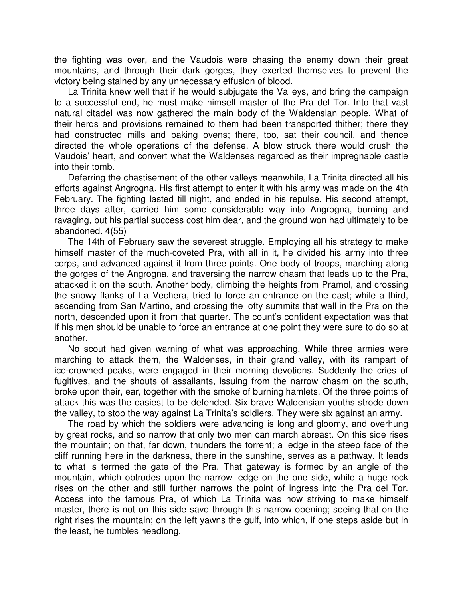the fighting was over, and the Vaudois were chasing the enemy down their great mountains, and through their dark gorges, they exerted themselves to prevent the victory being stained by any unnecessary effusion of blood.

La Trinita knew well that if he would subjugate the Valleys, and bring the campaign to a successful end, he must make himself master of the Pra del Tor. Into that vast natural citadel was now gathered the main body of the Waldensian people. What of their herds and provisions remained to them had been transported thither; there they had constructed mills and baking ovens; there, too, sat their council, and thence directed the whole operations of the defense. A blow struck there would crush the Vaudois' heart, and convert what the Waldenses regarded as their impregnable castle into their tomb.

Deferring the chastisement of the other valleys meanwhile, La Trinita directed all his efforts against Angrogna. His first attempt to enter it with his army was made on the 4th February. The fighting lasted till night, and ended in his repulse. His second attempt, three days after, carried him some considerable way into Angrogna, burning and ravaging, but his partial success cost him dear, and the ground won had ultimately to be abandoned. 4(55)

The 14th of February saw the severest struggle. Employing all his strategy to make himself master of the much-coveted Pra, with all in it, he divided his army into three corps, and advanced against it from three points. One body of troops, marching along the gorges of the Angrogna, and traversing the narrow chasm that leads up to the Pra, attacked it on the south. Another body, climbing the heights from Pramol, and crossing the snowy flanks of La Vechera, tried to force an entrance on the east; while a third, ascending from San Martino, and crossing the lofty summits that wall in the Pra on the north, descended upon it from that quarter. The count's confident expectation was that if his men should be unable to force an entrance at one point they were sure to do so at another.

No scout had given warning of what was approaching. While three armies were marching to attack them, the Waldenses, in their grand valley, with its rampart of ice-crowned peaks, were engaged in their morning devotions. Suddenly the cries of fugitives, and the shouts of assailants, issuing from the narrow chasm on the south, broke upon their, ear, together with the smoke of burning hamlets. Of the three points of attack this was the easiest to be defended. Six brave Waldensian youths strode down the valley, to stop the way against La Trinita's soldiers. They were six against an army.

The road by which the soldiers were advancing is long and gloomy, and overhung by great rocks, and so narrow that only two men can march abreast. On this side rises the mountain; on that, far down, thunders the torrent; a ledge in the steep face of the cliff running here in the darkness, there in the sunshine, serves as a pathway. It leads to what is termed the gate of the Pra. That gateway is formed by an angle of the mountain, which obtrudes upon the narrow ledge on the one side, while a huge rock rises on the other and still further narrows the point of ingress into the Pra del Tor. Access into the famous Pra, of which La Trinita was now striving to make himself master, there is not on this side save through this narrow opening; seeing that on the right rises the mountain; on the left yawns the gulf, into which, if one steps aside but in the least, he tumbles headlong.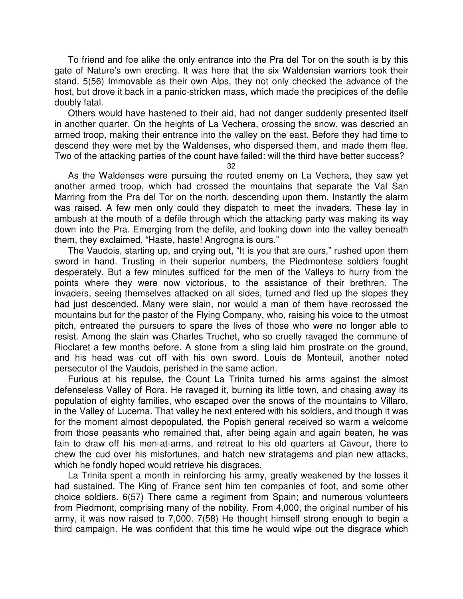To friend and foe alike the only entrance into the Pra del Tor on the south is by this gate of Nature's own erecting. It was here that the six Waldensian warriors took their stand. 5(56) Immovable as their own Alps, they not only checked the advance of the host, but drove it back in a panic-stricken mass, which made the precipices of the defile doubly fatal.

Others would have hastened to their aid, had not danger suddenly presented itself in another quarter. On the heights of La Vechera, crossing the snow, was descried an armed troop, making their entrance into the valley on the east. Before they had time to descend they were met by the Waldenses, who dispersed them, and made them flee. Two of the attacking parties of the count have failed: will the third have better success?

32

As the Waldenses were pursuing the routed enemy on La Vechera, they saw yet another armed troop, which had crossed the mountains that separate the Val San Marring from the Pra del Tor on the north, descending upon them. Instantly the alarm was raised. A few men only could they dispatch to meet the invaders. These lay in ambush at the mouth of a defile through which the attacking party was making its way down into the Pra. Emerging from the defile, and looking down into the valley beneath them, they exclaimed, "Haste, haste! Angrogna is ours."

The Vaudois, starting up, and crying out, "It is you that are ours," rushed upon them sword in hand. Trusting in their superior numbers, the Piedmontese soldiers fought desperately. But a few minutes sufficed for the men of the Valleys to hurry from the points where they were now victorious, to the assistance of their brethren. The invaders, seeing themselves attacked on all sides, turned and fled up the slopes they had just descended. Many were slain, nor would a man of them have recrossed the mountains but for the pastor of the Flying Company, who, raising his voice to the utmost pitch, entreated the pursuers to spare the lives of those who were no longer able to resist. Among the slain was Charles Truchet, who so cruelly ravaged the commune of Rioclaret a few months before. A stone from a sling laid him prostrate on the ground, and his head was cut off with his own sword. Louis de Monteuil, another noted persecutor of the Vaudois, perished in the same action.

Furious at his repulse, the Count La Trinita turned his arms against the almost defenseless Valley of Rora. He ravaged it, burning its little town, and chasing away its population of eighty families, who escaped over the snows of the mountains to Villaro, in the Valley of Lucerna. That valley he next entered with his soldiers, and though it was for the moment almost depopulated, the Popish general received so warm a welcome from those peasants who remained that, after being again and again beaten, he was fain to draw off his men-at-arms, and retreat to his old quarters at Cavour, there to chew the cud over his misfortunes, and hatch new stratagems and plan new attacks, which he fondly hoped would retrieve his disgraces.

La Trinita spent a month in reinforcing his army, greatly weakened by the losses it had sustained. The King of France sent him ten companies of foot, and some other choice soldiers. 6(57) There came a regiment from Spain; and numerous volunteers from Piedmont, comprising many of the nobility. From 4,000, the original number of his army, it was now raised to 7,000. 7(58) He thought himself strong enough to begin a third campaign. He was confident that this time he would wipe out the disgrace which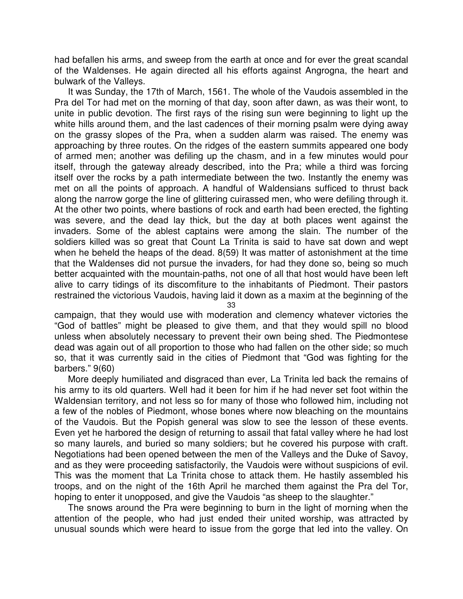had befallen his arms, and sweep from the earth at once and for ever the great scandal of the Waldenses. He again directed all his efforts against Angrogna, the heart and bulwark of the Valleys.

It was Sunday, the 17th of March, 1561. The whole of the Vaudois assembled in the Pra del Tor had met on the morning of that day, soon after dawn, as was their wont, to unite in public devotion. The first rays of the rising sun were beginning to light up the white hills around them, and the last cadences of their morning psalm were dying away on the grassy slopes of the Pra, when a sudden alarm was raised. The enemy was approaching by three routes. On the ridges of the eastern summits appeared one body of armed men; another was defiling up the chasm, and in a few minutes would pour itself, through the gateway already described, into the Pra; while a third was forcing itself over the rocks by a path intermediate between the two. Instantly the enemy was met on all the points of approach. A handful of Waldensians sufficed to thrust back along the narrow gorge the line of glittering cuirassed men, who were defiling through it. At the other two points, where bastions of rock and earth had been erected, the fighting was severe, and the dead lay thick, but the day at both places went against the invaders. Some of the ablest captains were among the slain. The number of the soldiers killed was so great that Count La Trinita is said to have sat down and wept when he beheld the heaps of the dead. 8(59) It was matter of astonishment at the time that the Waldenses did not pursue the invaders, for had they done so, being so much better acquainted with the mountain-paths, not one of all that host would have been left alive to carry tidings of its discomfiture to the inhabitants of Piedmont. Their pastors restrained the victorious Vaudois, having laid it down as a maxim at the beginning of the

33

campaign, that they would use with moderation and clemency whatever victories the "God of battles" might be pleased to give them, and that they would spill no blood unless when absolutely necessary to prevent their own being shed. The Piedmontese dead was again out of all proportion to those who had fallen on the other side; so much so, that it was currently said in the cities of Piedmont that "God was fighting for the barbers." 9(60)

More deeply humiliated and disgraced than ever, La Trinita led back the remains of his army to its old quarters. Well had it been for him if he had never set foot within the Waldensian territory, and not less so for many of those who followed him, including not a few of the nobles of Piedmont, whose bones where now bleaching on the mountains of the Vaudois. But the Popish general was slow to see the lesson of these events. Even yet he harbored the design of returning to assail that fatal valley where he had lost so many laurels, and buried so many soldiers; but he covered his purpose with craft. Negotiations had been opened between the men of the Valleys and the Duke of Savoy, and as they were proceeding satisfactorily, the Vaudois were without suspicions of evil. This was the moment that La Trinita chose to attack them. He hastily assembled his troops, and on the night of the 16th April he marched them against the Pra del Tor, hoping to enter it unopposed, and give the Vaudois "as sheep to the slaughter."

The snows around the Pra were beginning to burn in the light of morning when the attention of the people, who had just ended their united worship, was attracted by unusual sounds which were heard to issue from the gorge that led into the valley. On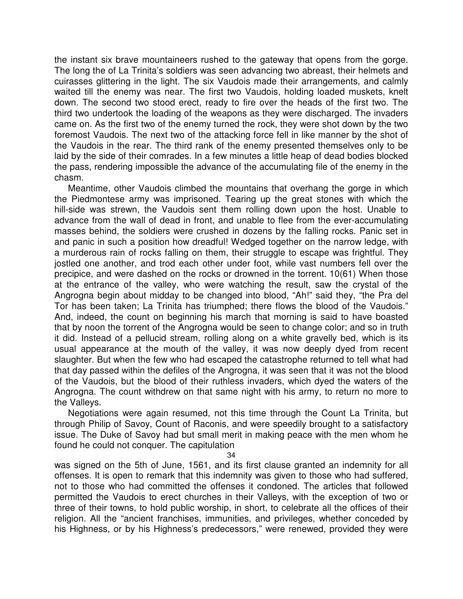the instant six brave mountaineers rushed to the gateway that opens from the gorge. The long the of La Trinita's soldiers was seen advancing two abreast, their helmets and cuirasses glittering in the light. The six Vaudois made their arrangements, and calmly waited till the enemy was near. The first two Vaudois, holding loaded muskets, knelt down. The second two stood erect, ready to fire over the heads of the first two. The third two undertook the loading of the weapons as they were discharged. The invaders came on. As the first two of the enemy turned the rock, they were shot down by the two foremost Vaudois. The next two of the attacking force fell in like manner by the shot of the Vaudois in the rear. The third rank of the enemy presented themselves only to be laid by the side of their comrades. In a few minutes a little heap of dead bodies blocked the pass, rendering impossible the advance of the accumulating file of the enemy in the chasm.

Meantime, other Vaudois climbed the mountains that overhang the gorge in which the Piedmontese army was imprisoned. Tearing up the great stones with which the hill-side was strewn, the Vaudois sent them rolling down upon the host. Unable to advance from the wall of dead in front, and unable to flee from the ever-accumulating masses behind, the soldiers were crushed in dozens by the falling rocks. Panic set in and panic in such a position how dreadful! Wedged together on the narrow ledge, with a murderous rain of rocks falling on them, their struggle to escape was frightful. They jostled one another, and trod each other under foot, while vast numbers fell over the precipice, and were dashed on the rocks or drowned in the torrent. 10(61) When those at the entrance of the valley, who were watching the result, saw the crystal of the Angrogna begin about midday to be changed into blood, "Ah!" said they, "the Pra del Tor has been taken; La Trinita has triumphed; there flows the blood of the Vaudois." And, indeed, the count on beginning his march that morning is said to have boasted that by noon the torrent of the Angrogna would be seen to change color; and so in truth it did. Instead of a pellucid stream, rolling along on a white gravelly bed, which is its usual appearance at the mouth of the valley, it was now deeply dyed from recent slaughter. But when the few who had escaped the catastrophe returned to tell what had that day passed within the defiles of the Angrogna, it was seen that it was not the blood of the Vaudois, but the blood of their ruthless invaders, which dyed the waters of the Angrogna. The count withdrew on that same night with his army, to return no more to the Valleys.

Negotiations were again resumed, not this time through the Count La Trinita, but through Philip of Savoy, Count of Raconis, and were speedily brought to a satisfactory issue. The Duke of Savoy had but small merit in making peace with the men whom he found he could not conquer. The capitulation

34

was signed on the 5th of June, 1561, and its first clause granted an indemnity for all offenses. It is open to remark that this indemnity was given to those who had suffered, not to those who had committed the offenses it condoned. The articles that followed permitted the Vaudois to erect churches in their Valleys, with the exception of two or three of their towns, to hold public worship, in short, to celebrate all the offices of their religion. All the "ancient franchises, immunities, and privileges, whether conceded by his Highness, or by his Highness's predecessors," were renewed, provided they were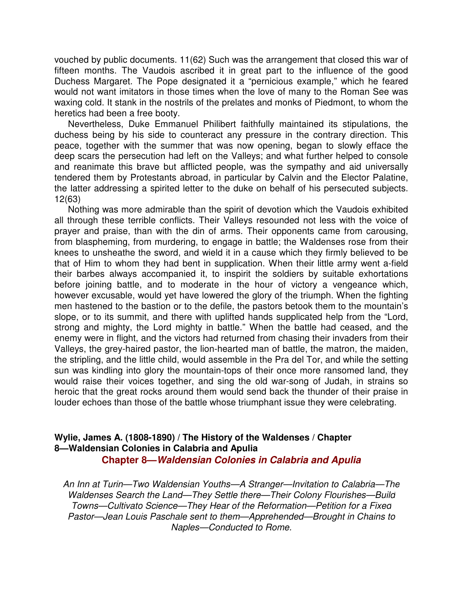vouched by public documents. 11(62) Such was the arrangement that closed this war of fifteen months. The Vaudois ascribed it in great part to the influence of the good Duchess Margaret. The Pope designated it a "pernicious example," which he feared would not want imitators in those times when the love of many to the Roman See was waxing cold. It stank in the nostrils of the prelates and monks of Piedmont, to whom the heretics had been a free booty.

Nevertheless, Duke Emmanuel Philibert faithfully maintained its stipulations, the duchess being by his side to counteract any pressure in the contrary direction. This peace, together with the summer that was now opening, began to slowly efface the deep scars the persecution had left on the Valleys; and what further helped to console and reanimate this brave but afflicted people, was the sympathy and aid universally tendered them by Protestants abroad, in particular by Calvin and the Elector Palatine, the latter addressing a spirited letter to the duke on behalf of his persecuted subjects. 12(63)

Nothing was more admirable than the spirit of devotion which the Vaudois exhibited all through these terrible conflicts. Their Valleys resounded not less with the voice of prayer and praise, than with the din of arms. Their opponents came from carousing, from blaspheming, from murdering, to engage in battle; the Waldenses rose from their knees to unsheathe the sword, and wield it in a cause which they firmly believed to be that of Him to whom they had bent in supplication. When their little army went a-field their barbes always accompanied it, to inspirit the soldiers by suitable exhortations before joining battle, and to moderate in the hour of victory a vengeance which, however excusable, would yet have lowered the glory of the triumph. When the fighting men hastened to the bastion or to the defile, the pastors betook them to the mountain's slope, or to its summit, and there with uplifted hands supplicated help from the "Lord, strong and mighty, the Lord mighty in battle." When the battle had ceased, and the enemy were in flight, and the victors had returned from chasing their invaders from their Valleys, the grey-haired pastor, the lion-hearted man of battle, the matron, the maiden, the stripling, and the little child, would assemble in the Pra del Tor, and while the setting sun was kindling into glory the mountain-tops of their once more ransomed land, they would raise their voices together, and sing the old war-song of Judah, in strains so heroic that the great rocks around them would send back the thunder of their praise in louder echoes than those of the battle whose triumphant issue they were celebrating.

### **Wylie, James A. (1808-1890) / The History of the Waldenses / Chapter 8—Waldensian Colonies in Calabria and Apulia Chapter 8—Waldensian Colonies in Calabria and Apulia**

An Inn at Turin—Two Waldensian Youths—A Stranger—Invitation to Calabria—The Waldenses Search the Land—They Settle there—Their Colony Flourishes—Build Towns—Cultivato Science—They Hear of the Reformation—Petition for a Fixed Pastor—Jean Louis Paschale sent to them—Apprehended—Brought in Chains to Naples—Conducted to Rome.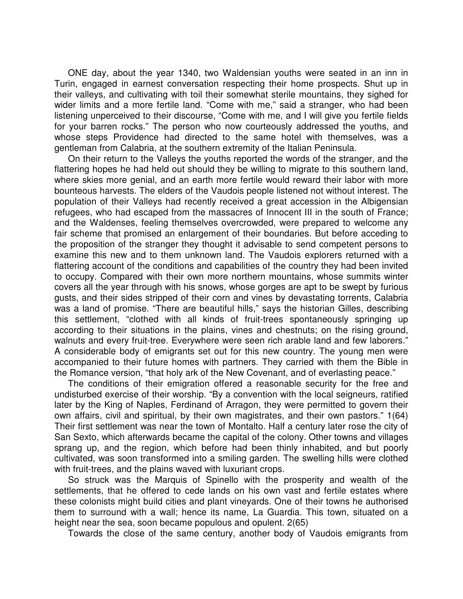ONE day, about the year 1340, two Waldensian youths were seated in an inn in Turin, engaged in earnest conversation respecting their home prospects. Shut up in their valleys, and cultivating with toil their somewhat sterile mountains, they sighed for wider limits and a more fertile land. "Come with me," said a stranger, who had been listening unperceived to their discourse, "Come with me, and I will give you fertile fields for your barren rocks." The person who now courteously addressed the youths, and whose steps Providence had directed to the same hotel with themselves, was a gentleman from Calabria, at the southern extremity of the Italian Peninsula.

On their return to the Valleys the youths reported the words of the stranger, and the flattering hopes he had held out should they be willing to migrate to this southern land, where skies more genial, and an earth more fertile would reward their labor with more bounteous harvests. The elders of the Vaudois people listened not without interest. The population of their Valleys had recently received a great accession in the Albigensian refugees, who had escaped from the massacres of Innocent III in the south of France; and the Waldenses, feeling themselves overcrowded, were prepared to welcome any fair scheme that promised an enlargement of their boundaries. But before acceding to the proposition of the stranger they thought it advisable to send competent persons to examine this new and to them unknown land. The Vaudois explorers returned with a flattering account of the conditions and capabilities of the country they had been invited to occupy. Compared with their own more northern mountains, whose summits winter covers all the year through with his snows, whose gorges are apt to be swept by furious gusts, and their sides stripped of their corn and vines by devastating torrents, Calabria was a land of promise. "There are beautiful hills," says the historian Gilles, describing this settlement, "clothed with all kinds of fruit-trees spontaneously springing up according to their situations in the plains, vines and chestnuts; on the rising ground, walnuts and every fruit-tree. Everywhere were seen rich arable land and few laborers." A considerable body of emigrants set out for this new country. The young men were accompanied to their future homes with partners. They carried with them the Bible in the Romance version, "that holy ark of the New Covenant, and of everlasting peace."

The conditions of their emigration offered a reasonable security for the free and undisturbed exercise of their worship. "By a convention with the local seigneurs, ratified later by the King of Naples, Ferdinand of Arragon, they were permitted to govern their own affairs, civil and spiritual, by their own magistrates, and their own pastors." 1(64) Their first settlement was near the town of Montalto. Half a century later rose the city of San Sexto, which afterwards became the capital of the colony. Other towns and villages sprang up, and the region, which before had been thinly inhabited, and but poorly cultivated, was soon transformed into a smiling garden. The swelling hills were clothed with fruit-trees, and the plains waved with luxuriant crops.

So struck was the Marquis of Spinello with the prosperity and wealth of the settlements, that he offered to cede lands on his own vast and fertile estates where these colonists might build cities and plant vineyards. One of their towns he authorised them to surround with a wall; hence its name, La Guardia. This town, situated on a height near the sea, soon became populous and opulent. 2(65)

Towards the close of the same century, another body of Vaudois emigrants from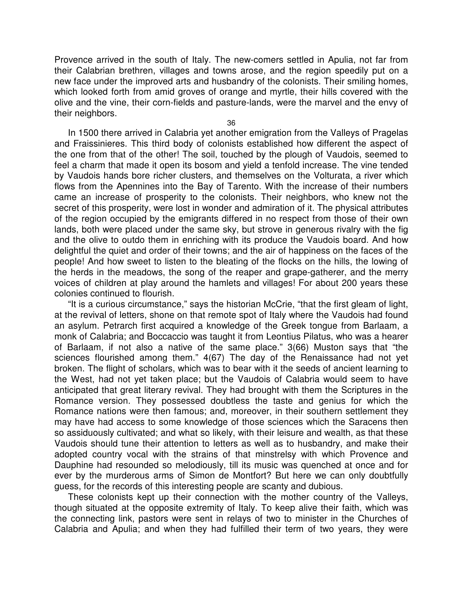Provence arrived in the south of Italy. The new-comers settled in Apulia, not far from their Calabrian brethren, villages and towns arose, and the region speedily put on a new face under the improved arts and husbandry of the colonists. Their smiling homes, which looked forth from amid groves of orange and myrtle, their hills covered with the olive and the vine, their corn-fields and pasture-lands, were the marvel and the envy of their neighbors.

36

In 1500 there arrived in Calabria yet another emigration from the Valleys of Pragelas and Fraissinieres. This third body of colonists established how different the aspect of the one from that of the other! The soil, touched by the plough of Vaudois, seemed to feel a charm that made it open its bosom and yield a tenfold increase. The vine tended by Vaudois hands bore richer clusters, and themselves on the Volturata, a river which flows from the Apennines into the Bay of Tarento. With the increase of their numbers came an increase of prosperity to the colonists. Their neighbors, who knew not the secret of this prosperity, were lost in wonder and admiration of it. The physical attributes of the region occupied by the emigrants differed in no respect from those of their own lands, both were placed under the same sky, but strove in generous rivalry with the fig and the olive to outdo them in enriching with its produce the Vaudois board. And how delightful the quiet and order of their towns; and the air of happiness on the faces of the people! And how sweet to listen to the bleating of the flocks on the hills, the lowing of the herds in the meadows, the song of the reaper and grape-gatherer, and the merry voices of children at play around the hamlets and villages! For about 200 years these colonies continued to flourish.

"It is a curious circumstance," says the historian McCrie, "that the first gleam of light, at the revival of letters, shone on that remote spot of Italy where the Vaudois had found an asylum. Petrarch first acquired a knowledge of the Greek tongue from Barlaam, a monk of Calabria; and Boccaccio was taught it from Leontius Pilatus, who was a hearer of Barlaam, if not also a native of the same place." 3(66) Muston says that "the sciences flourished among them." 4(67) The day of the Renaissance had not yet broken. The flight of scholars, which was to bear with it the seeds of ancient learning to the West, had not yet taken place; but the Vaudois of Calabria would seem to have anticipated that great literary revival. They had brought with them the Scriptures in the Romance version. They possessed doubtless the taste and genius for which the Romance nations were then famous; and, moreover, in their southern settlement they may have had access to some knowledge of those sciences which the Saracens then so assiduously cultivated; and what so likely, with their leisure and wealth, as that these Vaudois should tune their attention to letters as well as to husbandry, and make their adopted country vocal with the strains of that minstrelsy with which Provence and Dauphine had resounded so melodiously, till its music was quenched at once and for ever by the murderous arms of Simon de Montfort? But here we can only doubtfully guess, for the records of this interesting people are scanty and dubious.

These colonists kept up their connection with the mother country of the Valleys, though situated at the opposite extremity of Italy. To keep alive their faith, which was the connecting link, pastors were sent in relays of two to minister in the Churches of Calabria and Apulia; and when they had fulfilled their term of two years, they were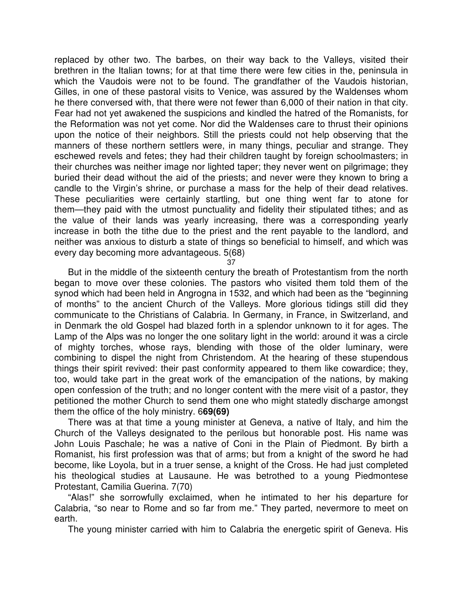replaced by other two. The barbes, on their way back to the Valleys, visited their brethren in the Italian towns; for at that time there were few cities in the, peninsula in which the Vaudois were not to be found. The grandfather of the Vaudois historian, Gilles, in one of these pastoral visits to Venice, was assured by the Waldenses whom he there conversed with, that there were not fewer than 6,000 of their nation in that city. Fear had not yet awakened the suspicions and kindled the hatred of the Romanists, for the Reformation was not yet come. Nor did the Waldenses care to thrust their opinions upon the notice of their neighbors. Still the priests could not help observing that the manners of these northern settlers were, in many things, peculiar and strange. They eschewed revels and fetes; they had their children taught by foreign schoolmasters; in their churches was neither image nor lighted taper; they never went on pilgrimage; they buried their dead without the aid of the priests; and never were they known to bring a candle to the Virgin's shrine, or purchase a mass for the help of their dead relatives. These peculiarities were certainly startling, but one thing went far to atone for them—they paid with the utmost punctuality and fidelity their stipulated tithes; and as the value of their lands was yearly increasing, there was a corresponding yearly increase in both the tithe due to the priest and the rent payable to the landlord, and neither was anxious to disturb a state of things so beneficial to himself, and which was every day becoming more advantageous. 5(68)

37

But in the middle of the sixteenth century the breath of Protestantism from the north began to move over these colonies. The pastors who visited them told them of the synod which had been held in Angrogna in 1532, and which had been as the "beginning of months" to the ancient Church of the Valleys. More glorious tidings still did they communicate to the Christians of Calabria. In Germany, in France, in Switzerland, and in Denmark the old Gospel had blazed forth in a splendor unknown to it for ages. The Lamp of the Alps was no longer the one solitary light in the world: around it was a circle of mighty torches, whose rays, blending with those of the older luminary, were combining to dispel the night from Christendom. At the hearing of these stupendous things their spirit revived: their past conformity appeared to them like cowardice; they, too, would take part in the great work of the emancipation of the nations, by making open confession of the truth; and no longer content with the mere visit of a pastor, they petitioned the mother Church to send them one who might statedly discharge amongst them the office of the holy ministry. 6**69(69)**

There was at that time a young minister at Geneva, a native of Italy, and him the Church of the Valleys designated to the perilous but honorable post. His name was John Louis Paschale; he was a native of Coni in the Plain of Piedmont. By birth a Romanist, his first profession was that of arms; but from a knight of the sword he had become, like Loyola, but in a truer sense, a knight of the Cross. He had just completed his theological studies at Lausaune. He was betrothed to a young Piedmontese Protestant, Camilia Guerina. 7(70)

"Alas!" she sorrowfully exclaimed, when he intimated to her his departure for Calabria, "so near to Rome and so far from me." They parted, nevermore to meet on earth.

The young minister carried with him to Calabria the energetic spirit of Geneva. His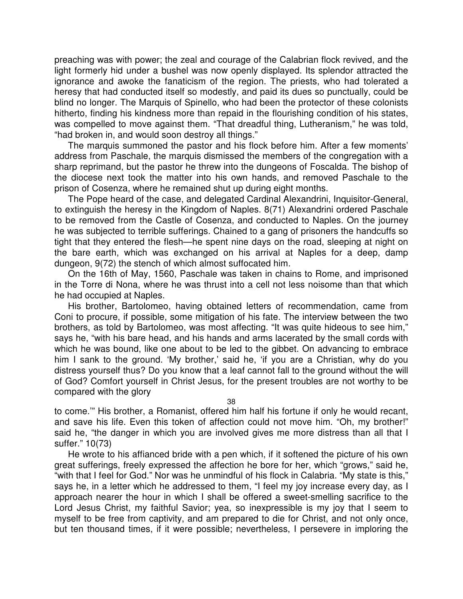preaching was with power; the zeal and courage of the Calabrian flock revived, and the light formerly hid under a bushel was now openly displayed. Its splendor attracted the ignorance and awoke the fanaticism of the region. The priests, who had tolerated a heresy that had conducted itself so modestly, and paid its dues so punctually, could be blind no longer. The Marquis of Spinello, who had been the protector of these colonists hitherto, finding his kindness more than repaid in the flourishing condition of his states, was compelled to move against them. "That dreadful thing, Lutheranism," he was told, "had broken in, and would soon destroy all things."

The marquis summoned the pastor and his flock before him. After a few moments' address from Paschale, the marquis dismissed the members of the congregation with a sharp reprimand, but the pastor he threw into the dungeons of Foscalda. The bishop of the diocese next took the matter into his own hands, and removed Paschale to the prison of Cosenza, where he remained shut up during eight months.

The Pope heard of the case, and delegated Cardinal Alexandrini, Inquisitor-General, to extinguish the heresy in the Kingdom of Naples. 8(71) Alexandrini ordered Paschale to be removed from the Castle of Cosenza, and conducted to Naples. On the journey he was subjected to terrible sufferings. Chained to a gang of prisoners the handcuffs so tight that they entered the flesh—he spent nine days on the road, sleeping at night on the bare earth, which was exchanged on his arrival at Naples for a deep, damp dungeon, 9(72) the stench of which almost suffocated him.

On the 16th of May, 1560, Paschale was taken in chains to Rome, and imprisoned in the Torre di Nona, where he was thrust into a cell not less noisome than that which he had occupied at Naples.

His brother, Bartolomeo, having obtained letters of recommendation, came from Coni to procure, if possible, some mitigation of his fate. The interview between the two brothers, as told by Bartolomeo, was most affecting. "It was quite hideous to see him," says he, "with his bare head, and his hands and arms lacerated by the small cords with which he was bound, like one about to be led to the gibbet. On advancing to embrace him I sank to the ground. 'My brother,' said he, 'if you are a Christian, why do you distress yourself thus? Do you know that a leaf cannot fall to the ground without the will of God? Comfort yourself in Christ Jesus, for the present troubles are not worthy to be compared with the glory

38

to come.'" His brother, a Romanist, offered him half his fortune if only he would recant, and save his life. Even this token of affection could not move him. "Oh, my brother!" said he, "the danger in which you are involved gives me more distress than all that I suffer." 10(73)

He wrote to his affianced bride with a pen which, if it softened the picture of his own great sufferings, freely expressed the affection he bore for her, which "grows," said he, "with that I feel for God." Nor was he unmindful of his flock in Calabria. "My state is this," says he, in a letter which he addressed to them, "I feel my joy increase every day, as I approach nearer the hour in which I shall be offered a sweet-smelling sacrifice to the Lord Jesus Christ, my faithful Savior; yea, so inexpressible is my joy that I seem to myself to be free from captivity, and am prepared to die for Christ, and not only once, but ten thousand times, if it were possible; nevertheless, I persevere in imploring the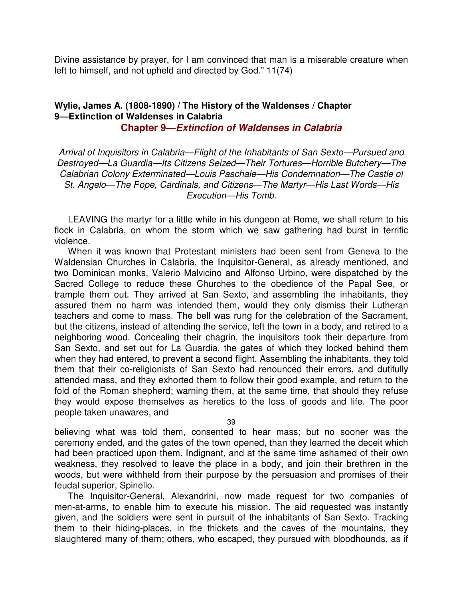Divine assistance by prayer, for I am convinced that man is a miserable creature when left to himself, and not upheld and directed by God." 11(74)

# **Wylie, James A. (1808-1890) / The History of the Waldenses / Chapter 9—Extinction of Waldenses in Calabria**

**Chapter 9—Extinction of Waldenses in Calabria**

Arrival of Inquisitors in Calabria—Flight of the Inhabitants of San Sexto—Pursued and Destroyed—La Guardia—Its Citizens Seized—Their Tortures—Horrible Butchery—The Calabrian Colony Exterminated—Louis Paschale—His Condemnation—The Castle of St. Angelo—The Pope, Cardinals, and Citizens—The Martyr—His Last Words—His Execution—His Tomb.

LEAVING the martyr for a little while in his dungeon at Rome, we shall return to his flock in Calabria, on whom the storm which we saw gathering had burst in terrific violence.

When it was known that Protestant ministers had been sent from Geneva to the Waldensian Churches in Calabria, the Inquisitor-General, as already mentioned, and two Dominican monks, Valerio Malvicino and Alfonso Urbino, were dispatched by the Sacred College to reduce these Churches to the obedience of the Papal See, or trample them out. They arrived at San Sexto, and assembling the inhabitants, they assured them no harm was intended them, would they only dismiss their Lutheran teachers and come to mass. The bell was rung for the celebration of the Sacrament, but the citizens, instead of attending the service, left the town in a body, and retired to a neighboring wood. Concealing their chagrin, the inquisitors took their departure from San Sexto, and set out for La Guardia, the gates of which they locked behind them when they had entered, to prevent a second flight. Assembling the inhabitants, they told them that their co-religionists of San Sexto had renounced their errors, and dutifully attended mass, and they exhorted them to follow their good example, and return to the fold of the Roman shepherd; warning them, at the same time, that should they refuse they would expose themselves as heretics to the loss of goods and life. The poor people taken unawares, and

39

believing what was told them, consented to hear mass; but no sooner was the ceremony ended, and the gates of the town opened, than they learned the deceit which had been practiced upon them. Indignant, and at the same time ashamed of their own weakness, they resolved to leave the place in a body, and join their brethren in the woods, but were withheld from their purpose by the persuasion and promises of their feudal superior, Spinello.

The Inquisitor-General, Alexandrini, now made request for two companies of men-at-arms, to enable him to execute his mission. The aid requested was instantly given, and the soldiers were sent in pursuit of the inhabitants of San Sexto. Tracking them to their hiding-places, in the thickets and the caves of the mountains, they slaughtered many of them; others, who escaped, they pursued with bloodhounds, as if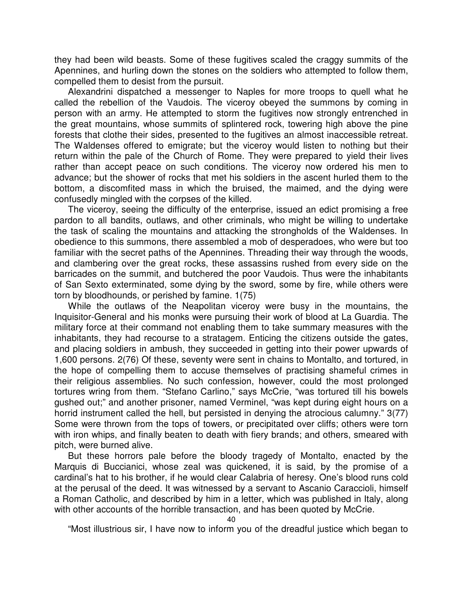they had been wild beasts. Some of these fugitives scaled the craggy summits of the Apennines, and hurling down the stones on the soldiers who attempted to follow them, compelled them to desist from the pursuit.

Alexandrini dispatched a messenger to Naples for more troops to quell what he called the rebellion of the Vaudois. The viceroy obeyed the summons by coming in person with an army. He attempted to storm the fugitives now strongly entrenched in the great mountains, whose summits of splintered rock, towering high above the pine forests that clothe their sides, presented to the fugitives an almost inaccessible retreat. The Waldenses offered to emigrate; but the viceroy would listen to nothing but their return within the pale of the Church of Rome. They were prepared to yield their lives rather than accept peace on such conditions. The viceroy now ordered his men to advance; but the shower of rocks that met his soldiers in the ascent hurled them to the bottom, a discomfited mass in which the bruised, the maimed, and the dying were confusedly mingled with the corpses of the killed.

The viceroy, seeing the difficulty of the enterprise, issued an edict promising a free pardon to all bandits, outlaws, and other criminals, who might be willing to undertake the task of scaling the mountains and attacking the strongholds of the Waldenses. In obedience to this summons, there assembled a mob of desperadoes, who were but too familiar with the secret paths of the Apennines. Threading their way through the woods, and clambering over the great rocks, these assassins rushed from every side on the barricades on the summit, and butchered the poor Vaudois. Thus were the inhabitants of San Sexto exterminated, some dying by the sword, some by fire, while others were torn by bloodhounds, or perished by famine. 1(75)

While the outlaws of the Neapolitan viceroy were busy in the mountains, the Inquisitor-General and his monks were pursuing their work of blood at La Guardia. The military force at their command not enabling them to take summary measures with the inhabitants, they had recourse to a stratagem. Enticing the citizens outside the gates, and placing soldiers in ambush, they succeeded in getting into their power upwards of 1,600 persons. 2(76) Of these, seventy were sent in chains to Montalto, and tortured, in the hope of compelling them to accuse themselves of practising shameful crimes in their religious assemblies. No such confession, however, could the most prolonged tortures wring from them. "Stefano Carlino," says McCrie, "was tortured till his bowels gushed out;" and another prisoner, named Verminel, "was kept during eight hours on a horrid instrument called the hell, but persisted in denying the atrocious calumny." 3(77) Some were thrown from the tops of towers, or precipitated over cliffs; others were torn with iron whips, and finally beaten to death with fiery brands; and others, smeared with pitch, were burned alive.

But these horrors pale before the bloody tragedy of Montalto, enacted by the Marquis di Buccianici, whose zeal was quickened, it is said, by the promise of a cardinal's hat to his brother, if he would clear Calabria of heresy. One's blood runs cold at the perusal of the deed. It was witnessed by a servant to Ascanio Caraccioli, himself a Roman Catholic, and described by him in a letter, which was published in Italy, along with other accounts of the horrible transaction, and has been quoted by McCrie.

"Most illustrious sir, I have now to inform you of the dreadful justice which began to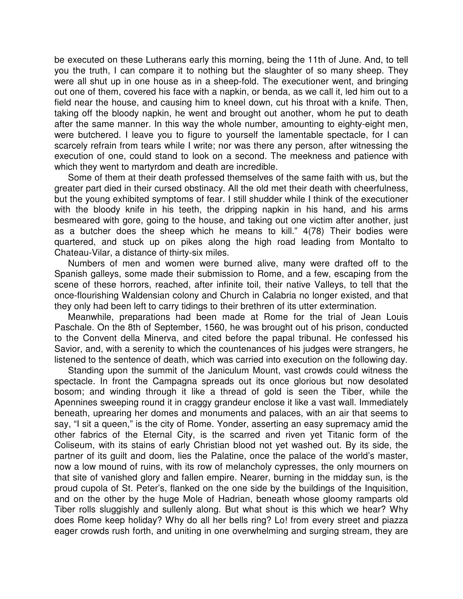be executed on these Lutherans early this morning, being the 11th of June. And, to tell you the truth, I can compare it to nothing but the slaughter of so many sheep. They were all shut up in one house as in a sheep-fold. The executioner went, and bringing out one of them, covered his face with a napkin, or benda, as we call it, led him out to a field near the house, and causing him to kneel down, cut his throat with a knife. Then, taking off the bloody napkin, he went and brought out another, whom he put to death after the same manner. In this way the whole number, amounting to eighty-eight men, were butchered. I leave you to figure to yourself the lamentable spectacle, for I can scarcely refrain from tears while I write; nor was there any person, after witnessing the execution of one, could stand to look on a second. The meekness and patience with which they went to martyrdom and death are incredible.

Some of them at their death professed themselves of the same faith with us, but the greater part died in their cursed obstinacy. All the old met their death with cheerfulness, but the young exhibited symptoms of fear. I still shudder while I think of the executioner with the bloody knife in his teeth, the dripping napkin in his hand, and his arms besmeared with gore, going to the house, and taking out one victim after another, just as a butcher does the sheep which he means to kill." 4(78) Their bodies were quartered, and stuck up on pikes along the high road leading from Montalto to Chateau-Vilar, a distance of thirty-six miles.

Numbers of men and women were burned alive, many were drafted off to the Spanish galleys, some made their submission to Rome, and a few, escaping from the scene of these horrors, reached, after infinite toil, their native Valleys, to tell that the once-flourishing Waldensian colony and Church in Calabria no longer existed, and that they only had been left to carry tidings to their brethren of its utter extermination.

Meanwhile, preparations had been made at Rome for the trial of Jean Louis Paschale. On the 8th of September, 1560, he was brought out of his prison, conducted to the Convent della Minerva, and cited before the papal tribunal. He confessed his Savior, and, with a serenity to which the countenances of his judges were strangers, he listened to the sentence of death, which was carried into execution on the following day.

Standing upon the summit of the Janiculum Mount, vast crowds could witness the spectacle. In front the Campagna spreads out its once glorious but now desolated bosom; and winding through it like a thread of gold is seen the Tiber, while the Apennines sweeping round it in craggy grandeur enclose it like a vast wall. Immediately beneath, uprearing her domes and monuments and palaces, with an air that seems to say, "I sit a queen," is the city of Rome. Yonder, asserting an easy supremacy amid the other fabrics of the Eternal City, is the scarred and riven yet Titanic form of the Coliseum, with its stains of early Christian blood not yet washed out. By its side, the partner of its guilt and doom, lies the Palatine, once the palace of the world's master, now a low mound of ruins, with its row of melancholy cypresses, the only mourners on that site of vanished glory and fallen empire. Nearer, burning in the midday sun, is the proud cupola of St. Peter's, flanked on the one side by the buildings of the Inquisition, and on the other by the huge Mole of Hadrian, beneath whose gloomy ramparts old Tiber rolls sluggishly and sullenly along. But what shout is this which we hear? Why does Rome keep holiday? Why do all her bells ring? Lo! from every street and piazza eager crowds rush forth, and uniting in one overwhelming and surging stream, they are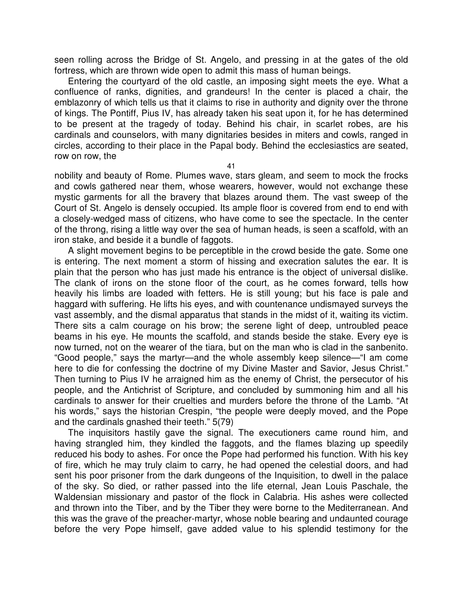seen rolling across the Bridge of St. Angelo, and pressing in at the gates of the old fortress, which are thrown wide open to admit this mass of human beings.

Entering the courtyard of the old castle, an imposing sight meets the eye. What a confluence of ranks, dignities, and grandeurs! In the center is placed a chair, the emblazonry of which tells us that it claims to rise in authority and dignity over the throne of kings. The Pontiff, Pius IV, has already taken his seat upon it, for he has determined to be present at the tragedy of today. Behind his chair, in scarlet robes, are his cardinals and counselors, with many dignitaries besides in miters and cowls, ranged in circles, according to their place in the Papal body. Behind the ecclesiastics are seated, row on row, the

41

nobility and beauty of Rome. Plumes wave, stars gleam, and seem to mock the frocks and cowls gathered near them, whose wearers, however, would not exchange these mystic garments for all the bravery that blazes around them. The vast sweep of the Court of St. Angelo is densely occupied. Its ample floor is covered from end to end with a closely-wedged mass of citizens, who have come to see the spectacle. In the center of the throng, rising a little way over the sea of human heads, is seen a scaffold, with an iron stake, and beside it a bundle of faggots.

A slight movement begins to be perceptible in the crowd beside the gate. Some one is entering. The next moment a storm of hissing and execration salutes the ear. It is plain that the person who has just made his entrance is the object of universal dislike. The clank of irons on the stone floor of the court, as he comes forward, tells how heavily his limbs are loaded with fetters. He is still young; but his face is pale and haggard with suffering. He lifts his eyes, and with countenance undismayed surveys the vast assembly, and the dismal apparatus that stands in the midst of it, waiting its victim. There sits a calm courage on his brow; the serene light of deep, untroubled peace beams in his eye. He mounts the scaffold, and stands beside the stake. Every eye is now turned, not on the wearer of the tiara, but on the man who is clad in the sanbenito. "Good people," says the martyr—and the whole assembly keep silence—"I am come here to die for confessing the doctrine of my Divine Master and Savior, Jesus Christ." Then turning to Pius IV he arraigned him as the enemy of Christ, the persecutor of his people, and the Antichrist of Scripture, and concluded by summoning him and all his cardinals to answer for their cruelties and murders before the throne of the Lamb. "At his words," says the historian Crespin, "the people were deeply moved, and the Pope and the cardinals gnashed their teeth." 5(79)

The inquisitors hastily gave the signal. The executioners came round him, and having strangled him, they kindled the faggots, and the flames blazing up speedily reduced his body to ashes. For once the Pope had performed his function. With his key of fire, which he may truly claim to carry, he had opened the celestial doors, and had sent his poor prisoner from the dark dungeons of the Inquisition, to dwell in the palace of the sky. So died, or rather passed into the life eternal, Jean Louis Paschale, the Waldensian missionary and pastor of the flock in Calabria. His ashes were collected and thrown into the Tiber, and by the Tiber they were borne to the Mediterranean. And this was the grave of the preacher-martyr, whose noble bearing and undaunted courage before the very Pope himself, gave added value to his splendid testimony for the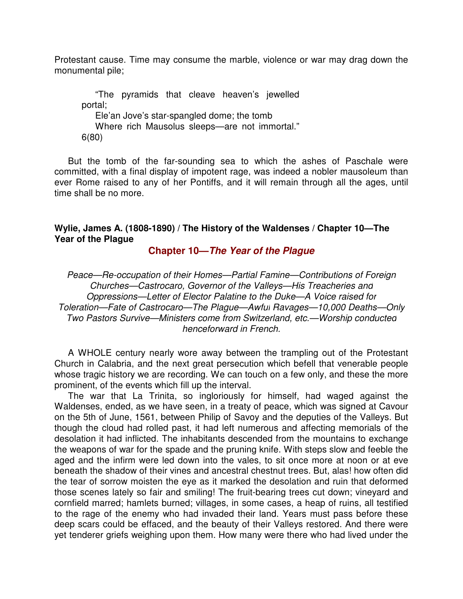Protestant cause. Time may consume the marble, violence or war may drag down the monumental pile;

"The pyramids that cleave heaven's jewelled portal; Ele'an Jove's star-spangled dome; the tomb Where rich Mausolus sleeps—are not immortal." 6(80)

But the tomb of the far-sounding sea to which the ashes of Paschale were committed, with a final display of impotent rage, was indeed a nobler mausoleum than ever Rome raised to any of her Pontiffs, and it will remain through all the ages, until time shall be no more.

## **Wylie, James A. (1808-1890) / The History of the Waldenses / Chapter 10—The Year of the Plague**

**Chapter 10—The Year of the Plague**

Peace—Re-occupation of their Homes—Partial Famine—Contributions of Foreign Churches—Castrocaro, Governor of the Valleys—His Treacheries and Oppressions—Letter of Elector Palatine to the Duke—A Voice raised for Toleration—Fate of Castrocaro—The Plague—Awful Ravages—10,000 Deaths—Only Two Pastors Survive—Ministers come from Switzerland, etc.—Worship conducted henceforward in French.

A WHOLE century nearly wore away between the trampling out of the Protestant Church in Calabria, and the next great persecution which befell that venerable people whose tragic history we are recording. We can touch on a few only, and these the more prominent, of the events which fill up the interval.

The war that La Trinita, so ingloriously for himself, had waged against the Waldenses, ended, as we have seen, in a treaty of peace, which was signed at Cavour on the 5th of June, 1561, between Philip of Savoy and the deputies of the Valleys. But though the cloud had rolled past, it had left numerous and affecting memorials of the desolation it had inflicted. The inhabitants descended from the mountains to exchange the weapons of war for the spade and the pruning knife. With steps slow and feeble the aged and the infirm were led down into the vales, to sit once more at noon or at eve beneath the shadow of their vines and ancestral chestnut trees. But, alas! how often did the tear of sorrow moisten the eye as it marked the desolation and ruin that deformed those scenes lately so fair and smiling! The fruit-bearing trees cut down; vineyard and cornfield marred; hamlets burned; villages, in some cases, a heap of ruins, all testified to the rage of the enemy who had invaded their land. Years must pass before these deep scars could be effaced, and the beauty of their Valleys restored. And there were yet tenderer griefs weighing upon them. How many were there who had lived under the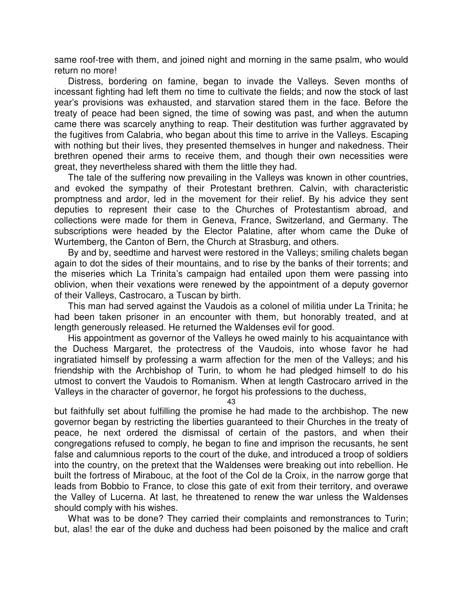same roof-tree with them, and joined night and morning in the same psalm, who would return no more!

Distress, bordering on famine, began to invade the Valleys. Seven months of incessant fighting had left them no time to cultivate the fields; and now the stock of last year's provisions was exhausted, and starvation stared them in the face. Before the treaty of peace had been signed, the time of sowing was past, and when the autumn came there was scarcely anything to reap. Their destitution was further aggravated by the fugitives from Calabria, who began about this time to arrive in the Valleys. Escaping with nothing but their lives, they presented themselves in hunger and nakedness. Their brethren opened their arms to receive them, and though their own necessities were great, they nevertheless shared with them the little they had.

The tale of the suffering now prevailing in the Valleys was known in other countries, and evoked the sympathy of their Protestant brethren. Calvin, with characteristic promptness and ardor, led in the movement for their relief. By his advice they sent deputies to represent their case to the Churches of Protestantism abroad, and collections were made for them in Geneva, France, Switzerland, and Germany. The subscriptions were headed by the Elector Palatine, after whom came the Duke of Wurtemberg, the Canton of Bern, the Church at Strasburg, and others.

By and by, seedtime and harvest were restored in the Valleys; smiling chalets began again to dot the sides of their mountains, and to rise by the banks of their torrents; and the miseries which La Trinita's campaign had entailed upon them were passing into oblivion, when their vexations were renewed by the appointment of a deputy governor of their Valleys, Castrocaro, a Tuscan by birth.

This man had served against the Vaudois as a colonel of militia under La Trinita; he had been taken prisoner in an encounter with them, but honorably treated, and at length generously released. He returned the Waldenses evil for good.

His appointment as governor of the Valleys he owed mainly to his acquaintance with the Duchess Margaret, the protectress of the Vaudois, into whose favor he had ingratiated himself by professing a warm affection for the men of the Valleys; and his friendship with the Archbishop of Turin, to whom he had pledged himself to do his utmost to convert the Vaudois to Romanism. When at length Castrocaro arrived in the Valleys in the character of governor, he forgot his professions to the duchess,

43

but faithfully set about fulfilling the promise he had made to the archbishop. The new governor began by restricting the liberties guaranteed to their Churches in the treaty of peace, he next ordered the dismissal of certain of the pastors, and when their congregations refused to comply, he began to fine and imprison the recusants, he sent false and calumnious reports to the court of the duke, and introduced a troop of soldiers into the country, on the pretext that the Waldenses were breaking out into rebellion. He built the fortress of Mirabouc, at the foot of the Col de la Croix, in the narrow gorge that leads from Bobbio to France, to close this gate of exit from their territory, and overawe the Valley of Lucerna. At last, he threatened to renew the war unless the Waldenses should comply with his wishes.

What was to be done? They carried their complaints and remonstrances to Turin; but, alas! the ear of the duke and duchess had been poisoned by the malice and craft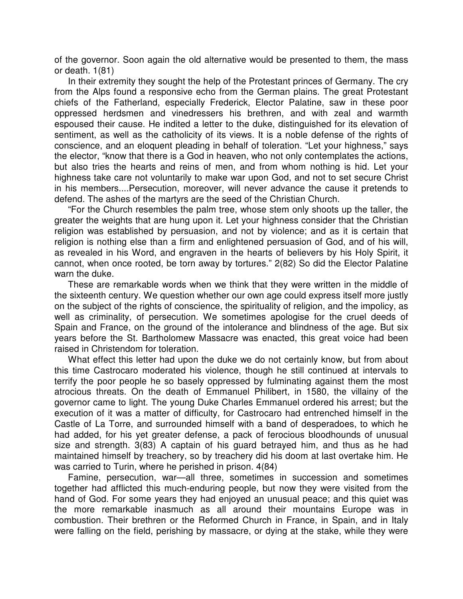of the governor. Soon again the old alternative would be presented to them, the mass or death. 1(81)

In their extremity they sought the help of the Protestant princes of Germany. The cry from the Alps found a responsive echo from the German plains. The great Protestant chiefs of the Fatherland, especially Frederick, Elector Palatine, saw in these poor oppressed herdsmen and vinedressers his brethren, and with zeal and warmth espoused their cause. He indited a letter to the duke, distinguished for its elevation of sentiment, as well as the catholicity of its views. It is a noble defense of the rights of conscience, and an eloquent pleading in behalf of toleration. "Let your highness," says the elector, "know that there is a God in heaven, who not only contemplates the actions, but also tries the hearts and reins of men, and from whom nothing is hid. Let your highness take care not voluntarily to make war upon God, and not to set secure Christ in his members....Persecution, moreover, will never advance the cause it pretends to defend. The ashes of the martyrs are the seed of the Christian Church.

"For the Church resembles the palm tree, whose stem only shoots up the taller, the greater the weights that are hung upon it. Let your highness consider that the Christian religion was established by persuasion, and not by violence; and as it is certain that religion is nothing else than a firm and enlightened persuasion of God, and of his will, as revealed in his Word, and engraven in the hearts of believers by his Holy Spirit, it cannot, when once rooted, be torn away by tortures." 2(82) So did the Elector Palatine warn the duke.

These are remarkable words when we think that they were written in the middle of the sixteenth century. We question whether our own age could express itself more justly on the subject of the rights of conscience, the spirituality of religion, and the impolicy, as well as criminality, of persecution. We sometimes apologise for the cruel deeds of Spain and France, on the ground of the intolerance and blindness of the age. But six years before the St. Bartholomew Massacre was enacted, this great voice had been raised in Christendom for toleration.

What effect this letter had upon the duke we do not certainly know, but from about this time Castrocaro moderated his violence, though he still continued at intervals to terrify the poor people he so basely oppressed by fulminating against them the most atrocious threats. On the death of Emmanuel Philibert, in 1580, the villainy of the governor came to light. The young Duke Charles Emmanuel ordered his arrest; but the execution of it was a matter of difficulty, for Castrocaro had entrenched himself in the Castle of La Torre, and surrounded himself with a band of desperadoes, to which he had added, for his yet greater defense, a pack of ferocious bloodhounds of unusual size and strength. 3(83) A captain of his guard betrayed him, and thus as he had maintained himself by treachery, so by treachery did his doom at last overtake him. He was carried to Turin, where he perished in prison. 4(84)

Famine, persecution, war—all three, sometimes in succession and sometimes together had afflicted this much-enduring people, but now they were visited from the hand of God. For some years they had enjoyed an unusual peace; and this quiet was the more remarkable inasmuch as all around their mountains Europe was in combustion. Their brethren or the Reformed Church in France, in Spain, and in Italy were falling on the field, perishing by massacre, or dying at the stake, while they were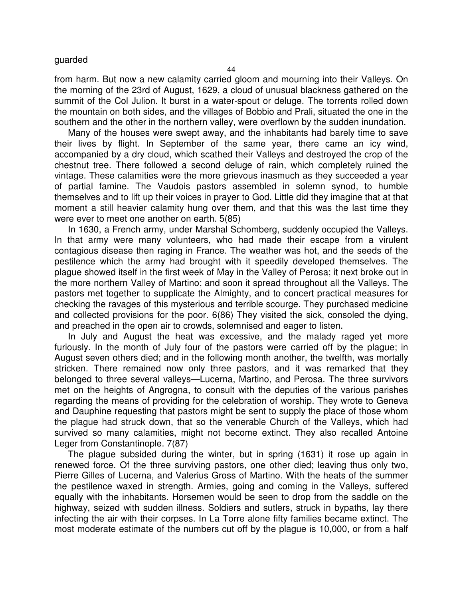#### guarded

44

from harm. But now a new calamity carried gloom and mourning into their Valleys. On the morning of the 23rd of August, 1629, a cloud of unusual blackness gathered on the summit of the Col Julion. It burst in a water-spout or deluge. The torrents rolled down the mountain on both sides, and the villages of Bobbio and Prali, situated the one in the southern and the other in the northern valley, were overflown by the sudden inundation.

Many of the houses were swept away, and the inhabitants had barely time to save their lives by flight. In September of the same year, there came an icy wind, accompanied by a dry cloud, which scathed their Valleys and destroyed the crop of the chestnut tree. There followed a second deluge of rain, which completely ruined the vintage. These calamities were the more grievous inasmuch as they succeeded a year of partial famine. The Vaudois pastors assembled in solemn synod, to humble themselves and to lift up their voices in prayer to God. Little did they imagine that at that moment a still heavier calamity hung over them, and that this was the last time they were ever to meet one another on earth. 5(85)

In 1630, a French army, under Marshal Schomberg, suddenly occupied the Valleys. In that army were many volunteers, who had made their escape from a virulent contagious disease then raging in France. The weather was hot, and the seeds of the pestilence which the army had brought with it speedily developed themselves. The plague showed itself in the first week of May in the Valley of Perosa; it next broke out in the more northern Valley of Martino; and soon it spread throughout all the Valleys. The pastors met together to supplicate the Almighty, and to concert practical measures for checking the ravages of this mysterious and terrible scourge. They purchased medicine and collected provisions for the poor. 6(86) They visited the sick, consoled the dying, and preached in the open air to crowds, solemnised and eager to listen.

In July and August the heat was excessive, and the malady raged yet more furiously. In the month of July four of the pastors were carried off by the plague; in August seven others died; and in the following month another, the twelfth, was mortally stricken. There remained now only three pastors, and it was remarked that they belonged to three several valleys—Lucerna, Martino, and Perosa. The three survivors met on the heights of Angrogna, to consult with the deputies of the various parishes regarding the means of providing for the celebration of worship. They wrote to Geneva and Dauphine requesting that pastors might be sent to supply the place of those whom the plague had struck down, that so the venerable Church of the Valleys, which had survived so many calamities, might not become extinct. They also recalled Antoine Leger from Constantinople. 7(87)

The plague subsided during the winter, but in spring (1631) it rose up again in renewed force. Of the three surviving pastors, one other died; leaving thus only two, Pierre Gilles of Lucerna, and Valerius Gross of Martino. With the heats of the summer the pestilence waxed in strength. Armies, going and coming in the Valleys, suffered equally with the inhabitants. Horsemen would be seen to drop from the saddle on the highway, seized with sudden illness. Soldiers and sutlers, struck in bypaths, lay there infecting the air with their corpses. In La Torre alone fifty families became extinct. The most moderate estimate of the numbers cut off by the plague is 10,000, or from a half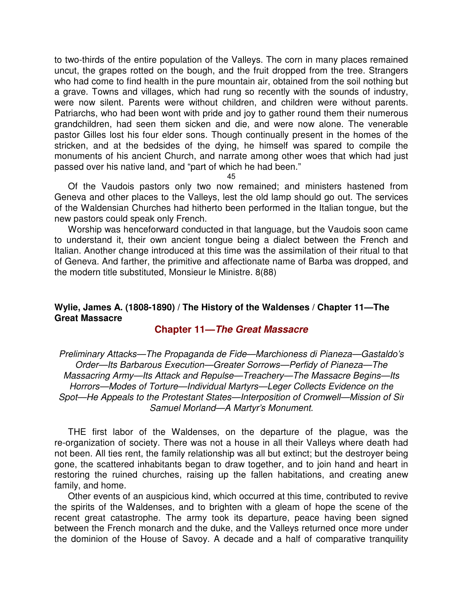to two-thirds of the entire population of the Valleys. The corn in many places remained uncut, the grapes rotted on the bough, and the fruit dropped from the tree. Strangers who had come to find health in the pure mountain air, obtained from the soil nothing but a grave. Towns and villages, which had rung so recently with the sounds of industry, were now silent. Parents were without children, and children were without parents. Patriarchs, who had been wont with pride and joy to gather round them their numerous grandchildren, had seen them sicken and die, and were now alone. The venerable pastor Gilles lost his four elder sons. Though continually present in the homes of the stricken, and at the bedsides of the dying, he himself was spared to compile the monuments of his ancient Church, and narrate among other woes that which had just passed over his native land, and "part of which he had been."

45

Of the Vaudois pastors only two now remained; and ministers hastened from Geneva and other places to the Valleys, lest the old lamp should go out. The services of the Waldensian Churches had hitherto been performed in the Italian tongue, but the new pastors could speak only French.

Worship was henceforward conducted in that language, but the Vaudois soon came to understand it, their own ancient tongue being a dialect between the French and Italian. Another change introduced at this time was the assimilation of their ritual to that of Geneva. And farther, the primitive and affectionate name of Barba was dropped, and the modern title substituted, Monsieur le Ministre. 8(88)

## **Wylie, James A. (1808-1890) / The History of the Waldenses / Chapter 11—The Great Massacre**

## **Chapter 11—The Great Massacre**

Preliminary Attacks—The Propaganda de Fide—Marchioness di Pianeza—Gastaldo's Order—Its Barbarous Execution—Greater Sorrows—Perfidy of Pianeza—The Massacring Army—Its Attack and Repulse—Treachery—The Massacre Begins—Its Horrors—Modes of Torture—Individual Martyrs—Leger Collects Evidence on the Spot—He Appeals to the Protestant States—Interposition of Cromwell—Mission of Sir Samuel Morland—A Martyr's Monument.

THE first labor of the Waldenses, on the departure of the plague, was the re-organization of society. There was not a house in all their Valleys where death had not been. All ties rent, the family relationship was all but extinct; but the destroyer being gone, the scattered inhabitants began to draw together, and to join hand and heart in restoring the ruined churches, raising up the fallen habitations, and creating anew family, and home.

Other events of an auspicious kind, which occurred at this time, contributed to revive the spirits of the Waldenses, and to brighten with a gleam of hope the scene of the recent great catastrophe. The army took its departure, peace having been signed between the French monarch and the duke, and the Valleys returned once more under the dominion of the House of Savoy. A decade and a half of comparative tranquility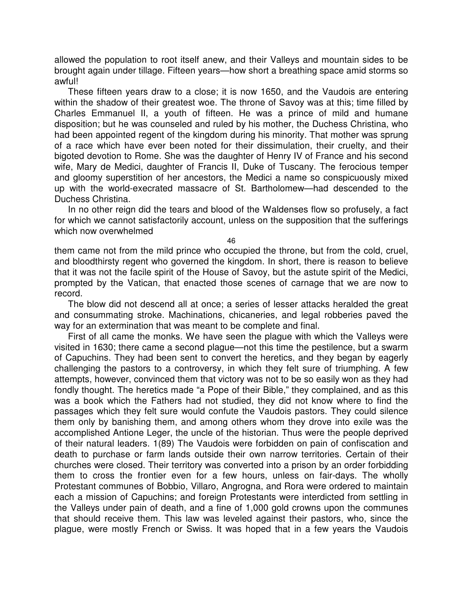allowed the population to root itself anew, and their Valleys and mountain sides to be brought again under tillage. Fifteen years—how short a breathing space amid storms so awful!

These fifteen years draw to a close; it is now 1650, and the Vaudois are entering within the shadow of their greatest woe. The throne of Savoy was at this; time filled by Charles Emmanuel II, a youth of fifteen. He was a prince of mild and humane disposition; but he was counseled and ruled by his mother, the Duchess Christina, who had been appointed regent of the kingdom during his minority. That mother was sprung of a race which have ever been noted for their dissimulation, their cruelty, and their bigoted devotion to Rome. She was the daughter of Henry IV of France and his second wife, Mary de Medici, daughter of Francis II, Duke of Tuscany. The ferocious temper and gloomy superstition of her ancestors, the Medici a name so conspicuously mixed up with the world-execrated massacre of St. Bartholomew—had descended to the Duchess Christina.

In no other reign did the tears and blood of the Waldenses flow so profusely, a fact for which we cannot satisfactorily account, unless on the supposition that the sufferings which now overwhelmed

46

them came not from the mild prince who occupied the throne, but from the cold, cruel, and bloodthirsty regent who governed the kingdom. In short, there is reason to believe that it was not the facile spirit of the House of Savoy, but the astute spirit of the Medici, prompted by the Vatican, that enacted those scenes of carnage that we are now to record.

The blow did not descend all at once; a series of lesser attacks heralded the great and consummating stroke. Machinations, chicaneries, and legal robberies paved the way for an extermination that was meant to be complete and final.

First of all came the monks. We have seen the plague with which the Valleys were visited in 1630; there came a second plague—not this time the pestilence, but a swarm of Capuchins. They had been sent to convert the heretics, and they began by eagerly challenging the pastors to a controversy, in which they felt sure of triumphing. A few attempts, however, convinced them that victory was not to be so easily won as they had fondly thought. The heretics made "a Pope of their Bible," they complained, and as this was a book which the Fathers had not studied, they did not know where to find the passages which they felt sure would confute the Vaudois pastors. They could silence them only by banishing them, and among others whom they drove into exile was the accomplished Antione Leger, the uncle of the historian. Thus were the people deprived of their natural leaders. 1(89) The Vaudois were forbidden on pain of confiscation and death to purchase or farm lands outside their own narrow territories. Certain of their churches were closed. Their territory was converted into a prison by an order forbidding them to cross the frontier even for a few hours, unless on fair-days. The wholly Protestant communes of Bobbio, Villaro, Angrogna, and Rora were ordered to maintain each a mission of Capuchins; and foreign Protestants were interdicted from settling in the Valleys under pain of death, and a fine of 1,000 gold crowns upon the communes that should receive them. This law was leveled against their pastors, who, since the plague, were mostly French or Swiss. It was hoped that in a few years the Vaudois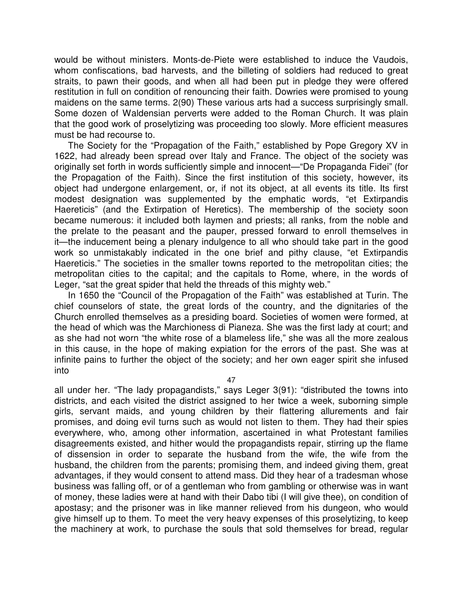would be without ministers. Monts-de-Piete were established to induce the Vaudois, whom confiscations, bad harvests, and the billeting of soldiers had reduced to great straits, to pawn their goods, and when all had been put in pledge they were offered restitution in full on condition of renouncing their faith. Dowries were promised to young maidens on the same terms. 2(90) These various arts had a success surprisingly small. Some dozen of Waldensian perverts were added to the Roman Church. It was plain that the good work of proselytizing was proceeding too slowly. More efficient measures must be had recourse to.

The Society for the "Propagation of the Faith," established by Pope Gregory XV in 1622, had already been spread over Italy and France. The object of the society was originally set forth in words sufficiently simple and innocent—"De Propaganda Fidei" (for the Propagation of the Faith). Since the first institution of this society, however, its object had undergone enlargement, or, if not its object, at all events its title. Its first modest designation was supplemented by the emphatic words, "et Extirpandis Haereticis" (and the Extirpation of Heretics). The membership of the society soon became numerous: it included both laymen and priests; all ranks, from the noble and the prelate to the peasant and the pauper, pressed forward to enroll themselves in it—the inducement being a plenary indulgence to all who should take part in the good work so unmistakably indicated in the one brief and pithy clause, "et Extirpandis Haereticis." The societies in the smaller towns reported to the metropolitan cities; the metropolitan cities to the capital; and the capitals to Rome, where, in the words of Leger, "sat the great spider that held the threads of this mighty web."

In 1650 the "Council of the Propagation of the Faith" was established at Turin. The chief counselors of state, the great lords of the country, and the dignitaries of the Church enrolled themselves as a presiding board. Societies of women were formed, at the head of which was the Marchioness di Pianeza. She was the first lady at court; and as she had not worn "the white rose of a blameless life," she was all the more zealous in this cause, in the hope of making expiation for the errors of the past. She was at infinite pains to further the object of the society; and her own eager spirit she infused into

47

all under her. "The lady propagandists," says Leger 3(91): "distributed the towns into districts, and each visited the district assigned to her twice a week, suborning simple girls, servant maids, and young children by their flattering allurements and fair promises, and doing evil turns such as would not listen to them. They had their spies everywhere, who, among other information, ascertained in what Protestant families disagreements existed, and hither would the propagandists repair, stirring up the flame of dissension in order to separate the husband from the wife, the wife from the husband, the children from the parents; promising them, and indeed giving them, great advantages, if they would consent to attend mass. Did they hear of a tradesman whose business was falling off, or of a gentleman who from gambling or otherwise was in want of money, these ladies were at hand with their Dabo tibi (I will give thee), on condition of apostasy; and the prisoner was in like manner relieved from his dungeon, who would give himself up to them. To meet the very heavy expenses of this proselytizing, to keep the machinery at work, to purchase the souls that sold themselves for bread, regular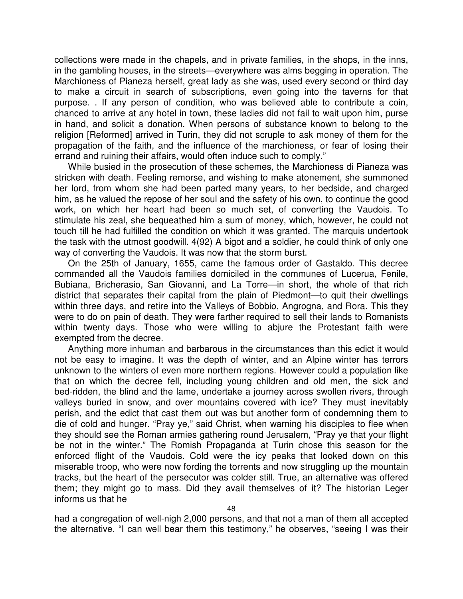collections were made in the chapels, and in private families, in the shops, in the inns, in the gambling houses, in the streets—everywhere was alms begging in operation. The Marchioness of Pianeza herself, great lady as she was, used every second or third day to make a circuit in search of subscriptions, even going into the taverns for that purpose. . If any person of condition, who was believed able to contribute a coin, chanced to arrive at any hotel in town, these ladies did not fail to wait upon him, purse in hand, and solicit a donation. When persons of substance known to belong to the religion [Reformed] arrived in Turin, they did not scruple to ask money of them for the propagation of the faith, and the influence of the marchioness, or fear of losing their errand and ruining their affairs, would often induce such to comply."

While busied in the prosecution of these schemes, the Marchioness di Pianeza was stricken with death. Feeling remorse, and wishing to make atonement, she summoned her lord, from whom she had been parted many years, to her bedside, and charged him, as he valued the repose of her soul and the safety of his own, to continue the good work, on which her heart had been so much set, of converting the Vaudois. To stimulate his zeal, she bequeathed him a sum of money, which, however, he could not touch till he had fulfilled the condition on which it was granted. The marquis undertook the task with the utmost goodwill. 4(92) A bigot and a soldier, he could think of only one way of converting the Vaudois. It was now that the storm burst.

On the 25th of January, 1655, came the famous order of Gastaldo. This decree commanded all the Vaudois families domiciled in the communes of Lucerua, Fenile, Bubiana, Bricherasio, San Giovanni, and La Torre—in short, the whole of that rich district that separates their capital from the plain of Piedmont—to quit their dwellings within three days, and retire into the Valleys of Bobbio, Angrogna, and Rora. This they were to do on pain of death. They were farther required to sell their lands to Romanists within twenty days. Those who were willing to abjure the Protestant faith were exempted from the decree.

Anything more inhuman and barbarous in the circumstances than this edict it would not be easy to imagine. It was the depth of winter, and an Alpine winter has terrors unknown to the winters of even more northern regions. However could a population like that on which the decree fell, including young children and old men, the sick and bed-ridden, the blind and the lame, undertake a journey across swollen rivers, through valleys buried in snow, and over mountains covered with ice? They must inevitably perish, and the edict that cast them out was but another form of condemning them to die of cold and hunger. "Pray ye," said Christ, when warning his disciples to flee when they should see the Roman armies gathering round Jerusalem, "Pray ye that your flight be not in the winter." The Romish Propaganda at Turin chose this season for the enforced flight of the Vaudois. Cold were the icy peaks that looked down on this miserable troop, who were now fording the torrents and now struggling up the mountain tracks, but the heart of the persecutor was colder still. True, an alternative was offered them; they might go to mass. Did they avail themselves of it? The historian Leger informs us that he

had a congregation of well-nigh 2,000 persons, and that not a man of them all accepted the alternative. "I can well bear them this testimony," he observes, "seeing I was their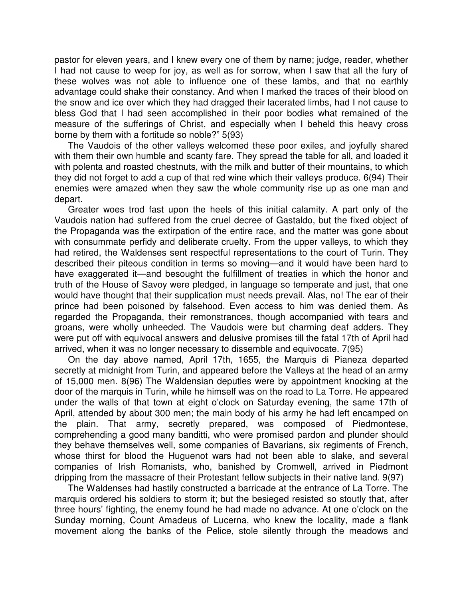pastor for eleven years, and I knew every one of them by name; judge, reader, whether I had not cause to weep for joy, as well as for sorrow, when I saw that all the fury of these wolves was not able to influence one of these lambs, and that no earthly advantage could shake their constancy. And when I marked the traces of their blood on the snow and ice over which they had dragged their lacerated limbs, had I not cause to bless God that I had seen accomplished in their poor bodies what remained of the measure of the sufferings of Christ, and especially when I beheld this heavy cross borne by them with a fortitude so noble?" 5(93)

The Vaudois of the other valleys welcomed these poor exiles, and joyfully shared with them their own humble and scanty fare. They spread the table for all, and loaded it with polenta and roasted chestnuts, with the milk and butter of their mountains, to which they did not forget to add a cup of that red wine which their valleys produce. 6(94) Their enemies were amazed when they saw the whole community rise up as one man and depart.

Greater woes trod fast upon the heels of this initial calamity. A part only of the Vaudois nation had suffered from the cruel decree of Gastaldo, but the fixed object of the Propaganda was the extirpation of the entire race, and the matter was gone about with consummate perfidy and deliberate cruelty. From the upper valleys, to which they had retired, the Waldenses sent respectful representations to the court of Turin. They described their piteous condition in terms so moving—and it would have been hard to have exaggerated it—and besought the fulfillment of treaties in which the honor and truth of the House of Savoy were pledged, in language so temperate and just, that one would have thought that their supplication must needs prevail. Alas, no! The ear of their prince had been poisoned by falsehood. Even access to him was denied them. As regarded the Propaganda, their remonstrances, though accompanied with tears and groans, were wholly unheeded. The Vaudois were but charming deaf adders. They were put off with equivocal answers and delusive promises till the fatal 17th of April had arrived, when it was no longer necessary to dissemble and equivocate. 7(95)

On the day above named, April 17th, 1655, the Marquis di Pianeza departed secretly at midnight from Turin, and appeared before the Valleys at the head of an army of 15,000 men. 8(96) The Waldensian deputies were by appointment knocking at the door of the marquis in Turin, while he himself was on the road to La Torre. He appeared under the walls of that town at eight o'clock on Saturday evening, the same 17th of April, attended by about 300 men; the main body of his army he had left encamped on the plain. That army, secretly prepared, was composed of Piedmontese, comprehending a good many banditti, who were promised pardon and plunder should they behave themselves well, some companies of Bavarians, six regiments of French, whose thirst for blood the Huguenot wars had not been able to slake, and several companies of Irish Romanists, who, banished by Cromwell, arrived in Piedmont dripping from the massacre of their Protestant fellow subjects in their native land. 9(97)

The Waldenses had hastily constructed a barricade at the entrance of La Torre. The marquis ordered his soldiers to storm it; but the besieged resisted so stoutly that, after three hours' fighting, the enemy found he had made no advance. At one o'clock on the Sunday morning, Count Amadeus of Lucerna, who knew the locality, made a flank movement along the banks of the Pelice, stole silently through the meadows and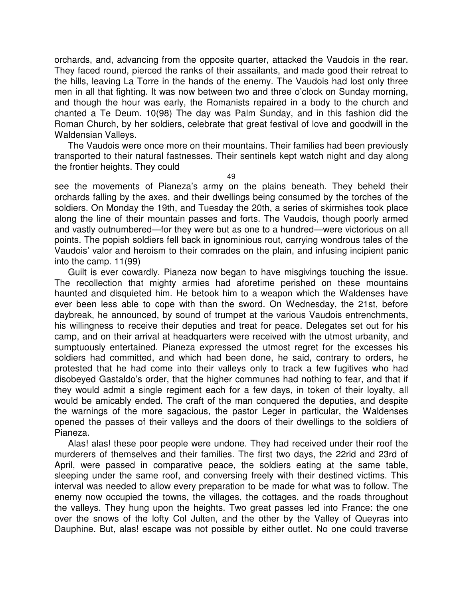orchards, and, advancing from the opposite quarter, attacked the Vaudois in the rear. They faced round, pierced the ranks of their assailants, and made good their retreat to the hills, leaving La Torre in the hands of the enemy. The Vaudois had lost only three men in all that fighting. It was now between two and three o'clock on Sunday morning, and though the hour was early, the Romanists repaired in a body to the church and chanted a Te Deum. 10(98) The day was Palm Sunday, and in this fashion did the Roman Church, by her soldiers, celebrate that great festival of love and goodwill in the Waldensian Valleys.

The Vaudois were once more on their mountains. Their families had been previously transported to their natural fastnesses. Their sentinels kept watch night and day along the frontier heights. They could

49

see the movements of Pianeza's army on the plains beneath. They beheld their orchards falling by the axes, and their dwellings being consumed by the torches of the soldiers. On Monday the 19th, and Tuesday the 20th, a series of skirmishes took place along the line of their mountain passes and forts. The Vaudois, though poorly armed and vastly outnumbered—for they were but as one to a hundred—were victorious on all points. The popish soldiers fell back in ignominious rout, carrying wondrous tales of the Vaudois' valor and heroism to their comrades on the plain, and infusing incipient panic into the camp. 11(99)

Guilt is ever cowardly. Pianeza now began to have misgivings touching the issue. The recollection that mighty armies had aforetime perished on these mountains haunted and disquieted him. He betook him to a weapon which the Waldenses have ever been less able to cope with than the sword. On Wednesday, the 21st, before daybreak, he announced, by sound of trumpet at the various Vaudois entrenchments, his willingness to receive their deputies and treat for peace. Delegates set out for his camp, and on their arrival at headquarters were received with the utmost urbanity, and sumptuously entertained. Pianeza expressed the utmost regret for the excesses his soldiers had committed, and which had been done, he said, contrary to orders, he protested that he had come into their valleys only to track a few fugitives who had disobeyed Gastaldo's order, that the higher communes had nothing to fear, and that if they would admit a single regiment each for a few days, in token of their loyalty, all would be amicably ended. The craft of the man conquered the deputies, and despite the warnings of the more sagacious, the pastor Leger in particular, the Waldenses opened the passes of their valleys and the doors of their dwellings to the soldiers of Pianeza.

Alas! alas! these poor people were undone. They had received under their roof the murderers of themselves and their families. The first two days, the 22rid and 23rd of April, were passed in comparative peace, the soldiers eating at the same table, sleeping under the same roof, and conversing freely with their destined victims. This interval was needed to allow every preparation to be made for what was to follow. The enemy now occupied the towns, the villages, the cottages, and the roads throughout the valleys. They hung upon the heights. Two great passes led into France: the one over the snows of the lofty Col Julten, and the other by the Valley of Queyras into Dauphine. But, alas! escape was not possible by either outlet. No one could traverse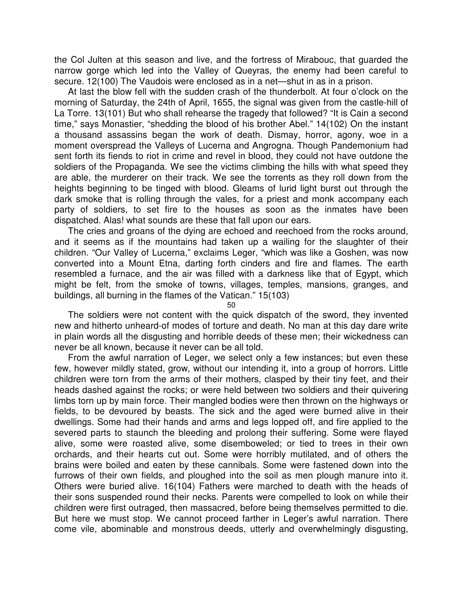the Col Julten at this season and live, and the fortress of Mirabouc, that guarded the narrow gorge which led into the Valley of Queyras, the enemy had been careful to secure. 12(100) The Vaudois were enclosed as in a net—shut in as in a prison.

At last the blow fell with the sudden crash of the thunderbolt. At four o'clock on the morning of Saturday, the 24th of April, 1655, the signal was given from the castle-hill of La Torre. 13(101) But who shall rehearse the tragedy that followed? "It is Cain a second time," says Monastier, "shedding the blood of his brother Abel." 14(102) On the instant a thousand assassins began the work of death. Dismay, horror, agony, woe in a moment overspread the Valleys of Lucerna and Angrogna. Though Pandemonium had sent forth its fiends to riot in crime and revel in blood, they could not have outdone the soldiers of the Propaganda. We see the victims climbing the hills with what speed they are able, the murderer on their track. We see the torrents as they roll down from the heights beginning to be tinged with blood. Gleams of lurid light burst out through the dark smoke that is rolling through the vales, for a priest and monk accompany each party of soldiers, to set fire to the houses as soon as the inmates have been dispatched. Alas! what sounds are these that fall upon our ears.

The cries and groans of the dying are echoed and reechoed from the rocks around, and it seems as if the mountains had taken up a wailing for the slaughter of their children. "Our Valley of Lucerna," exclaims Leger, "which was like a Goshen, was now converted into a Mount Etna, darting forth cinders and fire and flames. The earth resembled a furnace, and the air was filled with a darkness like that of Egypt, which might be felt, from the smoke of towns, villages, temples, mansions, granges, and buildings, all burning in the flames of the Vatican." 15(103)

50

The soldiers were not content with the quick dispatch of the sword, they invented new and hitherto unheard-of modes of torture and death. No man at this day dare write in plain words all the disgusting and horrible deeds of these men; their wickedness can never be all known, because it never can be all told.

From the awful narration of Leger, we select only a few instances; but even these few, however mildly stated, grow, without our intending it, into a group of horrors. Little children were torn from the arms of their mothers, clasped by their tiny feet, and their heads dashed against the rocks; or were held between two soldiers and their quivering limbs torn up by main force. Their mangled bodies were then thrown on the highways or fields, to be devoured by beasts. The sick and the aged were burned alive in their dwellings. Some had their hands and arms and legs lopped off, and fire applied to the severed parts to staunch the bleeding and prolong their suffering. Some were flayed alive, some were roasted alive, some disemboweled; or tied to trees in their own orchards, and their hearts cut out. Some were horribly mutilated, and of others the brains were boiled and eaten by these cannibals. Some were fastened down into the furrows of their own fields, and ploughed into the soil as men plough manure into it. Others were buried alive. 16(104) Fathers were marched to death with the heads of their sons suspended round their necks. Parents were compelled to look on while their children were first outraged, then massacred, before being themselves permitted to die. But here we must stop. We cannot proceed farther in Leger's awful narration. There come vile, abominable and monstrous deeds, utterly and overwhelmingly disgusting,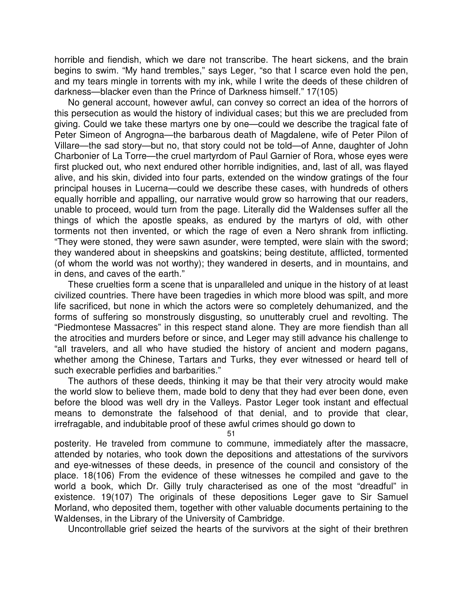horrible and fiendish, which we dare not transcribe. The heart sickens, and the brain begins to swim. "My hand trembles," says Leger, "so that I scarce even hold the pen, and my tears mingle in torrents with my ink, while I write the deeds of these children of darkness—blacker even than the Prince of Darkness himself." 17(105)

No general account, however awful, can convey so correct an idea of the horrors of this persecution as would the history of individual cases; but this we are precluded from giving. Could we take these martyrs one by one—could we describe the tragical fate of Peter Simeon of Angrogna—the barbarous death of Magdalene, wife of Peter Pilon of Villare—the sad story—but no, that story could not be told—of Anne, daughter of John Charbonier of La Torre—the cruel martyrdom of Paul Garnier of Rora, whose eyes were first plucked out, who next endured other horrible indignities, and, last of all, was flayed alive, and his skin, divided into four parts, extended on the window gratings of the four principal houses in Lucerna—could we describe these cases, with hundreds of others equally horrible and appalling, our narrative would grow so harrowing that our readers, unable to proceed, would turn from the page. Literally did the Waldenses suffer all the things of which the apostle speaks, as endured by the martyrs of old, with other torments not then invented, or which the rage of even a Nero shrank from inflicting. "They were stoned, they were sawn asunder, were tempted, were slain with the sword; they wandered about in sheepskins and goatskins; being destitute, afflicted, tormented (of whom the world was not worthy); they wandered in deserts, and in mountains, and in dens, and caves of the earth."

These cruelties form a scene that is unparalleled and unique in the history of at least civilized countries. There have been tragedies in which more blood was spilt, and more life sacrificed, but none in which the actors were so completely dehumanized, and the forms of suffering so monstrously disgusting, so unutterably cruel and revolting. The "Piedmontese Massacres" in this respect stand alone. They are more fiendish than all the atrocities and murders before or since, and Leger may still advance his challenge to "all travelers, and all who have studied the history of ancient and modern pagans, whether among the Chinese, Tartars and Turks, they ever witnessed or heard tell of such execrable perfidies and barbarities."

The authors of these deeds, thinking it may be that their very atrocity would make the world slow to believe them, made bold to deny that they had ever been done, even before the blood was well dry in the Valleys. Pastor Leger took instant and effectual means to demonstrate the falsehood of that denial, and to provide that clear, irrefragable, and indubitable proof of these awful crimes should go down to

51

posterity. He traveled from commune to commune, immediately after the massacre, attended by notaries, who took down the depositions and attestations of the survivors and eye-witnesses of these deeds, in presence of the council and consistory of the place. 18(106) From the evidence of these witnesses he compiled and gave to the world a book, which Dr. Gilly truly characterised as one of the most "dreadful" in existence. 19(107) The originals of these depositions Leger gave to Sir Samuel Morland, who deposited them, together with other valuable documents pertaining to the Waldenses, in the Library of the University of Cambridge.

Uncontrollable grief seized the hearts of the survivors at the sight of their brethren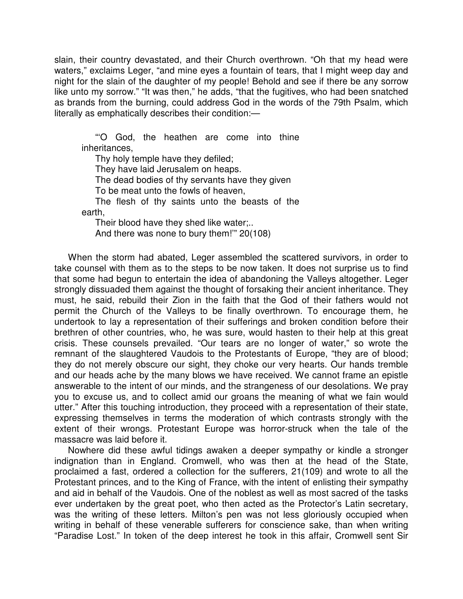slain, their country devastated, and their Church overthrown. "Oh that my head were waters," exclaims Leger, "and mine eyes a fountain of tears, that I might weep day and night for the slain of the daughter of my people! Behold and see if there be any sorrow like unto my sorrow." "It was then," he adds, "that the fugitives, who had been snatched as brands from the burning, could address God in the words of the 79th Psalm, which literally as emphatically describes their condition:—

"'O God, the heathen are come into thine inheritances,

Thy holy temple have they defiled;

They have laid Jerusalem on heaps.

The dead bodies of thy servants have they given

To be meat unto the fowls of heaven,

The flesh of thy saints unto the beasts of the earth,

Their blood have they shed like water;..

And there was none to bury them!'" 20(108)

When the storm had abated, Leger assembled the scattered survivors, in order to take counsel with them as to the steps to be now taken. It does not surprise us to find that some had begun to entertain the idea of abandoning the Valleys altogether. Leger strongly dissuaded them against the thought of forsaking their ancient inheritance. They must, he said, rebuild their Zion in the faith that the God of their fathers would not permit the Church of the Valleys to be finally overthrown. To encourage them, he undertook to lay a representation of their sufferings and broken condition before their brethren of other countries, who, he was sure, would hasten to their help at this great crisis. These counsels prevailed. "Our tears are no longer of water," so wrote the remnant of the slaughtered Vaudois to the Protestants of Europe, "they are of blood; they do not merely obscure our sight, they choke our very hearts. Our hands tremble and our heads ache by the many blows we have received. We cannot frame an epistle answerable to the intent of our minds, and the strangeness of our desolations. We pray you to excuse us, and to collect amid our groans the meaning of what we fain would utter." After this touching introduction, they proceed with a representation of their state, expressing themselves in terms the moderation of which contrasts strongly with the extent of their wrongs. Protestant Europe was horror-struck when the tale of the massacre was laid before it.

Nowhere did these awful tidings awaken a deeper sympathy or kindle a stronger indignation than in England. Cromwell, who was then at the head of the State, proclaimed a fast, ordered a collection for the sufferers, 21(109) and wrote to all the Protestant princes, and to the King of France, with the intent of enlisting their sympathy and aid in behalf of the Vaudois. One of the noblest as well as most sacred of the tasks ever undertaken by the great poet, who then acted as the Protector's Latin secretary, was the writing of these letters. Milton's pen was not less gloriously occupied when writing in behalf of these venerable sufferers for conscience sake, than when writing "Paradise Lost." In token of the deep interest he took in this affair, Cromwell sent Sir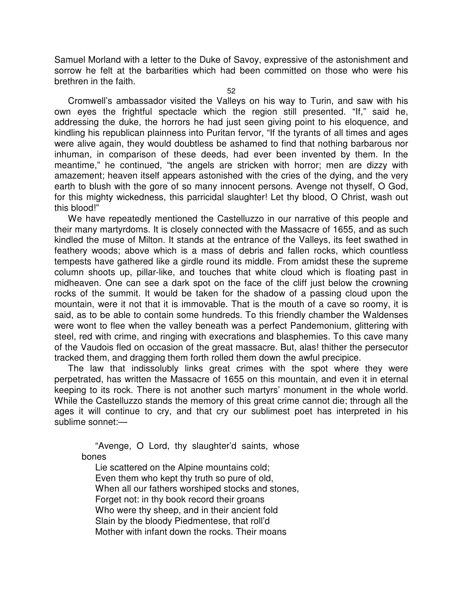Samuel Morland with a letter to the Duke of Savoy, expressive of the astonishment and sorrow he felt at the barbarities which had been committed on those who were his brethren in the faith.

52

Cromwell's ambassador visited the Valleys on his way to Turin, and saw with his own eyes the frightful spectacle which the region still presented. "If," said he, addressing the duke, the horrors he had just seen giving point to his eloquence, and kindling his republican plainness into Puritan fervor, "If the tyrants of all times and ages were alive again, they would doubtless be ashamed to find that nothing barbarous nor inhuman, in comparison of these deeds, had ever been invented by them. In the meantime," he continued, "the angels are stricken with horror; men are dizzy with amazement; heaven itself appears astonished with the cries of the dying, and the very earth to blush with the gore of so many innocent persons. Avenge not thyself, O God, for this mighty wickedness, this parricidal slaughter! Let thy blood, O Christ, wash out this blood!"

We have repeatedly mentioned the Castelluzzo in our narrative of this people and their many martyrdoms. It is closely connected with the Massacre of 1655, and as such kindled the muse of Milton. It stands at the entrance of the Valleys, its feet swathed in feathery woods; above which is a mass of debris and fallen rocks, which countless tempests have gathered like a girdle round its middle. From amidst these the supreme column shoots up, pillar-like, and touches that white cloud which is floating past in midheaven. One can see a dark spot on the face of the cliff just below the crowning rocks of the summit. It would be taken for the shadow of a passing cloud upon the mountain, were it not that it is immovable. That is the mouth of a cave so roomy, it is said, as to be able to contain some hundreds. To this friendly chamber the Waldenses were wont to flee when the valley beneath was a perfect Pandemonium, glittering with steel, red with crime, and ringing with execrations and blasphemies. To this cave many of the Vaudois fled on occasion of the great massacre. But, alas! thither the persecutor tracked them, and dragging them forth rolled them down the awful precipice.

The law that indissolubly links great crimes with the spot where they were perpetrated, has written the Massacre of 1655 on this mountain, and even it in eternal keeping to its rock. There is not another such martyrs' monument in the whole world. While the Castelluzzo stands the memory of this great crime cannot die; through all the ages it will continue to cry, and that cry our sublimest poet has interpreted in his sublime sonnet:—

"Avenge, O Lord, thy slaughter'd saints, whose bones

Lie scattered on the Alpine mountains cold; Even them who kept thy truth so pure of old, When all our fathers worshiped stocks and stones, Forget not: in thy book record their groans Who were thy sheep, and in their ancient fold Slain by the bloody Piedmentese, that roll'd Mother with infant down the rocks. Their moans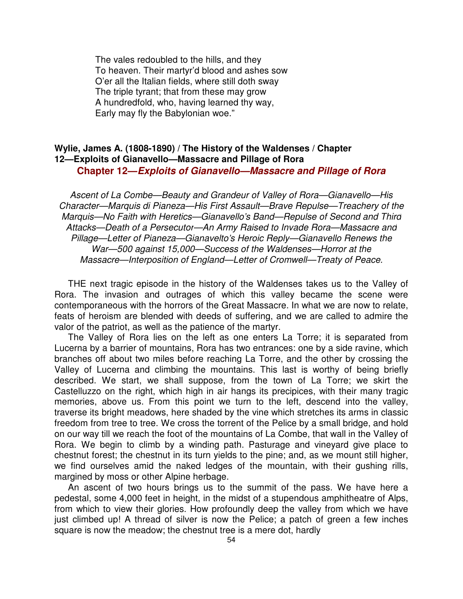The vales redoubled to the hills, and they To heaven. Their martyr'd blood and ashes sow O'er all the Italian fields, where still doth sway The triple tyrant; that from these may grow A hundredfold, who, having learned thy way, Early may fly the Babylonian woe."

## **Wylie, James A. (1808-1890) / The History of the Waldenses / Chapter 12—Exploits of Gianavello—Massacre and Pillage of Rora Chapter 12—Exploits of Gianavello—Massacre and Pillage of Rora**

Ascent of La Combe—Beauty and Grandeur of Valley of Rora—Gianavello—His Character—Marquis di Pianeza—His First Assault—Brave Repulse—Treachery of the Marquis—No Faith with Heretics—Gianavello's Band—Repulse of Second and Third Attacks—Death of a Persecutor—An Army Raised to Invade Rora—Massacre and Pillage—Letter of Pianeza—Gianavelto's Heroic Reply—Gianavello Renews the War—500 against 15,000—Success of the Waldenses—Horror at the Massacre—Interposition of England—Letter of Cromwell—Treaty of Peace.

THE next tragic episode in the history of the Waldenses takes us to the Valley of Rora. The invasion and outrages of which this valley became the scene were contemporaneous with the horrors of the Great Massacre. In what we are now to relate, feats of heroism are blended with deeds of suffering, and we are called to admire the valor of the patriot, as well as the patience of the martyr.

The Valley of Rora lies on the left as one enters La Torre; it is separated from Lucerna by a barrier of mountains, Rora has two entrances: one by a side ravine, which branches off about two miles before reaching La Torre, and the other by crossing the Valley of Lucerna and climbing the mountains. This last is worthy of being briefly described. We start, we shall suppose, from the town of La Torre; we skirt the Castelluzzo on the right, which high in air hangs its precipices, with their many tragic memories, above us. From this point we turn to the left, descend into the valley, traverse its bright meadows, here shaded by the vine which stretches its arms in classic freedom from tree to tree. We cross the torrent of the Pelice by a small bridge, and hold on our way till we reach the foot of the mountains of La Combe, that wall in the Valley of Rora. We begin to climb by a winding path. Pasturage and vineyard give place to chestnut forest; the chestnut in its turn yields to the pine; and, as we mount still higher, we find ourselves amid the naked ledges of the mountain, with their gushing rills, margined by moss or other Alpine herbage.

An ascent of two hours brings us to the summit of the pass. We have here a pedestal, some 4,000 feet in height, in the midst of a stupendous amphitheatre of Alps, from which to view their glories. How profoundly deep the valley from which we have just climbed up! A thread of silver is now the Pelice; a patch of green a few inches square is now the meadow; the chestnut tree is a mere dot, hardly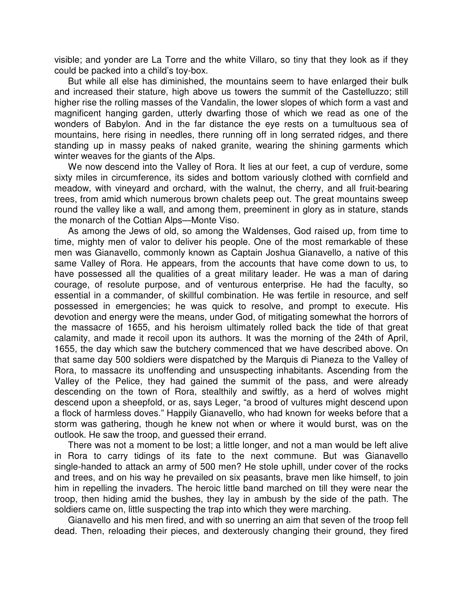visible; and yonder are La Torre and the white Villaro, so tiny that they look as if they could be packed into a child's toy-box.

But while all else has diminished, the mountains seem to have enlarged their bulk and increased their stature, high above us towers the summit of the Castelluzzo; still higher rise the rolling masses of the Vandalin, the lower slopes of which form a vast and magnificent hanging garden, utterly dwarfing those of which we read as one of the wonders of Babylon. And in the far distance the eye rests on a tumultuous sea of mountains, here rising in needles, there running off in long serrated ridges, and there standing up in massy peaks of naked granite, wearing the shining garments which winter weaves for the giants of the Alps.

We now descend into the Valley of Rora. It lies at our feet, a cup of verdure, some sixty miles in circumference, its sides and bottom variously clothed with cornfield and meadow, with vineyard and orchard, with the walnut, the cherry, and all fruit-bearing trees, from amid which numerous brown chalets peep out. The great mountains sweep round the valley like a wall, and among them, preeminent in glory as in stature, stands the monarch of the Cottian Alps—Monte Viso.

As among the Jews of old, so among the Waldenses, God raised up, from time to time, mighty men of valor to deliver his people. One of the most remarkable of these men was Gianavello, commonly known as Captain Joshua Gianavello, a native of this same Valley of Rora. He appears, from the accounts that have come down to us, to have possessed all the qualities of a great military leader. He was a man of daring courage, of resolute purpose, and of venturous enterprise. He had the faculty, so essential in a commander, of skillful combination. He was fertile in resource, and self possessed in emergencies; he was quick to resolve, and prompt to execute. His devotion and energy were the means, under God, of mitigating somewhat the horrors of the massacre of 1655, and his heroism ultimately rolled back the tide of that great calamity, and made it recoil upon its authors. It was the morning of the 24th of April, 1655, the day which saw the butchery commenced that we have described above. On that same day 500 soldiers were dispatched by the Marquis di Pianeza to the Valley of Rora, to massacre its unoffending and unsuspecting inhabitants. Ascending from the Valley of the Pelice, they had gained the summit of the pass, and were already descending on the town of Rora, stealthily and swiftly, as a herd of wolves might descend upon a sheepfold, or as, says Leger, "a brood of vultures might descend upon a flock of harmless doves." Happily Gianavello, who had known for weeks before that a storm was gathering, though he knew not when or where it would burst, was on the outlook. He saw the troop, and guessed their errand.

There was not a moment to be lost; a little longer, and not a man would be left alive in Rora to carry tidings of its fate to the next commune. But was Gianavello single-handed to attack an army of 500 men? He stole uphill, under cover of the rocks and trees, and on his way he prevailed on six peasants, brave men like himself, to join him in repelling the invaders. The heroic little band marched on till they were near the troop, then hiding amid the bushes, they lay in ambush by the side of the path. The soldiers came on, little suspecting the trap into which they were marching.

Gianavello and his men fired, and with so unerring an aim that seven of the troop fell dead. Then, reloading their pieces, and dexterously changing their ground, they fired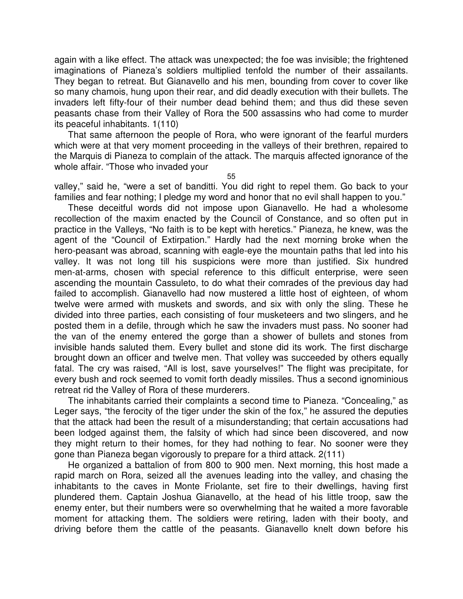again with a like effect. The attack was unexpected; the foe was invisible; the frightened imaginations of Pianeza's soldiers multiplied tenfold the number of their assailants. They began to retreat. But Gianavello and his men, bounding from cover to cover like so many chamois, hung upon their rear, and did deadly execution with their bullets. The invaders left fifty-four of their number dead behind them; and thus did these seven peasants chase from their Valley of Rora the 500 assassins who had come to murder its peaceful inhabitants. 1(110)

That same afternoon the people of Rora, who were ignorant of the fearful murders which were at that very moment proceeding in the valleys of their brethren, repaired to the Marquis di Pianeza to complain of the attack. The marquis affected ignorance of the whole affair. "Those who invaded your

55

valley," said he, "were a set of banditti. You did right to repel them. Go back to your families and fear nothing; I pledge my word and honor that no evil shall happen to you."

These deceitful words did not impose upon Gianavello. He had a wholesome recollection of the maxim enacted by the Council of Constance, and so often put in practice in the Valleys, "No faith is to be kept with heretics." Pianeza, he knew, was the agent of the "Council of Extirpation." Hardly had the next morning broke when the hero-peasant was abroad, scanning with eagle-eye the mountain paths that led into his valley. It was not long till his suspicions were more than justified. Six hundred men-at-arms, chosen with special reference to this difficult enterprise, were seen ascending the mountain Cassuleto, to do what their comrades of the previous day had failed to accomplish. Gianavello had now mustered a little host of eighteen, of whom twelve were armed with muskets and swords, and six with only the sling. These he divided into three parties, each consisting of four musketeers and two slingers, and he posted them in a defile, through which he saw the invaders must pass. No sooner had the van of the enemy entered the gorge than a shower of bullets and stones from invisible hands saluted them. Every bullet and stone did its work. The first discharge brought down an officer and twelve men. That volley was succeeded by others equally fatal. The cry was raised, "All is lost, save yourselves!" The flight was precipitate, for every bush and rock seemed to vomit forth deadly missiles. Thus a second ignominious retreat rid the Valley of Rora of these murderers.

The inhabitants carried their complaints a second time to Pianeza. "Concealing," as Leger says, "the ferocity of the tiger under the skin of the fox," he assured the deputies that the attack had been the result of a misunderstanding; that certain accusations had been lodged against them, the falsity of which had since been discovered, and now they might return to their homes, for they had nothing to fear. No sooner were they gone than Pianeza began vigorously to prepare for a third attack. 2(111)

He organized a battalion of from 800 to 900 men. Next morning, this host made a rapid march on Rora, seized all the avenues leading into the valley, and chasing the inhabitants to the caves in Monte Friolante, set fire to their dwellings, having first plundered them. Captain Joshua Gianavello, at the head of his little troop, saw the enemy enter, but their numbers were so overwhelming that he waited a more favorable moment for attacking them. The soldiers were retiring, laden with their booty, and driving before them the cattle of the peasants. Gianavello knelt down before his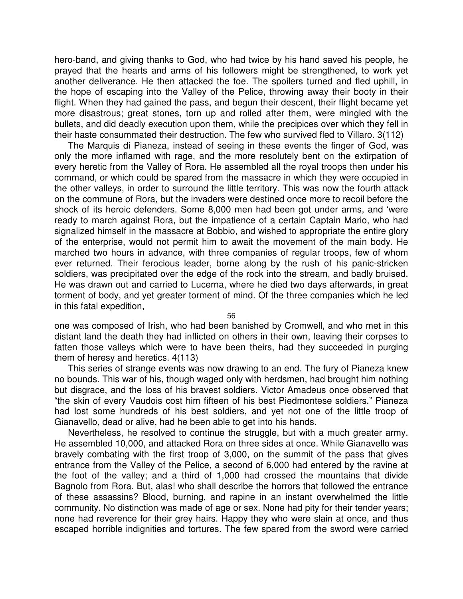hero-band, and giving thanks to God, who had twice by his hand saved his people, he prayed that the hearts and arms of his followers might be strengthened, to work yet another deliverance. He then attacked the foe. The spoilers turned and fled uphill, in the hope of escaping into the Valley of the Pelice, throwing away their booty in their flight. When they had gained the pass, and begun their descent, their flight became yet more disastrous; great stones, torn up and rolled after them, were mingled with the bullets, and did deadly execution upon them, while the precipices over which they fell in their haste consummated their destruction. The few who survived fled to Villaro. 3(112)

The Marquis di Pianeza, instead of seeing in these events the finger of God, was only the more inflamed with rage, and the more resolutely bent on the extirpation of every heretic from the Valley of Rora. He assembled all the royal troops then under his command, or which could be spared from the massacre in which they were occupied in the other valleys, in order to surround the little territory. This was now the fourth attack on the commune of Rora, but the invaders were destined once more to recoil before the shock of its heroic defenders. Some 8,000 men had been got under arms, and 'were ready to march against Rora, but the impatience of a certain Captain Mario, who had signalized himself in the massacre at Bobbio, and wished to appropriate the entire glory of the enterprise, would not permit him to await the movement of the main body. He marched two hours in advance, with three companies of regular troops, few of whom ever returned. Their ferocious leader, borne along by the rush of his panic-stricken soldiers, was precipitated over the edge of the rock into the stream, and badly bruised. He was drawn out and carried to Lucerna, where he died two days afterwards, in great torment of body, and yet greater torment of mind. Of the three companies which he led in this fatal expedition,

56

one was composed of Irish, who had been banished by Cromwell, and who met in this distant land the death they had inflicted on others in their own, leaving their corpses to fatten those valleys which were to have been theirs, had they succeeded in purging them of heresy and heretics. 4(113)

This series of strange events was now drawing to an end. The fury of Pianeza knew no bounds. This war of his, though waged only with herdsmen, had brought him nothing but disgrace, and the loss of his bravest soldiers. Victor Amadeus once observed that "the skin of every Vaudois cost him fifteen of his best Piedmontese soldiers." Pianeza had lost some hundreds of his best soldiers, and yet not one of the little troop of Gianavello, dead or alive, had he been able to get into his hands.

Nevertheless, he resolved to continue the struggle, but with a much greater army. He assembled 10,000, and attacked Rora on three sides at once. While Gianavello was bravely combating with the first troop of 3,000, on the summit of the pass that gives entrance from the Valley of the Pelice, a second of 6,000 had entered by the ravine at the foot of the valley; and a third of 1,000 had crossed the mountains that divide Bagnolo from Rora. But, alas! who shall describe the horrors that followed the entrance of these assassins? Blood, burning, and rapine in an instant overwhelmed the little community. No distinction was made of age or sex. None had pity for their tender years; none had reverence for their grey hairs. Happy they who were slain at once, and thus escaped horrible indignities and tortures. The few spared from the sword were carried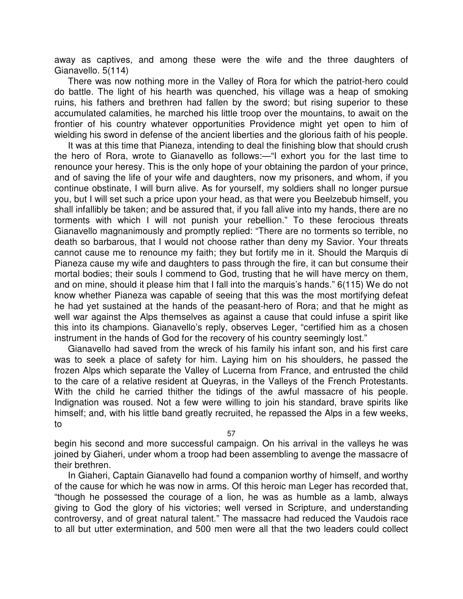away as captives, and among these were the wife and the three daughters of Gianavello. 5(114)

There was now nothing more in the Valley of Rora for which the patriot-hero could do battle. The light of his hearth was quenched, his village was a heap of smoking ruins, his fathers and brethren had fallen by the sword; but rising superior to these accumulated calamities, he marched his little troop over the mountains, to await on the frontier of his country whatever opportunities Providence might yet open to him of wielding his sword in defense of the ancient liberties and the glorious faith of his people.

It was at this time that Pianeza, intending to deal the finishing blow that should crush the hero of Rora, wrote to Gianavello as follows:—"I exhort you for the last time to renounce your heresy. This is the only hope of your obtaining the pardon of your prince, and of saving the life of your wife and daughters, now my prisoners, and whom, if you continue obstinate, I will burn alive. As for yourself, my soldiers shall no longer pursue you, but I will set such a price upon your head, as that were you Beelzebub himself, you shall infallibly be taken; and be assured that, if you fall alive into my hands, there are no torments with which I will not punish your rebellion." To these ferocious threats Gianavello magnanimously and promptly replied: "There are no torments so terrible, no death so barbarous, that I would not choose rather than deny my Savior. Your threats cannot cause me to renounce my faith; they but fortify me in it. Should the Marquis di Pianeza cause my wife and daughters to pass through the fire, it can but consume their mortal bodies; their souls I commend to God, trusting that he will have mercy on them, and on mine, should it please him that I fall into the marquis's hands." 6(115) We do not know whether Pianeza was capable of seeing that this was the most mortifying defeat he had yet sustained at the hands of the peasant-hero of Rora; and that he might as well war against the Alps themselves as against a cause that could infuse a spirit like this into its champions. Gianavello's reply, observes Leger, "certified him as a chosen instrument in the hands of God for the recovery of his country seemingly lost."

Gianavello had saved from the wreck of his family his infant son, and his first care was to seek a place of safety for him. Laying him on his shoulders, he passed the frozen Alps which separate the Valley of Lucerna from France, and entrusted the child to the care of a relative resident at Queyras, in the Valleys of the French Protestants. With the child he carried thither the tidings of the awful massacre of his people. Indignation was roused. Not a few were willing to join his standard, brave spirits like himself; and, with his little band greatly recruited, he repassed the Alps in a few weeks, to

57

begin his second and more successful campaign. On his arrival in the valleys he was joined by Giaheri, under whom a troop had been assembling to avenge the massacre of their brethren.

In Giaheri, Captain Gianavello had found a companion worthy of himself, and worthy of the cause for which he was now in arms. Of this heroic man Leger has recorded that, "though he possessed the courage of a lion, he was as humble as a lamb, always giving to God the glory of his victories; well versed in Scripture, and understanding controversy, and of great natural talent." The massacre had reduced the Vaudois race to all but utter extermination, and 500 men were all that the two leaders could collect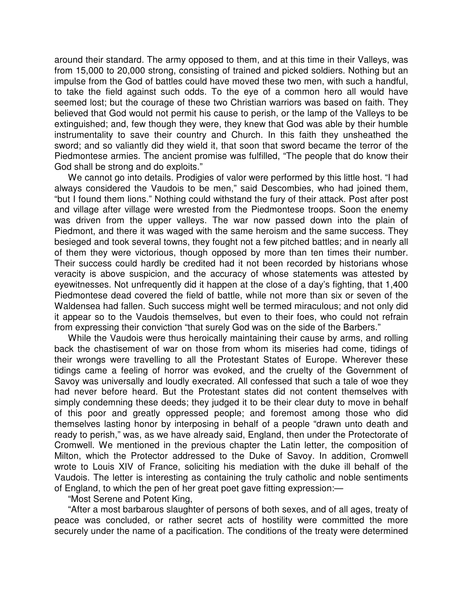around their standard. The army opposed to them, and at this time in their Valleys, was from 15,000 to 20,000 strong, consisting of trained and picked soldiers. Nothing but an impulse from the God of battles could have moved these two men, with such a handful, to take the field against such odds. To the eye of a common hero all would have seemed lost; but the courage of these two Christian warriors was based on faith. They believed that God would not permit his cause to perish, or the lamp of the Valleys to be extinguished; and, few though they were, they knew that God was able by their humble instrumentality to save their country and Church. In this faith they unsheathed the sword; and so valiantly did they wield it, that soon that sword became the terror of the Piedmontese armies. The ancient promise was fulfilled, "The people that do know their God shall be strong and do exploits."

We cannot go into details. Prodigies of valor were performed by this little host. "I had always considered the Vaudois to be men," said Descombies, who had joined them, "but I found them lions." Nothing could withstand the fury of their attack. Post after post and village after village were wrested from the Piedmontese troops. Soon the enemy was driven from the upper valleys. The war now passed down into the plain of Piedmont, and there it was waged with the same heroism and the same success. They besieged and took several towns, they fought not a few pitched battles; and in nearly all of them they were victorious, though opposed by more than ten times their number. Their success could hardly be credited had it not been recorded by historians whose veracity is above suspicion, and the accuracy of whose statements was attested by eyewitnesses. Not unfrequently did it happen at the close of a day's fighting, that 1,400 Piedmontese dead covered the field of battle, while not more than six or seven of the Waldensea had fallen. Such success might well be termed miraculous; and not only did it appear so to the Vaudois themselves, but even to their foes, who could not refrain from expressing their conviction "that surely God was on the side of the Barbers."

While the Vaudois were thus heroically maintaining their cause by arms, and rolling back the chastisement of war on those from whom its miseries had come, tidings of their wrongs were travelling to all the Protestant States of Europe. Wherever these tidings came a feeling of horror was evoked, and the cruelty of the Government of Savoy was universally and loudly execrated. All confessed that such a tale of woe they had never before heard. But the Protestant states did not content themselves with simply condemning these deeds; they judged it to be their clear duty to move in behalf of this poor and greatly oppressed people; and foremost among those who did themselves lasting honor by interposing in behalf of a people "drawn unto death and ready to perish," was, as we have already said, England, then under the Protectorate of Cromwell. We mentioned in the previous chapter the Latin letter, the composition of Milton, which the Protector addressed to the Duke of Savoy. In addition, Cromwell wrote to Louis XIV of France, soliciting his mediation with the duke ill behalf of the Vaudois. The letter is interesting as containing the truly catholic and noble sentiments of England, to which the pen of her great poet gave fitting expression:—

"Most Serene and Potent King,

"After a most barbarous slaughter of persons of both sexes, and of all ages, treaty of peace was concluded, or rather secret acts of hostility were committed the more securely under the name of a pacification. The conditions of the treaty were determined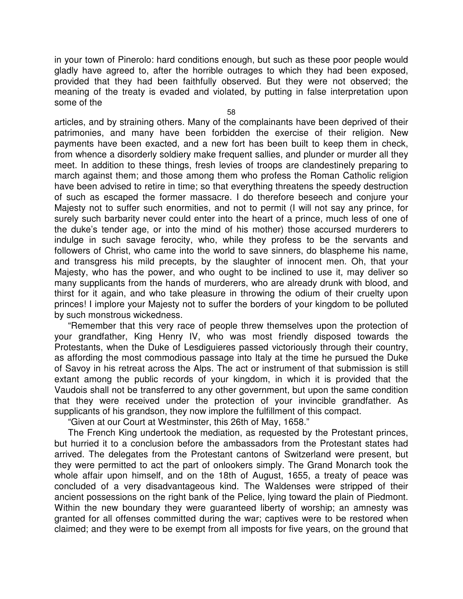in your town of Pinerolo: hard conditions enough, but such as these poor people would gladly have agreed to, after the horrible outrages to which they had been exposed, provided that they had been faithfully observed. But they were not observed; the meaning of the treaty is evaded and violated, by putting in false interpretation upon some of the

58

articles, and by straining others. Many of the complainants have been deprived of their patrimonies, and many have been forbidden the exercise of their religion. New payments have been exacted, and a new fort has been built to keep them in check, from whence a disorderly soldiery make frequent sallies, and plunder or murder all they meet. In addition to these things, fresh levies of troops are clandestinely preparing to march against them; and those among them who profess the Roman Catholic religion have been advised to retire in time; so that everything threatens the speedy destruction of such as escaped the former massacre. I do therefore beseech and conjure your Majesty not to suffer such enormities, and not to permit (I will not say any prince, for surely such barbarity never could enter into the heart of a prince, much less of one of the duke's tender age, or into the mind of his mother) those accursed murderers to indulge in such savage ferocity, who, while they profess to be the servants and followers of Christ, who came into the world to save sinners, do blaspheme his name, and transgress his mild precepts, by the slaughter of innocent men. Oh, that your Majesty, who has the power, and who ought to be inclined to use it, may deliver so many supplicants from the hands of murderers, who are already drunk with blood, and thirst for it again, and who take pleasure in throwing the odium of their cruelty upon princes! I implore your Majesty not to suffer the borders of your kingdom to be polluted by such monstrous wickedness.

"Remember that this very race of people threw themselves upon the protection of your grandfather, King Henry IV, who was most friendly disposed towards the Protestants, when the Duke of Lesdiguieres passed victoriously through their country, as affording the most commodious passage into Italy at the time he pursued the Duke of Savoy in his retreat across the Alps. The act or instrument of that submission is still extant among the public records of your kingdom, in which it is provided that the Vaudois shall not be transferred to any other government, but upon the same condition that they were received under the protection of your invincible grandfather. As supplicants of his grandson, they now implore the fulfillment of this compact.

"Given at our Court at Westminster, this 26th of May, 1658."

The French King undertook the mediation, as requested by the Protestant princes, but hurried it to a conclusion before the ambassadors from the Protestant states had arrived. The delegates from the Protestant cantons of Switzerland were present, but they were permitted to act the part of onlookers simply. The Grand Monarch took the whole affair upon himself, and on the 18th of August, 1655, a treaty of peace was concluded of a very disadvantageous kind. The Waldenses were stripped of their ancient possessions on the right bank of the Pelice, lying toward the plain of Piedmont. Within the new boundary they were guaranteed liberty of worship; an amnesty was granted for all offenses committed during the war; captives were to be restored when claimed; and they were to be exempt from all imposts for five years, on the ground that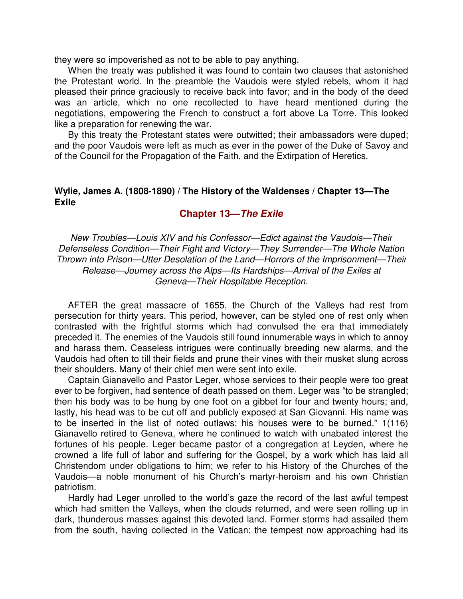they were so impoverished as not to be able to pay anything.

When the treaty was published it was found to contain two clauses that astonished the Protestant world. In the preamble the Vaudois were styled rebels, whom it had pleased their prince graciously to receive back into favor; and in the body of the deed was an article, which no one recollected to have heard mentioned during the negotiations, empowering the French to construct a fort above La Torre. This looked like a preparation for renewing the war.

By this treaty the Protestant states were outwitted; their ambassadors were duped; and the poor Vaudois were left as much as ever in the power of the Duke of Savoy and of the Council for the Propagation of the Faith, and the Extirpation of Heretics.

### **Wylie, James A. (1808-1890) / The History of the Waldenses / Chapter 13—The Exile**

#### **Chapter 13—The Exile**

New Troubles—Louis XIV and his Confessor—Edict against the Vaudois—Their Defenseless Condition—Their Fight and Victory—They Surrender—The Whole Nation Thrown into Prison—Utter Desolation of the Land—Horrors of the Imprisonment—Their Release—Journey across the Alps—Its Hardships—Arrival of the Exiles at Geneva—Their Hospitable Reception.

AFTER the great massacre of 1655, the Church of the Valleys had rest from persecution for thirty years. This period, however, can be styled one of rest only when contrasted with the frightful storms which had convulsed the era that immediately preceded it. The enemies of the Vaudois still found innumerable ways in which to annoy and harass them. Ceaseless intrigues were continually breeding new alarms, and the Vaudois had often to till their fields and prune their vines with their musket slung across their shoulders. Many of their chief men were sent into exile.

Captain Gianavello and Pastor Leger, whose services to their people were too great ever to be forgiven, had sentence of death passed on them. Leger was "to be strangled; then his body was to be hung by one foot on a gibbet for four and twenty hours; and, lastly, his head was to be cut off and publicly exposed at San Giovanni. His name was to be inserted in the list of noted outlaws; his houses were to be burned." 1(116) Gianavello retired to Geneva, where he continued to watch with unabated interest the fortunes of his people. Leger became pastor of a congregation at Leyden, where he crowned a life full of labor and suffering for the Gospel, by a work which has laid all Christendom under obligations to him; we refer to his History of the Churches of the Vaudois—a noble monument of his Church's martyr-heroism and his own Christian patriotism.

Hardly had Leger unrolled to the world's gaze the record of the last awful tempest which had smitten the Valleys, when the clouds returned, and were seen rolling up in dark, thunderous masses against this devoted land. Former storms had assailed them from the south, having collected in the Vatican; the tempest now approaching had its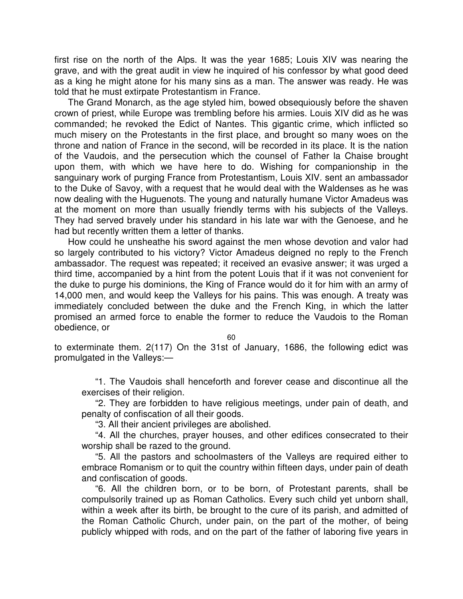first rise on the north of the Alps. It was the year 1685; Louis XIV was nearing the grave, and with the great audit in view he inquired of his confessor by what good deed as a king he might atone for his many sins as a man. The answer was ready. He was told that he must extirpate Protestantism in France.

The Grand Monarch, as the age styled him, bowed obsequiously before the shaven crown of priest, while Europe was trembling before his armies. Louis XIV did as he was commanded; he revoked the Edict of Nantes. This gigantic crime, which inflicted so much misery on the Protestants in the first place, and brought so many woes on the throne and nation of France in the second, will be recorded in its place. It is the nation of the Vaudois, and the persecution which the counsel of Father la Chaise brought upon them, with which we have here to do. Wishing for companionship in the sanguinary work of purging France from Protestantism, Louis XIV. sent an ambassador to the Duke of Savoy, with a request that he would deal with the Waldenses as he was now dealing with the Huguenots. The young and naturally humane Victor Amadeus was at the moment on more than usually friendly terms with his subjects of the Valleys. They had served bravely under his standard in his late war with the Genoese, and he had but recently written them a letter of thanks.

How could he unsheathe his sword against the men whose devotion and valor had so largely contributed to his victory? Victor Amadeus deigned no reply to the French ambassador. The request was repeated; it received an evasive answer; it was urged a third time, accompanied by a hint from the potent Louis that if it was not convenient for the duke to purge his dominions, the King of France would do it for him with an army of 14,000 men, and would keep the Valleys for his pains. This was enough. A treaty was immediately concluded between the duke and the French King, in which the latter promised an armed force to enable the former to reduce the Vaudois to the Roman obedience, or

60

to exterminate them. 2(117) On the 31st of January, 1686, the following edict was promulgated in the Valleys:—

"1. The Vaudois shall henceforth and forever cease and discontinue all the exercises of their religion.

"2. They are forbidden to have religious meetings, under pain of death, and penalty of confiscation of all their goods.

"3. All their ancient privileges are abolished.

"4. All the churches, prayer houses, and other edifices consecrated to their worship shall be razed to the ground.

"5. All the pastors and schoolmasters of the Valleys are required either to embrace Romanism or to quit the country within fifteen days, under pain of death and confiscation of goods.

"6. All the children born, or to be born, of Protestant parents, shall be compulsorily trained up as Roman Catholics. Every such child yet unborn shall, within a week after its birth, be brought to the cure of its parish, and admitted of the Roman Catholic Church, under pain, on the part of the mother, of being publicly whipped with rods, and on the part of the father of laboring five years in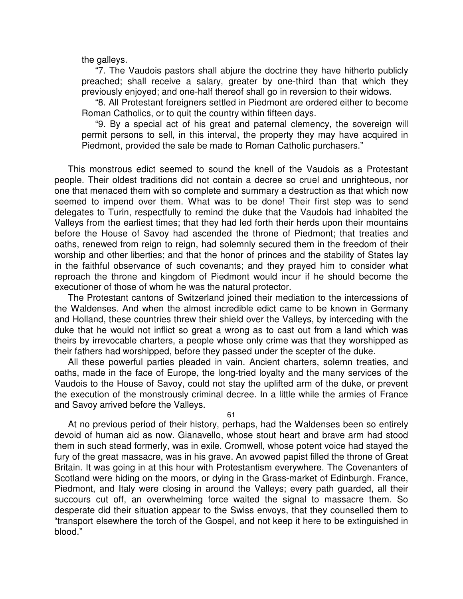the galleys.

"7. The Vaudois pastors shall abjure the doctrine they have hitherto publicly preached; shall receive a salary, greater by one-third than that which they previously enjoyed; and one-half thereof shall go in reversion to their widows.

"8. All Protestant foreigners settled in Piedmont are ordered either to become Roman Catholics, or to quit the country within fifteen days.

"9. By a special act of his great and paternal clemency, the sovereign will permit persons to sell, in this interval, the property they may have acquired in Piedmont, provided the sale be made to Roman Catholic purchasers."

This monstrous edict seemed to sound the knell of the Vaudois as a Protestant people. Their oldest traditions did not contain a decree so cruel and unrighteous, nor one that menaced them with so complete and summary a destruction as that which now seemed to impend over them. What was to be done! Their first step was to send delegates to Turin, respectfully to remind the duke that the Vaudois had inhabited the Valleys from the earliest times; that they had led forth their herds upon their mountains before the House of Savoy had ascended the throne of Piedmont; that treaties and oaths, renewed from reign to reign, had solemnly secured them in the freedom of their worship and other liberties; and that the honor of princes and the stability of States lay in the faithful observance of such covenants; and they prayed him to consider what reproach the throne and kingdom of Piedmont would incur if he should become the executioner of those of whom he was the natural protector.

The Protestant cantons of Switzerland joined their mediation to the intercessions of the Waldenses. And when the almost incredible edict came to be known in Germany and Holland, these countries threw their shield over the Valleys, by interceding with the duke that he would not inflict so great a wrong as to cast out from a land which was theirs by irrevocable charters, a people whose only crime was that they worshipped as their fathers had worshipped, before they passed under the scepter of the duke.

All these powerful parties pleaded in vain. Ancient charters, solemn treaties, and oaths, made in the face of Europe, the long-tried loyalty and the many services of the Vaudois to the House of Savoy, could not stay the uplifted arm of the duke, or prevent the execution of the monstrously criminal decree. In a little while the armies of France and Savoy arrived before the Valleys.

61

At no previous period of their history, perhaps, had the Waldenses been so entirely devoid of human aid as now. Gianavello, whose stout heart and brave arm had stood them in such stead formerly, was in exile. Cromwell, whose potent voice had stayed the fury of the great massacre, was in his grave. An avowed papist filled the throne of Great Britain. It was going in at this hour with Protestantism everywhere. The Covenanters of Scotland were hiding on the moors, or dying in the Grass-market of Edinburgh. France, Piedmont, and Italy were closing in around the Valleys; every path guarded, all their succours cut off, an overwhelming force waited the signal to massacre them. So desperate did their situation appear to the Swiss envoys, that they counselled them to "transport elsewhere the torch of the Gospel, and not keep it here to be extinguished in blood."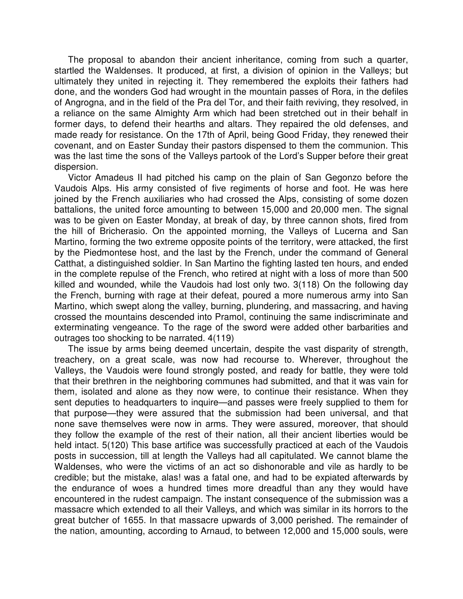The proposal to abandon their ancient inheritance, coming from such a quarter, startled the Waldenses. It produced, at first, a division of opinion in the Valleys; but ultimately they united in rejecting it. They remembered the exploits their fathers had done, and the wonders God had wrought in the mountain passes of Rora, in the defiles of Angrogna, and in the field of the Pra del Tor, and their faith reviving, they resolved, in a reliance on the same Almighty Arm which had been stretched out in their behalf in former days, to defend their hearths and altars. They repaired the old defenses, and made ready for resistance. On the 17th of April, being Good Friday, they renewed their covenant, and on Easter Sunday their pastors dispensed to them the communion. This was the last time the sons of the Valleys partook of the Lord's Supper before their great dispersion.

Victor Amadeus II had pitched his camp on the plain of San Gegonzo before the Vaudois Alps. His army consisted of five regiments of horse and foot. He was here joined by the French auxiliaries who had crossed the Alps, consisting of some dozen battalions, the united force amounting to between 15,000 and 20,000 men. The signal was to be given on Easter Monday, at break of day, by three cannon shots, fired from the hill of Bricherasio. On the appointed morning, the Valleys of Lucerna and San Martino, forming the two extreme opposite points of the territory, were attacked, the first by the Piedmontese host, and the last by the French, under the command of General Catthat, a distinguished soldier. In San Martino the fighting lasted ten hours, and ended in the complete repulse of the French, who retired at night with a loss of more than 500 killed and wounded, while the Vaudois had lost only two. 3(118) On the following day the French, burning with rage at their defeat, poured a more numerous army into San Martino, which swept along the valley, burning, plundering, and massacring, and having crossed the mountains descended into Pramol, continuing the same indiscriminate and exterminating vengeance. To the rage of the sword were added other barbarities and outrages too shocking to be narrated. 4(119)

The issue by arms being deemed uncertain, despite the vast disparity of strength, treachery, on a great scale, was now had recourse to. Wherever, throughout the Valleys, the Vaudois were found strongly posted, and ready for battle, they were told that their brethren in the neighboring communes had submitted, and that it was vain for them, isolated and alone as they now were, to continue their resistance. When they sent deputies to headquarters to inquire—and passes were freely supplied to them for that purpose—they were assured that the submission had been universal, and that none save themselves were now in arms. They were assured, moreover, that should they follow the example of the rest of their nation, all their ancient liberties would be held intact. 5(120) This base artifice was successfully practiced at each of the Vaudois posts in succession, till at length the Valleys had all capitulated. We cannot blame the Waldenses, who were the victims of an act so dishonorable and vile as hardly to be credible; but the mistake, alas! was a fatal one, and had to be expiated afterwards by the endurance of woes a hundred times more dreadful than any they would have encountered in the rudest campaign. The instant consequence of the submission was a massacre which extended to all their Valleys, and which was similar in its horrors to the great butcher of 1655. In that massacre upwards of 3,000 perished. The remainder of the nation, amounting, according to Arnaud, to between 12,000 and 15,000 souls, were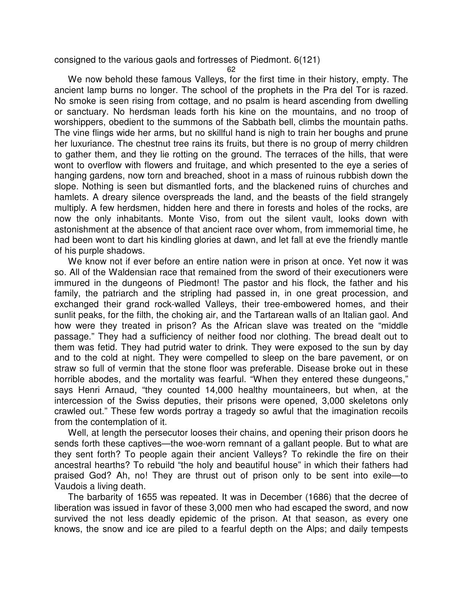consigned to the various gaols and fortresses of Piedmont. 6(121)

62

We now behold these famous Valleys, for the first time in their history, empty. The ancient lamp burns no longer. The school of the prophets in the Pra del Tor is razed. No smoke is seen rising from cottage, and no psalm is heard ascending from dwelling or sanctuary. No herdsman leads forth his kine on the mountains, and no troop of worshippers, obedient to the summons of the Sabbath bell, climbs the mountain paths. The vine flings wide her arms, but no skillful hand is nigh to train her boughs and prune her luxuriance. The chestnut tree rains its fruits, but there is no group of merry children to gather them, and they lie rotting on the ground. The terraces of the hills, that were wont to overflow with flowers and fruitage, and which presented to the eye a series of hanging gardens, now torn and breached, shoot in a mass of ruinous rubbish down the slope. Nothing is seen but dismantled forts, and the blackened ruins of churches and hamlets. A dreary silence overspreads the land, and the beasts of the field strangely multiply. A few herdsmen, hidden here and there in forests and holes of the rocks, are now the only inhabitants. Monte Viso, from out the silent vault, looks down with astonishment at the absence of that ancient race over whom, from immemorial time, he had been wont to dart his kindling glories at dawn, and let fall at eve the friendly mantle of his purple shadows.

We know not if ever before an entire nation were in prison at once. Yet now it was so. All of the Waldensian race that remained from the sword of their executioners were immured in the dungeons of Piedmont! The pastor and his flock, the father and his family, the patriarch and the stripling had passed in, in one great procession, and exchanged their grand rock-walled Valleys, their tree-embowered homes, and their sunlit peaks, for the filth, the choking air, and the Tartarean walls of an Italian gaol. And how were they treated in prison? As the African slave was treated on the "middle passage." They had a sufficiency of neither food nor clothing. The bread dealt out to them was fetid. They had putrid water to drink. They were exposed to the sun by day and to the cold at night. They were compelled to sleep on the bare pavement, or on straw so full of vermin that the stone floor was preferable. Disease broke out in these horrible abodes, and the mortality was fearful. "When they entered these dungeons," says Henri Arnaud, "they counted 14,000 healthy mountaineers, but when, at the intercession of the Swiss deputies, their prisons were opened, 3,000 skeletons only crawled out." These few words portray a tragedy so awful that the imagination recoils from the contemplation of it.

Well, at length the persecutor looses their chains, and opening their prison doors he sends forth these captives—the woe-worn remnant of a gallant people. But to what are they sent forth? To people again their ancient Valleys? To rekindle the fire on their ancestral hearths? To rebuild "the holy and beautiful house" in which their fathers had praised God? Ah, no! They are thrust out of prison only to be sent into exile—to Vaudois a living death.

The barbarity of 1655 was repeated. It was in December (1686) that the decree of liberation was issued in favor of these 3,000 men who had escaped the sword, and now survived the not less deadly epidemic of the prison. At that season, as every one knows, the snow and ice are piled to a fearful depth on the Alps; and daily tempests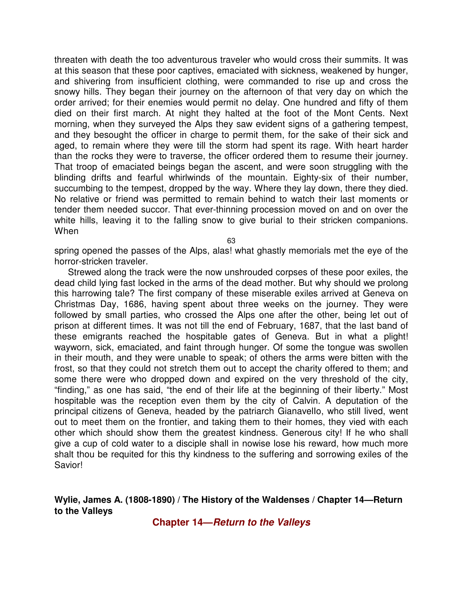threaten with death the too adventurous traveler who would cross their summits. It was at this season that these poor captives, emaciated with sickness, weakened by hunger, and shivering from insufficient clothing, were commanded to rise up and cross the snowy hills. They began their journey on the afternoon of that very day on which the order arrived; for their enemies would permit no delay. One hundred and fifty of them died on their first march. At night they halted at the foot of the Mont Cents. Next morning, when they surveyed the Alps they saw evident signs of a gathering tempest, and they besought the officer in charge to permit them, for the sake of their sick and aged, to remain where they were till the storm had spent its rage. With heart harder than the rocks they were to traverse, the officer ordered them to resume their journey. That troop of emaciated beings began the ascent, and were soon struggling with the blinding drifts and fearful whirlwinds of the mountain. Eighty-six of their number, succumbing to the tempest, dropped by the way. Where they lay down, there they died. No relative or friend was permitted to remain behind to watch their last moments or tender them needed succor. That ever-thinning procession moved on and on over the white hills, leaving it to the falling snow to give burial to their stricken companions. When

63

spring opened the passes of the Alps, alas! what ghastly memorials met the eye of the horror-stricken traveler.

Strewed along the track were the now unshrouded corpses of these poor exiles, the dead child lying fast locked in the arms of the dead mother. But why should we prolong this harrowing tale? The first company of these miserable exiles arrived at Geneva on Christmas Day, 1686, having spent about three weeks on the journey. They were followed by small parties, who crossed the Alps one after the other, being let out of prison at different times. It was not till the end of February, 1687, that the last band of these emigrants reached the hospitable gates of Geneva. But in what a plight! wayworn, sick, emaciated, and faint through hunger. Of some the tongue was swollen in their mouth, and they were unable to speak; of others the arms were bitten with the frost, so that they could not stretch them out to accept the charity offered to them; and some there were who dropped down and expired on the very threshold of the city, "finding," as one has said, "the end of their life at the beginning of their liberty." Most hospitable was the reception even them by the city of Calvin. A deputation of the principal citizens of Geneva, headed by the patriarch Gianavello, who still lived, went out to meet them on the frontier, and taking them to their homes, they vied with each other which should show them the greatest kindness. Generous city! If he who shall give a cup of cold water to a disciple shall in nowise lose his reward, how much more shalt thou be requited for this thy kindness to the suffering and sorrowing exiles of the Savior!

### **Wylie, James A. (1808-1890) / The History of the Waldenses / Chapter 14—Return to the Valleys**

**Chapter 14—Return to the Valleys**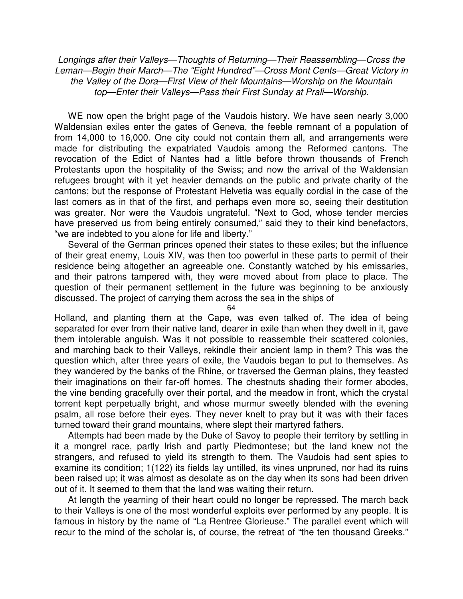Longings after their Valleys—Thoughts of Returning—Their Reassembling—Cross the Leman—Begin their March—The "Eight Hundred"—Cross Mont Cents—Great Victory in the Valley of the Dora—First View of their Mountains—Worship on the Mountain top—Enter their Valleys—Pass their First Sunday at Prali—Worship.

WE now open the bright page of the Vaudois history. We have seen nearly 3,000 Waldensian exiles enter the gates of Geneva, the feeble remnant of a population of from 14,000 to 16,000. One city could not contain them all, and arrangements were made for distributing the expatriated Vaudois among the Reformed cantons. The revocation of the Edict of Nantes had a little before thrown thousands of French Protestants upon the hospitality of the Swiss; and now the arrival of the Waldensian refugees brought with it yet heavier demands on the public and private charity of the cantons; but the response of Protestant Helvetia was equally cordial in the case of the last comers as in that of the first, and perhaps even more so, seeing their destitution was greater. Nor were the Vaudois ungrateful. "Next to God, whose tender mercies have preserved us from being entirely consumed," said they to their kind benefactors, "we are indebted to you alone for life and liberty."

Several of the German princes opened their states to these exiles; but the influence of their great enemy, Louis XIV, was then too powerful in these parts to permit of their residence being altogether an agreeable one. Constantly watched by his emissaries, and their patrons tampered with, they were moved about from place to place. The question of their permanent settlement in the future was beginning to be anxiously discussed. The project of carrying them across the sea in the ships of

64

Holland, and planting them at the Cape, was even talked of. The idea of being separated for ever from their native land, dearer in exile than when they dwelt in it, gave them intolerable anguish. Was it not possible to reassemble their scattered colonies, and marching back to their Valleys, rekindle their ancient lamp in them? This was the question which, after three years of exile, the Vaudois began to put to themselves. As they wandered by the banks of the Rhine, or traversed the German plains, they feasted their imaginations on their far-off homes. The chestnuts shading their former abodes, the vine bending gracefully over their portal, and the meadow in front, which the crystal torrent kept perpetually bright, and whose murmur sweetly blended with the evening psalm, all rose before their eyes. They never knelt to pray but it was with their faces turned toward their grand mountains, where slept their martyred fathers.

Attempts had been made by the Duke of Savoy to people their territory by settling in it a mongrel race, partly Irish and partly Piedmontese; but the land knew not the strangers, and refused to yield its strength to them. The Vaudois had sent spies to examine its condition; 1(122) its fields lay untilled, its vines unpruned, nor had its ruins been raised up; it was almost as desolate as on the day when its sons had been driven out of it. It seemed to them that the land was waiting their return.

At length the yearning of their heart could no longer be repressed. The march back to their Valleys is one of the most wonderful exploits ever performed by any people. It is famous in history by the name of "La Rentree Glorieuse." The parallel event which will recur to the mind of the scholar is, of course, the retreat of "the ten thousand Greeks."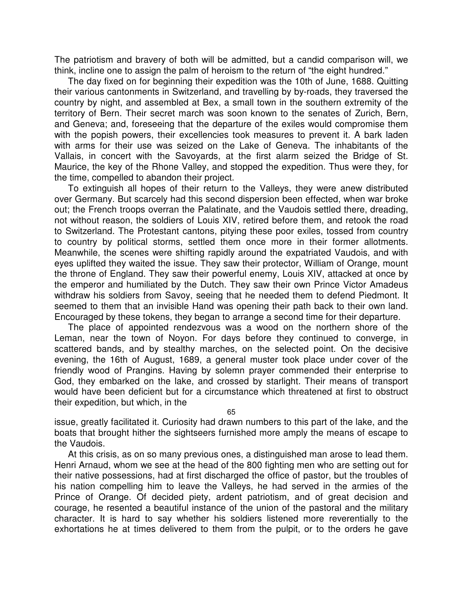The patriotism and bravery of both will be admitted, but a candid comparison will, we think, incline one to assign the palm of heroism to the return of "the eight hundred."

The day fixed on for beginning their expedition was the 10th of June, 1688. Quitting their various cantonments in Switzerland, and travelling by by-roads, they traversed the country by night, and assembled at Bex, a small town in the southern extremity of the territory of Bern. Their secret march was soon known to the senates of Zurich, Bern, and Geneva; and, foreseeing that the departure of the exiles would compromise them with the popish powers, their excellencies took measures to prevent it. A bark laden with arms for their use was seized on the Lake of Geneva. The inhabitants of the Vallais, in concert with the Savoyards, at the first alarm seized the Bridge of St. Maurice, the key of the Rhone Valley, and stopped the expedition. Thus were they, for the time, compelled to abandon their project.

To extinguish all hopes of their return to the Valleys, they were anew distributed over Germany. But scarcely had this second dispersion been effected, when war broke out; the French troops overran the Palatinate, and the Vaudois settled there, dreading, not without reason, the soldiers of Louis XIV, retired before them, and retook the road to Switzerland. The Protestant cantons, pitying these poor exiles, tossed from country to country by political storms, settled them once more in their former allotments. Meanwhile, the scenes were shifting rapidly around the expatriated Vaudois, and with eyes uplifted they waited the issue. They saw their protector, William of Orange, mount the throne of England. They saw their powerful enemy, Louis XIV, attacked at once by the emperor and humiliated by the Dutch. They saw their own Prince Victor Amadeus withdraw his soldiers from Savoy, seeing that he needed them to defend Piedmont. It seemed to them that an invisible Hand was opening their path back to their own land. Encouraged by these tokens, they began to arrange a second time for their departure.

The place of appointed rendezvous was a wood on the northern shore of the Leman, near the town of Noyon. For days before they continued to converge, in scattered bands, and by stealthy marches, on the selected point. On the decisive evening, the 16th of August, 1689, a general muster took place under cover of the friendly wood of Prangins. Having by solemn prayer commended their enterprise to God, they embarked on the lake, and crossed by starlight. Their means of transport would have been deficient but for a circumstance which threatened at first to obstruct their expedition, but which, in the

65

issue, greatly facilitated it. Curiosity had drawn numbers to this part of the lake, and the boats that brought hither the sightseers furnished more amply the means of escape to the Vaudois.

At this crisis, as on so many previous ones, a distinguished man arose to lead them. Henri Arnaud, whom we see at the head of the 800 fighting men who are setting out for their native possessions, had at first discharged the office of pastor, but the troubles of his nation compelling him to leave the Valleys, he had served in the armies of the Prince of Orange. Of decided piety, ardent patriotism, and of great decision and courage, he resented a beautiful instance of the union of the pastoral and the military character. It is hard to say whether his soldiers listened more reverentially to the exhortations he at times delivered to them from the pulpit, or to the orders he gave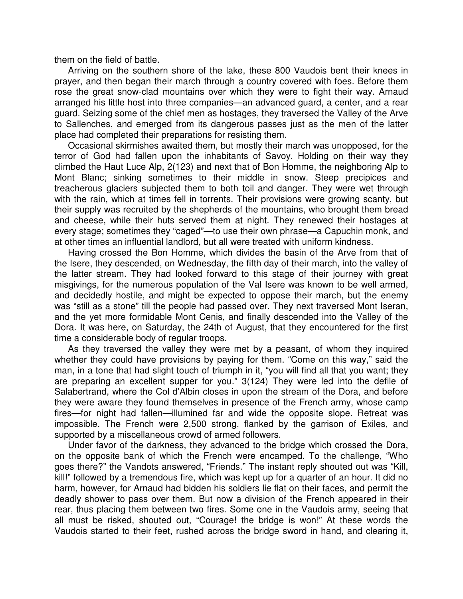them on the field of battle.

Arriving on the southern shore of the lake, these 800 Vaudois bent their knees in prayer, and then began their march through a country covered with foes. Before them rose the great snow-clad mountains over which they were to fight their way. Arnaud arranged his little host into three companies—an advanced guard, a center, and a rear guard. Seizing some of the chief men as hostages, they traversed the Valley of the Arve to Sallenches, and emerged from its dangerous passes just as the men of the latter place had completed their preparations for resisting them.

Occasional skirmishes awaited them, but mostly their march was unopposed, for the terror of God had fallen upon the inhabitants of Savoy. Holding on their way they climbed the Haut Luce Alp, 2(123) and next that of Bon Homme, the neighboring Alp to Mont Blanc; sinking sometimes to their middle in snow. Steep precipices and treacherous glaciers subjected them to both toil and danger. They were wet through with the rain, which at times fell in torrents. Their provisions were growing scanty, but their supply was recruited by the shepherds of the mountains, who brought them bread and cheese, while their huts served them at night. They renewed their hostages at every stage; sometimes they "caged"—to use their own phrase—a Capuchin monk, and at other times an influential landlord, but all were treated with uniform kindness.

Having crossed the Bon Homme, which divides the basin of the Arve from that of the Isere, they descended, on Wednesday, the fifth day of their march, into the valley of the latter stream. They had looked forward to this stage of their journey with great misgivings, for the numerous population of the Val Isere was known to be well armed, and decidedly hostile, and might be expected to oppose their march, but the enemy was "still as a stone" till the people had passed over. They next traversed Mont Iseran, and the yet more formidable Mont Cenis, and finally descended into the Valley of the Dora. It was here, on Saturday, the 24th of August, that they encountered for the first time a considerable body of regular troops.

As they traversed the valley they were met by a peasant, of whom they inquired whether they could have provisions by paying for them. "Come on this way," said the man, in a tone that had slight touch of triumph in it, "you will find all that you want; they are preparing an excellent supper for you." 3(124) They were led into the defile of Salabertrand, where the Col d'Albin closes in upon the stream of the Dora, and before they were aware they found themselves in presence of the French army, whose camp fires—for night had fallen—illumined far and wide the opposite slope. Retreat was impossible. The French were 2,500 strong, flanked by the garrison of Exiles, and supported by a miscellaneous crowd of armed followers.

Under favor of the darkness, they advanced to the bridge which crossed the Dora, on the opposite bank of which the French were encamped. To the challenge, "Who goes there?" the Vandots answered, "Friends." The instant reply shouted out was "Kill, kill!" followed by a tremendous fire, which was kept up for a quarter of an hour. It did no harm, however, for Arnaud had bidden his soldiers lie flat on their faces, and permit the deadly shower to pass over them. But now a division of the French appeared in their rear, thus placing them between two fires. Some one in the Vaudois army, seeing that all must be risked, shouted out, "Courage! the bridge is won!" At these words the Vaudois started to their feet, rushed across the bridge sword in hand, and clearing it,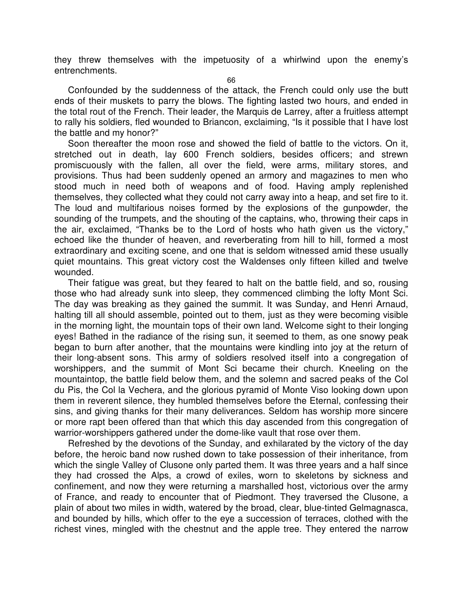they threw themselves with the impetuosity of a whirlwind upon the enemy's entrenchments.

66

Confounded by the suddenness of the attack, the French could only use the butt ends of their muskets to parry the blows. The fighting lasted two hours, and ended in the total rout of the French. Their leader, the Marquis de Larrey, after a fruitless attempt to rally his soldiers, fled wounded to Briancon, exclaiming, "Is it possible that I have lost the battle and my honor?"

Soon thereafter the moon rose and showed the field of battle to the victors. On it, stretched out in death, lay 600 French soldiers, besides officers; and strewn promiscuously with the fallen, all over the field, were arms, military stores, and provisions. Thus had been suddenly opened an armory and magazines to men who stood much in need both of weapons and of food. Having amply replenished themselves, they collected what they could not carry away into a heap, and set fire to it. The loud and multifarious noises formed by the explosions of the gunpowder, the sounding of the trumpets, and the shouting of the captains, who, throwing their caps in the air, exclaimed, "Thanks be to the Lord of hosts who hath given us the victory," echoed like the thunder of heaven, and reverberating from hill to hill, formed a most extraordinary and exciting scene, and one that is seldom witnessed amid these usually quiet mountains. This great victory cost the Waldenses only fifteen killed and twelve wounded.

Their fatigue was great, but they feared to halt on the battle field, and so, rousing those who had already sunk into sleep, they commenced climbing the lofty Mont Sci. The day was breaking as they gained the summit. It was Sunday, and Henri Arnaud, halting till all should assemble, pointed out to them, just as they were becoming visible in the morning light, the mountain tops of their own land. Welcome sight to their longing eyes! Bathed in the radiance of the rising sun, it seemed to them, as one snowy peak began to burn after another, that the mountains were kindling into joy at the return of their long-absent sons. This army of soldiers resolved itself into a congregation of worshippers, and the summit of Mont Sci became their church. Kneeling on the mountaintop, the battle field below them, and the solemn and sacred peaks of the Col du Pis, the Col la Vechera, and the glorious pyramid of Monte Viso looking down upon them in reverent silence, they humbled themselves before the Eternal, confessing their sins, and giving thanks for their many deliverances. Seldom has worship more sincere or more rapt been offered than that which this day ascended from this congregation of warrior-worshippers gathered under the dome-like vault that rose over them.

Refreshed by the devotions of the Sunday, and exhilarated by the victory of the day before, the heroic band now rushed down to take possession of their inheritance, from which the single Valley of Clusone only parted them. It was three years and a half since they had crossed the Alps, a crowd of exiles, worn to skeletons by sickness and confinement, and now they were returning a marshalled host, victorious over the army of France, and ready to encounter that of Piedmont. They traversed the Clusone, a plain of about two miles in width, watered by the broad, clear, blue-tinted Gelmagnasca, and bounded by hills, which offer to the eye a succession of terraces, clothed with the richest vines, mingled with the chestnut and the apple tree. They entered the narrow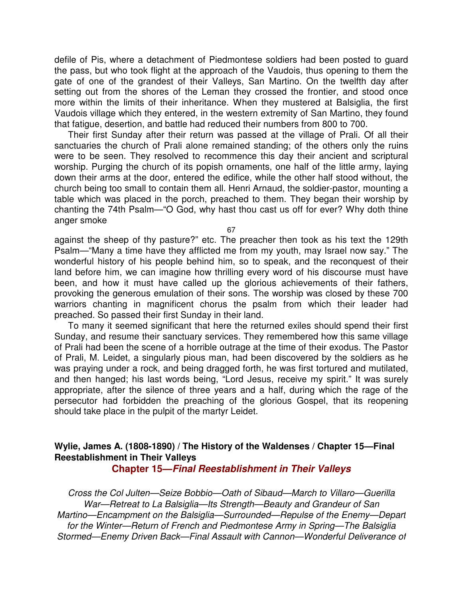defile of Pis, where a detachment of Piedmontese soldiers had been posted to guard the pass, but who took flight at the approach of the Vaudois, thus opening to them the gate of one of the grandest of their Valleys, San Martino. On the twelfth day after setting out from the shores of the Leman they crossed the frontier, and stood once more within the limits of their inheritance. When they mustered at Balsiglia, the first Vaudois village which they entered, in the western extremity of San Martino, they found that fatigue, desertion, and battle had reduced their numbers from 800 to 700.

Their first Sunday after their return was passed at the village of Prali. Of all their sanctuaries the church of Prali alone remained standing; of the others only the ruins were to be seen. They resolved to recommence this day their ancient and scriptural worship. Purging the church of its popish ornaments, one half of the little army, laying down their arms at the door, entered the edifice, while the other half stood without, the church being too small to contain them all. Henri Arnaud, the soldier-pastor, mounting a table which was placed in the porch, preached to them. They began their worship by chanting the 74th Psalm—"O God, why hast thou cast us off for ever? Why doth thine anger smoke

67

against the sheep of thy pasture?" etc. The preacher then took as his text the 129th Psalm—"Many a time have they afflicted me from my youth, may Israel now say." The wonderful history of his people behind him, so to speak, and the reconquest of their land before him, we can imagine how thrilling every word of his discourse must have been, and how it must have called up the glorious achievements of their fathers, provoking the generous emulation of their sons. The worship was closed by these 700 warriors chanting in magnificent chorus the psalm from which their leader had preached. So passed their first Sunday in their land.

To many it seemed significant that here the returned exiles should spend their first Sunday, and resume their sanctuary services. They remembered how this same village of Prali had been the scene of a horrible outrage at the time of their exodus. The Pastor of Prali, M. Leidet, a singularly pious man, had been discovered by the soldiers as he was praying under a rock, and being dragged forth, he was first tortured and mutilated, and then hanged; his last words being, "Lord Jesus, receive my spirit." It was surely appropriate, after the silence of three years and a half, during which the rage of the persecutor had forbidden the preaching of the glorious Gospel, that its reopening should take place in the pulpit of the martyr Leidet.

# **Wylie, James A. (1808-1890) / The History of the Waldenses / Chapter 15—Final Reestablishment in Their Valleys**

**Chapter 15—Final Reestablishment in Their Valleys**

Cross the Col Julten—Seize Bobbio—Oath of Sibaud—March to Villaro—Guerilla War—Retreat to La Balsiglia—Its Strength—Beauty and Grandeur of San Martino—Encampment on the Balsiglia—Surrounded—Repulse of the Enemy—Depart for the Winter—Return of French and Piedmontese Army in Spring—The Balsiglia Stormed—Enemy Driven Back—Final Assault with Cannon—Wonderful Deliverance of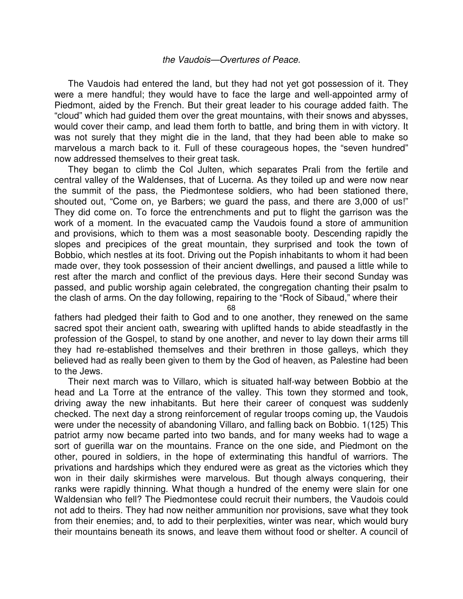#### the Vaudois—Overtures of Peace.

The Vaudois had entered the land, but they had not yet got possession of it. They were a mere handful; they would have to face the large and well-appointed army of Piedmont, aided by the French. But their great leader to his courage added faith. The "cloud" which had guided them over the great mountains, with their snows and abysses, would cover their camp, and lead them forth to battle, and bring them in with victory. It was not surely that they might die in the land, that they had been able to make so marvelous a march back to it. Full of these courageous hopes, the "seven hundred" now addressed themselves to their great task.

They began to climb the Col Julten, which separates Prali from the fertile and central valley of the Waldenses, that of Lucerna. As they toiled up and were now near the summit of the pass, the Piedmontese soldiers, who had been stationed there, shouted out, "Come on, ye Barbers; we guard the pass, and there are 3,000 of us!" They did come on. To force the entrenchments and put to flight the garrison was the work of a moment. In the evacuated camp the Vaudois found a store of ammunition and provisions, which to them was a most seasonable booty. Descending rapidly the slopes and precipices of the great mountain, they surprised and took the town of Bobbio, which nestles at its foot. Driving out the Popish inhabitants to whom it had been made over, they took possession of their ancient dwellings, and paused a little while to rest after the march and conflict of the previous days. Here their second Sunday was passed, and public worship again celebrated, the congregation chanting their psalm to the clash of arms. On the day following, repairing to the "Rock of Sibaud," where their

68

fathers had pledged their faith to God and to one another, they renewed on the same sacred spot their ancient oath, swearing with uplifted hands to abide steadfastly in the profession of the Gospel, to stand by one another, and never to lay down their arms till they had re-established themselves and their brethren in those galleys, which they believed had as really been given to them by the God of heaven, as Palestine had been to the Jews.

Their next march was to Villaro, which is situated half-way between Bobbio at the head and La Torre at the entrance of the valley. This town they stormed and took, driving away the new inhabitants. But here their career of conquest was suddenly checked. The next day a strong reinforcement of regular troops coming up, the Vaudois were under the necessity of abandoning Villaro, and falling back on Bobbio. 1(125) This patriot army now became parted into two bands, and for many weeks had to wage a sort of guerilla war on the mountains. France on the one side, and Piedmont on the other, poured in soldiers, in the hope of exterminating this handful of warriors. The privations and hardships which they endured were as great as the victories which they won in their daily skirmishes were marvelous. But though always conquering, their ranks were rapidly thinning. What though a hundred of the enemy were slain for one Waldensian who fell? The Piedmontese could recruit their numbers, the Vaudois could not add to theirs. They had now neither ammunition nor provisions, save what they took from their enemies; and, to add to their perplexities, winter was near, which would bury their mountains beneath its snows, and leave them without food or shelter. A council of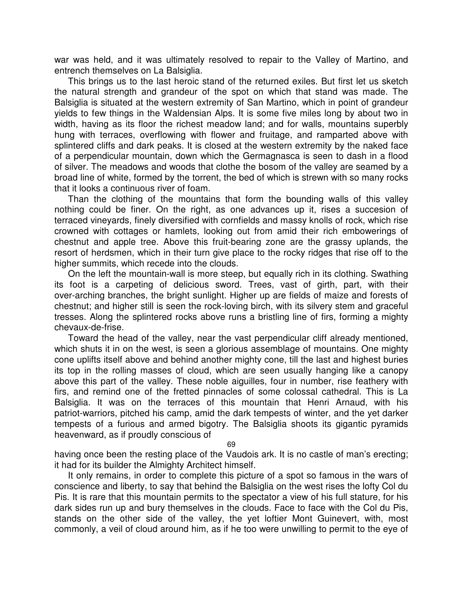war was held, and it was ultimately resolved to repair to the Valley of Martino, and entrench themselves on La Balsiglia.

This brings us to the last heroic stand of the returned exiles. But first let us sketch the natural strength and grandeur of the spot on which that stand was made. The Balsiglia is situated at the western extremity of San Martino, which in point of grandeur yields to few things in the Waldensian Alps. It is some five miles long by about two in width, having as its floor the richest meadow land; and for walls, mountains superbly hung with terraces, overflowing with flower and fruitage, and ramparted above with splintered cliffs and dark peaks. It is closed at the western extremity by the naked face of a perpendicular mountain, down which the Germagnasca is seen to dash in a flood of silver. The meadows and woods that clothe the bosom of the valley are seamed by a broad line of white, formed by the torrent, the bed of which is strewn with so many rocks that it looks a continuous river of foam.

Than the clothing of the mountains that form the bounding walls of this valley nothing could be finer. On the right, as one advances up it, rises a succesion of terraced vineyards, finely diversified with cornfields and massy knolls of rock, which rise crowned with cottages or hamlets, looking out from amid their rich embowerings of chestnut and apple tree. Above this fruit-bearing zone are the grassy uplands, the resort of herdsmen, which in their turn give place to the rocky ridges that rise off to the higher summits, which recede into the clouds.

On the left the mountain-wall is more steep, but equally rich in its clothing. Swathing its foot is a carpeting of delicious sword. Trees, vast of girth, part, with their over-arching branches, the bright sunlight. Higher up are fields of maize and forests of chestnut; and higher still is seen the rock-loving birch, with its silvery stem and graceful tresses. Along the splintered rocks above runs a bristling line of firs, forming a mighty chevaux-de-frise.

Toward the head of the valley, near the vast perpendicular cliff already mentioned, which shuts it in on the west, is seen a glorious assemblage of mountains. One mighty cone uplifts itself above and behind another mighty cone, till the last and highest buries its top in the rolling masses of cloud, which are seen usually hanging like a canopy above this part of the valley. These noble aiguilles, four in number, rise feathery with firs, and remind one of the fretted pinnacles of some colossal cathedral. This is La Balsiglia. It was on the terraces of this mountain that Henri Arnaud, with his patriot-warriors, pitched his camp, amid the dark tempests of winter, and the yet darker tempests of a furious and armed bigotry. The Balsiglia shoots its gigantic pyramids heavenward, as if proudly conscious of

69

having once been the resting place of the Vaudois ark. It is no castle of man's erecting; it had for its builder the Almighty Architect himself.

It only remains, in order to complete this picture of a spot so famous in the wars of conscience and liberty, to say that behind the Balsiglia on the west rises the lofty Col du Pis. It is rare that this mountain permits to the spectator a view of his full stature, for his dark sides run up and bury themselves in the clouds. Face to face with the Col du Pis, stands on the other side of the valley, the yet loftier Mont Guinevert, with, most commonly, a veil of cloud around him, as if he too were unwilling to permit to the eye of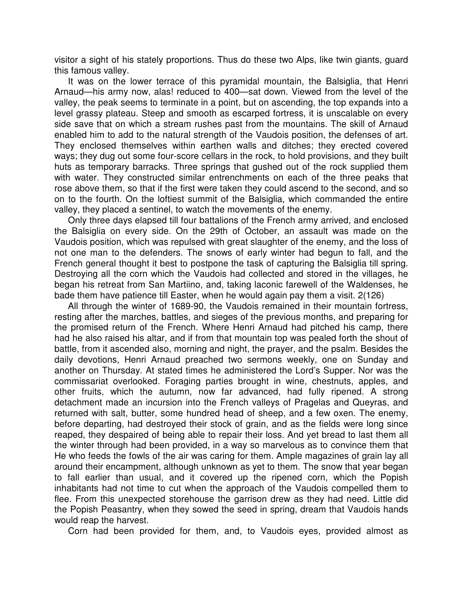visitor a sight of his stately proportions. Thus do these two Alps, like twin giants, guard this famous valley.

It was on the lower terrace of this pyramidal mountain, the Balsiglia, that Henri Arnaud—his army now, alas! reduced to 400—sat down. Viewed from the level of the valley, the peak seems to terminate in a point, but on ascending, the top expands into a level grassy plateau. Steep and smooth as escarped fortress, it is unscalable on every side save that on which a stream rushes past from the mountains. The skill of Arnaud enabled him to add to the natural strength of the Vaudois position, the defenses of art. They enclosed themselves within earthen walls and ditches; they erected covered ways; they dug out some four-score cellars in the rock, to hold provisions, and they built huts as temporary barracks. Three springs that gushed out of the rock supplied them with water. They constructed similar entrenchments on each of the three peaks that rose above them, so that if the first were taken they could ascend to the second, and so on to the fourth. On the loftiest summit of the Balsiglia, which commanded the entire valley, they placed a sentinel, to watch the movements of the enemy.

Only three days elapsed till four battalions of the French army arrived, and enclosed the Balsiglia on every side. On the 29th of October, an assault was made on the Vaudois position, which was repulsed with great slaughter of the enemy, and the loss of not one man to the defenders. The snows of early winter had begun to fall, and the French general thought it best to postpone the task of capturing the Balsiglia till spring. Destroying all the corn which the Vaudois had collected and stored in the villages, he began his retreat from San Martiino, and, taking laconic farewell of the Waldenses, he bade them have patience till Easter, when he would again pay them a visit. 2(126)

All through the winter of 1689-90, the Vaudois remained in their mountain fortress, resting after the marches, battles, and sieges of the previous months, and preparing for the promised return of the French. Where Henri Arnaud had pitched his camp, there had he also raised his altar, and if from that mountain top was pealed forth the shout of battle, from it ascended also, morning and night, the prayer, and the psalm. Besides the daily devotions, Henri Arnaud preached two sermons weekly, one on Sunday and another on Thursday. At stated times he administered the Lord's Supper. Nor was the commissariat overlooked. Foraging parties brought in wine, chestnuts, apples, and other fruits, which the autumn, now far advanced, had fully ripened. A strong detachment made an incursion into the French valleys of Pragelas and Queyras, and returned with salt, butter, some hundred head of sheep, and a few oxen. The enemy, before departing, had destroyed their stock of grain, and as the fields were long since reaped, they despaired of being able to repair their loss. And yet bread to last them all the winter through had been provided, in a way so marvelous as to convince them that He who feeds the fowls of the air was caring for them. Ample magazines of grain lay all around their encampment, although unknown as yet to them. The snow that year began to fall earlier than usual, and it covered up the ripened corn, which the Popish inhabitants had not time to cut when the approach of the Vaudois compelled them to flee. From this unexpected storehouse the garrison drew as they had need. Little did the Popish Peasantry, when they sowed the seed in spring, dream that Vaudois hands would reap the harvest.

Corn had been provided for them, and, to Vaudois eyes, provided almost as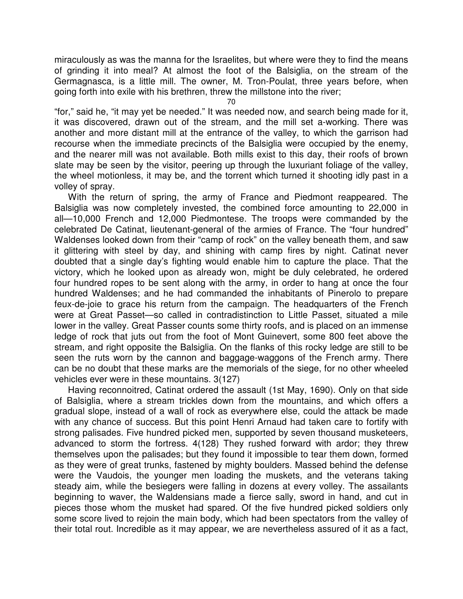miraculously as was the manna for the Israelites, but where were they to find the means of grinding it into meal? At almost the foot of the Balsiglia, on the stream of the Germagnasca, is a little mill. The owner, M. Tron-Poulat, three years before, when going forth into exile with his brethren, threw the millstone into the river;

70

"for," said he, "it may yet be needed." It was needed now, and search being made for it, it was discovered, drawn out of the stream, and the mill set a-working. There was another and more distant mill at the entrance of the valley, to which the garrison had recourse when the immediate precincts of the Balsiglia were occupied by the enemy, and the nearer mill was not available. Both mills exist to this day, their roofs of brown slate may be seen by the visitor, peering up through the luxuriant foliage of the valley, the wheel motionless, it may be, and the torrent which turned it shooting idly past in a volley of spray.

With the return of spring, the army of France and Piedmont reappeared. The Balsiglia was now completely invested, the combined force amounting to 22,000 in all—10,000 French and 12,000 Piedmontese. The troops were commanded by the celebrated De Catinat, lieutenant-general of the armies of France. The "four hundred" Waldenses looked down from their "camp of rock" on the valley beneath them, and saw it glittering with steel by day, and shining with camp fires by night. Catinat never doubted that a single day's fighting would enable him to capture the place. That the victory, which he looked upon as already won, might be duly celebrated, he ordered four hundred ropes to be sent along with the army, in order to hang at once the four hundred Waldenses; and he had commanded the inhabitants of Pinerolo to prepare feux-de-joie to grace his return from the campaign. The headquarters of the French were at Great Passet—so called in contradistinction to Little Passet, situated a mile lower in the valley. Great Passer counts some thirty roofs, and is placed on an immense ledge of rock that juts out from the foot of Mont Guinevert, some 800 feet above the stream, and right opposite the Balsiglia. On the flanks of this rocky ledge are still to be seen the ruts worn by the cannon and baggage-waggons of the French army. There can be no doubt that these marks are the memorials of the siege, for no other wheeled vehicles ever were in these mountains. 3(127)

Having reconnoitred, Catinat ordered the assault (1st May, 1690). Only on that side of Balsiglia, where a stream trickles down from the mountains, and which offers a gradual slope, instead of a wall of rock as everywhere else, could the attack be made with any chance of success. But this point Henri Arnaud had taken care to fortify with strong palisades. Five hundred picked men, supported by seven thousand musketeers, advanced to storm the fortress. 4(128) They rushed forward with ardor; they threw themselves upon the palisades; but they found it impossible to tear them down, formed as they were of great trunks, fastened by mighty boulders. Massed behind the defense were the Vaudois, the younger men loading the muskets, and the veterans taking steady aim, while the besiegers were falling in dozens at every volley. The assailants beginning to waver, the Waldensians made a fierce sally, sword in hand, and cut in pieces those whom the musket had spared. Of the five hundred picked soldiers only some score lived to rejoin the main body, which had been spectators from the valley of their total rout. Incredible as it may appear, we are nevertheless assured of it as a fact,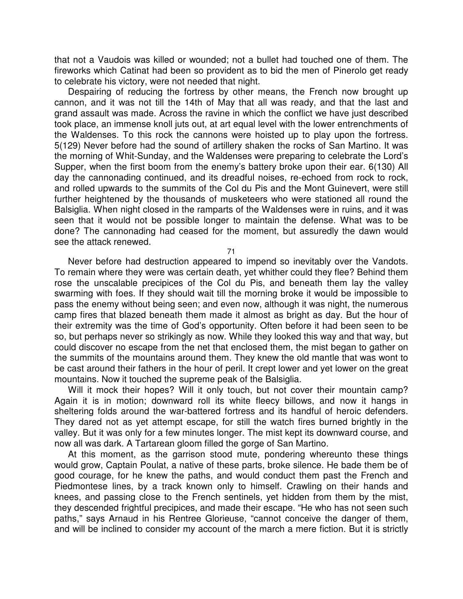that not a Vaudois was killed or wounded; not a bullet had touched one of them. The fireworks which Catinat had been so provident as to bid the men of Pinerolo get ready to celebrate his victory, were not needed that night.

Despairing of reducing the fortress by other means, the French now brought up cannon, and it was not till the 14th of May that all was ready, and that the last and grand assault was made. Across the ravine in which the conflict we have just described took place, an immense knoll juts out, at art equal level with the lower entrenchments of the Waldenses. To this rock the cannons were hoisted up to play upon the fortress. 5(129) Never before had the sound of artillery shaken the rocks of San Martino. It was the morning of Whit-Sunday, and the Waldenses were preparing to celebrate the Lord's Supper, when the first boom from the enemy's battery broke upon their ear. 6(130) All day the cannonading continued, and its dreadful noises, re-echoed from rock to rock, and rolled upwards to the summits of the Col du Pis and the Mont Guinevert, were still further heightened by the thousands of musketeers who were stationed all round the Balsiglia. When night closed in the ramparts of the Waldenses were in ruins, and it was seen that it would not be possible longer to maintain the defense. What was to be done? The cannonading had ceased for the moment, but assuredly the dawn would see the attack renewed.

71

Never before had destruction appeared to impend so inevitably over the Vandots. To remain where they were was certain death, yet whither could they flee? Behind them rose the unscalable precipices of the Col du Pis, and beneath them lay the valley swarming with foes. If they should wait till the morning broke it would be impossible to pass the enemy without being seen; and even now, although it was night, the numerous camp fires that blazed beneath them made it almost as bright as day. But the hour of their extremity was the time of God's opportunity. Often before it had been seen to be so, but perhaps never so strikingly as now. While they looked this way and that way, but could discover no escape from the net that enclosed them, the mist began to gather on the summits of the mountains around them. They knew the old mantle that was wont to be cast around their fathers in the hour of peril. It crept lower and yet lower on the great mountains. Now it touched the supreme peak of the Balsiglia.

Will it mock their hopes? Will it only touch, but not cover their mountain camp? Again it is in motion; downward roll its white fleecy billows, and now it hangs in sheltering folds around the war-battered fortress and its handful of heroic defenders. They dared not as yet attempt escape, for still the watch fires burned brightly in the valley. But it was only for a few minutes longer. The mist kept its downward course, and now all was dark. A Tartarean gloom filled the gorge of San Martino.

At this moment, as the garrison stood mute, pondering whereunto these things would grow, Captain Poulat, a native of these parts, broke silence. He bade them be of good courage, for he knew the paths, and would conduct them past the French and Piedmontese lines, by a track known only to himself. Crawling on their hands and knees, and passing close to the French sentinels, yet hidden from them by the mist, they descended frightful precipices, and made their escape. "He who has not seen such paths," says Arnaud in his Rentree Glorieuse, "cannot conceive the danger of them, and will be inclined to consider my account of the march a mere fiction. But it is strictly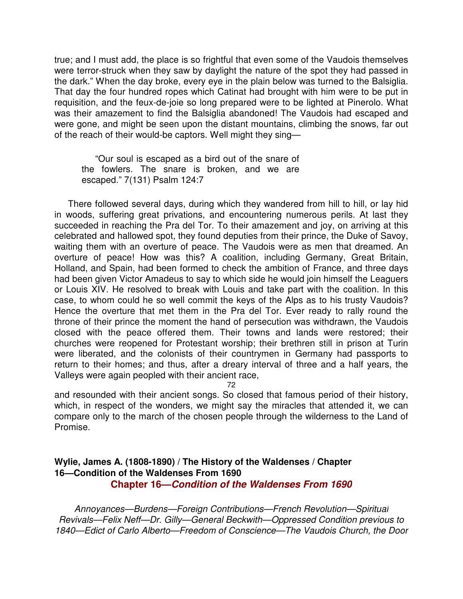true; and I must add, the place is so frightful that even some of the Vaudois themselves were terror-struck when they saw by daylight the nature of the spot they had passed in the dark." When the day broke, every eye in the plain below was turned to the Balsiglia. That day the four hundred ropes which Catinat had brought with him were to be put in requisition, and the feux-de-joie so long prepared were to be lighted at Pinerolo. What was their amazement to find the Balsiglia abandoned! The Vaudois had escaped and were gone, and might be seen upon the distant mountains, climbing the snows, far out of the reach of their would-be captors. Well might they sing—

"Our soul is escaped as a bird out of the snare of the fowlers. The snare is broken, and we are escaped." 7(131) Psalm 124:7

There followed several days, during which they wandered from hill to hill, or lay hid in woods, suffering great privations, and encountering numerous perils. At last they succeeded in reaching the Pra del Tor. To their amazement and joy, on arriving at this celebrated and hallowed spot, they found deputies from their prince, the Duke of Savoy, waiting them with an overture of peace. The Vaudois were as men that dreamed. An overture of peace! How was this? A coalition, including Germany, Great Britain, Holland, and Spain, had been formed to check the ambition of France, and three days had been given Victor Amadeus to say to which side he would join himself the Leaguers or Louis XIV. He resolved to break with Louis and take part with the coalition. In this case, to whom could he so well commit the keys of the Alps as to his trusty Vaudois? Hence the overture that met them in the Pra del Tor. Ever ready to rally round the throne of their prince the moment the hand of persecution was withdrawn, the Vaudois closed with the peace offered them. Their towns and lands were restored; their churches were reopened for Protestant worship; their brethren still in prison at Turin were liberated, and the colonists of their countrymen in Germany had passports to return to their homes; and thus, after a dreary interval of three and a half years, the Valleys were again peopled with their ancient race,

72

and resounded with their ancient songs. So closed that famous period of their history, which, in respect of the wonders, we might say the miracles that attended it, we can compare only to the march of the chosen people through the wilderness to the Land of Promise.

## **Wylie, James A. (1808-1890) / The History of the Waldenses / Chapter 16—Condition of the Waldenses From 1690 Chapter 16—Condition of the Waldenses From 1690**

Annoyances—Burdens—Foreign Contributions—French Revolution—Spiritual Revivals—Felix Neff—Dr. Gilly—General Beckwith—Oppressed Condition previous to 1840—Edict of Carlo Alberto—Freedom of Conscience—The Vaudois Church, the Door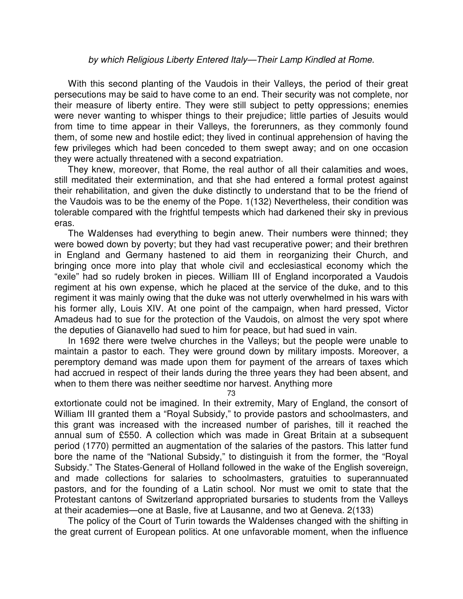#### by which Religious Liberty Entered Italy—Their Lamp Kindled at Rome.

With this second planting of the Vaudois in their Valleys, the period of their great persecutions may be said to have come to an end. Their security was not complete, nor their measure of liberty entire. They were still subject to petty oppressions; enemies were never wanting to whisper things to their prejudice; little parties of Jesuits would from time to time appear in their Valleys, the forerunners, as they commonly found them, of some new and hostile edict; they lived in continual apprehension of having the few privileges which had been conceded to them swept away; and on one occasion they were actually threatened with a second expatriation.

They knew, moreover, that Rome, the real author of all their calamities and woes, still meditated their extermination, and that she had entered a formal protest against their rehabilitation, and given the duke distinctly to understand that to be the friend of the Vaudois was to be the enemy of the Pope. 1(132) Nevertheless, their condition was tolerable compared with the frightful tempests which had darkened their sky in previous eras.

The Waldenses had everything to begin anew. Their numbers were thinned; they were bowed down by poverty; but they had vast recuperative power; and their brethren in England and Germany hastened to aid them in reorganizing their Church, and bringing once more into play that whole civil and ecclesiastical economy which the "exile" had so rudely broken in pieces. William III of England incorporated a Vaudois regiment at his own expense, which he placed at the service of the duke, and to this regiment it was mainly owing that the duke was not utterly overwhelmed in his wars with his former ally, Louis XIV. At one point of the campaign, when hard pressed, Victor Amadeus had to sue for the protection of the Vaudois, on almost the very spot where the deputies of Gianavello had sued to him for peace, but had sued in vain.

In 1692 there were twelve churches in the Valleys; but the people were unable to maintain a pastor to each. They were ground down by military imposts. Moreover, a peremptory demand was made upon them for payment of the arrears of taxes which had accrued in respect of their lands during the three years they had been absent, and when to them there was neither seedtime nor harvest. Anything more

73

extortionate could not be imagined. In their extremity, Mary of England, the consort of William III granted them a "Royal Subsidy," to provide pastors and schoolmasters, and this grant was increased with the increased number of parishes, till it reached the annual sum of £550. A collection which was made in Great Britain at a subsequent period (1770) permitted an augmentation of the salaries of the pastors. This latter fund bore the name of the "National Subsidy," to distinguish it from the former, the "Royal Subsidy." The States-General of Holland followed in the wake of the English sovereign, and made collections for salaries to schoolmasters, gratuities to superannuated pastors, and for the founding of a Latin school. Nor must we omit to state that the Protestant cantons of Switzerland appropriated bursaries to students from the Valleys at their academies—one at Basle, five at Lausanne, and two at Geneva. 2(133)

The policy of the Court of Turin towards the Waldenses changed with the shifting in the great current of European politics. At one unfavorable moment, when the influence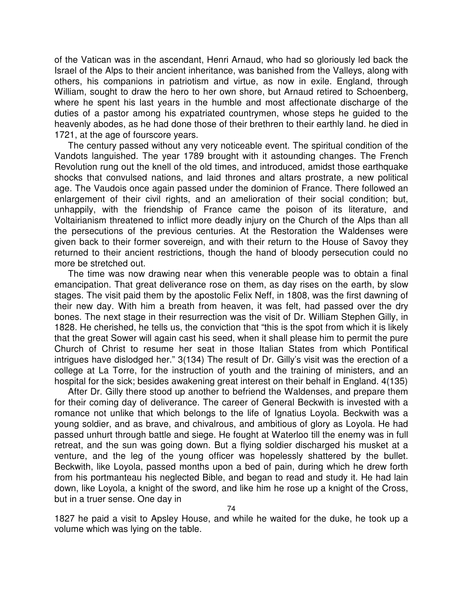of the Vatican was in the ascendant, Henri Arnaud, who had so gloriously led back the Israel of the Alps to their ancient inheritance, was banished from the Valleys, along with others, his companions in patriotism and virtue, as now in exile. England, through William, sought to draw the hero to her own shore, but Arnaud retired to Schoenberg, where he spent his last years in the humble and most affectionate discharge of the duties of a pastor among his expatriated countrymen, whose steps he guided to the heavenly abodes, as he had done those of their brethren to their earthly land. he died in 1721, at the age of fourscore years.

The century passed without any very noticeable event. The spiritual condition of the Vandots languished. The year 1789 brought with it astounding changes. The French Revolution rung out the knell of the old times, and introduced, amidst those earthquake shocks that convulsed nations, and laid thrones and altars prostrate, a new political age. The Vaudois once again passed under the dominion of France. There followed an enlargement of their civil rights, and an amelioration of their social condition; but, unhappily, with the friendship of France came the poison of its literature, and Voltairianism threatened to inflict more deadly injury on the Church of the Alps than all the persecutions of the previous centuries. At the Restoration the Waldenses were given back to their former sovereign, and with their return to the House of Savoy they returned to their ancient restrictions, though the hand of bloody persecution could no more be stretched out.

The time was now drawing near when this venerable people was to obtain a final emancipation. That great deliverance rose on them, as day rises on the earth, by slow stages. The visit paid them by the apostolic Felix Neff, in 1808, was the first dawning of their new day. With him a breath from heaven, it was felt, had passed over the dry bones. The next stage in their resurrection was the visit of Dr. William Stephen Gilly, in 1828. He cherished, he tells us, the conviction that "this is the spot from which it is likely that the great Sower will again cast his seed, when it shall please him to permit the pure Church of Christ to resume her seat in those Italian States from which Pontifical intrigues have dislodged her." 3(134) The result of Dr. Gilly's visit was the erection of a college at La Torre, for the instruction of youth and the training of ministers, and an hospital for the sick; besides awakening great interest on their behalf in England. 4(135)

After Dr. Gilly there stood up another to befriend the Waldenses, and prepare them for their coming day of deliverance. The career of General Beckwith is invested with a romance not unlike that which belongs to the life of Ignatius Loyola. Beckwith was a young soldier, and as brave, and chivalrous, and ambitious of glory as Loyola. He had passed unhurt through battle and siege. He fought at Waterloo till the enemy was in full retreat, and the sun was going down. But a flying soldier discharged his musket at a venture, and the leg of the young officer was hopelessly shattered by the bullet. Beckwith, like Loyola, passed months upon a bed of pain, during which he drew forth from his portmanteau his neglected Bible, and began to read and study it. He had lain down, like Loyola, a knight of the sword, and like him he rose up a knight of the Cross, but in a truer sense. One day in

1827 he paid a visit to Apsley House, and while he waited for the duke, he took up a volume which was lying on the table.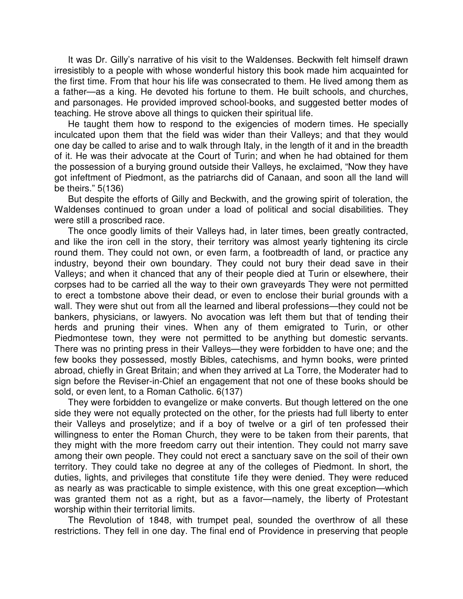It was Dr. Gilly's narrative of his visit to the Waldenses. Beckwith felt himself drawn irresistibly to a people with whose wonderful history this book made him acquainted for the first time. From that hour his life was consecrated to them. He lived among them as a father—as a king. He devoted his fortune to them. He built schools, and churches, and parsonages. He provided improved school-books, and suggested better modes of teaching. He strove above all things to quicken their spiritual life.

He taught them how to respond to the exigencies of modern times. He specially inculcated upon them that the field was wider than their Valleys; and that they would one day be called to arise and to walk through Italy, in the length of it and in the breadth of it. He was their advocate at the Court of Turin; and when he had obtained for them the possession of a burying ground outside their Valleys, he exclaimed, "Now they have got infeftment of Piedmont, as the patriarchs did of Canaan, and soon all the land will be theirs." 5(136)

But despite the efforts of Gilly and Beckwith, and the growing spirit of toleration, the Waldenses continued to groan under a load of political and social disabilities. They were still a proscribed race.

The once goodly limits of their Valleys had, in later times, been greatly contracted, and like the iron cell in the story, their territory was almost yearly tightening its circle round them. They could not own, or even farm, a footbreadth of land, or practice any industry, beyond their own boundary. They could not bury their dead save in their Valleys; and when it chanced that any of their people died at Turin or elsewhere, their corpses had to be carried all the way to their own graveyards They were not permitted to erect a tombstone above their dead, or even to enclose their burial grounds with a wall. They were shut out from all the learned and liberal professions—they could not be bankers, physicians, or lawyers. No avocation was left them but that of tending their herds and pruning their vines. When any of them emigrated to Turin, or other Piedmontese town, they were not permitted to be anything but domestic servants. There was no printing press in their Valleys—they were forbidden to have one; and the few books they possessed, mostly Bibles, catechisms, and hymn books, were printed abroad, chiefly in Great Britain; and when they arrived at La Torre, the Moderater had to sign before the Reviser-in-Chief an engagement that not one of these books should be sold, or even lent, to a Roman Catholic. 6(137)

They were forbidden to evangelize or make converts. But though lettered on the one side they were not equally protected on the other, for the priests had full liberty to enter their Valleys and proselytize; and if a boy of twelve or a girl of ten professed their willingness to enter the Roman Church, they were to be taken from their parents, that they might with the more freedom carry out their intention. They could not marry save among their own people. They could not erect a sanctuary save on the soil of their own territory. They could take no degree at any of the colleges of Piedmont. In short, the duties, lights, and privileges that constitute 1ife they were denied. They were reduced as nearly as was practicable to simple existence, with this one great exception—which was granted them not as a right, but as a favor—namely, the liberty of Protestant worship within their territorial limits.

The Revolution of 1848, with trumpet peal, sounded the overthrow of all these restrictions. They fell in one day. The final end of Providence in preserving that people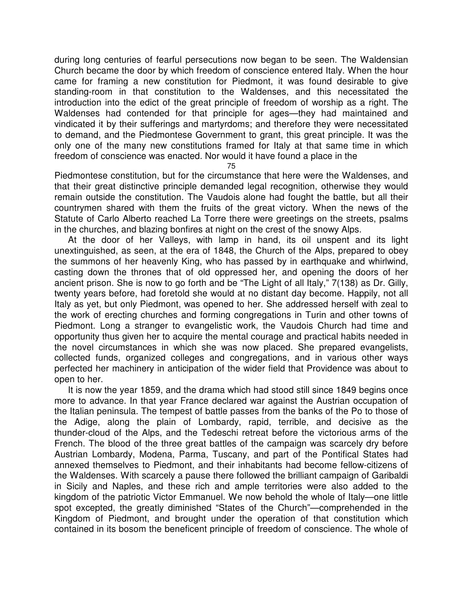during long centuries of fearful persecutions now began to be seen. The Waldensian Church became the door by which freedom of conscience entered Italy. When the hour came for framing a new constitution for Piedmont, it was found desirable to give standing-room in that constitution to the Waldenses, and this necessitated the introduction into the edict of the great principle of freedom of worship as a right. The Waldenses had contended for that principle for ages—they had maintained and vindicated it by their sufferings and martyrdoms; and therefore they were necessitated to demand, and the Piedmontese Government to grant, this great principle. It was the only one of the many new constitutions framed for Italy at that same time in which freedom of conscience was enacted. Nor would it have found a place in the

75

Piedmontese constitution, but for the circumstance that here were the Waldenses, and that their great distinctive principle demanded legal recognition, otherwise they would remain outside the constitution. The Vaudois alone had fought the battle, but all their countrymen shared with them the fruits of the great victory. When the news of the Statute of Carlo Alberto reached La Torre there were greetings on the streets, psalms in the churches, and blazing bonfires at night on the crest of the snowy Alps.

At the door of her Valleys, with lamp in hand, its oil unspent and its light unextinguished, as seen, at the era of 1848, the Church of the Alps, prepared to obey the summons of her heavenly King, who has passed by in earthquake and whirlwind, casting down the thrones that of old oppressed her, and opening the doors of her ancient prison. She is now to go forth and be "The Light of all Italy," 7(138) as Dr. Gilly, twenty years before, had foretold she would at no distant day become. Happily, not all Italy as yet, but only Piedmont, was opened to her. She addressed herself with zeal to the work of erecting churches and forming congregations in Turin and other towns of Piedmont. Long a stranger to evangelistic work, the Vaudois Church had time and opportunity thus given her to acquire the mental courage and practical habits needed in the novel circumstances in which she was now placed. She prepared evangelists, collected funds, organized colleges and congregations, and in various other ways perfected her machinery in anticipation of the wider field that Providence was about to open to her.

It is now the year 1859, and the drama which had stood still since 1849 begins once more to advance. In that year France declared war against the Austrian occupation of the Italian peninsula. The tempest of battle passes from the banks of the Po to those of the Adige, along the plain of Lombardy, rapid, terrible, and decisive as the thunder-cloud of the Alps, and the Tedeschi retreat before the victorious arms of the French. The blood of the three great battles of the campaign was scarcely dry before Austrian Lombardy, Modena, Parma, Tuscany, and part of the Pontifical States had annexed themselves to Piedmont, and their inhabitants had become fellow-citizens of the Waldenses. With scarcely a pause there followed the brilliant campaign of Garibaldi in Sicily and Naples, and these rich and ample territories were also added to the kingdom of the patriotic Victor Emmanuel. We now behold the whole of Italy—one little spot excepted, the greatly diminished "States of the Church"—comprehended in the Kingdom of Piedmont, and brought under the operation of that constitution which contained in its bosom the beneficent principle of freedom of conscience. The whole of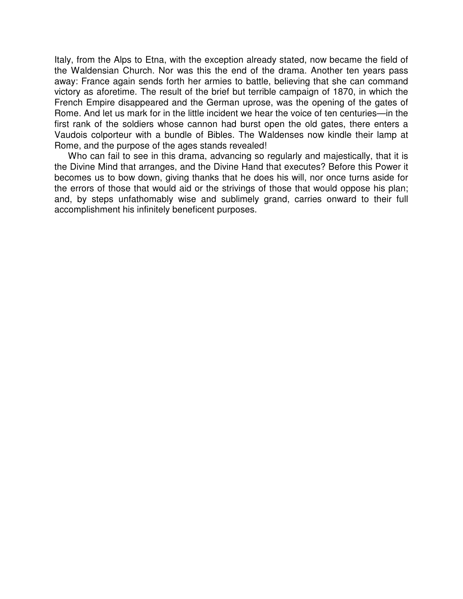Italy, from the Alps to Etna, with the exception already stated, now became the field of the Waldensian Church. Nor was this the end of the drama. Another ten years pass away: France again sends forth her armies to battle, believing that she can command victory as aforetime. The result of the brief but terrible campaign of 1870, in which the French Empire disappeared and the German uprose, was the opening of the gates of Rome. And let us mark for in the little incident we hear the voice of ten centuries—in the first rank of the soldiers whose cannon had burst open the old gates, there enters a Vaudois colporteur with a bundle of Bibles. The Waldenses now kindle their lamp at Rome, and the purpose of the ages stands revealed!

Who can fail to see in this drama, advancing so regularly and majestically, that it is the Divine Mind that arranges, and the Divine Hand that executes? Before this Power it becomes us to bow down, giving thanks that he does his will, nor once turns aside for the errors of those that would aid or the strivings of those that would oppose his plan; and, by steps unfathomably wise and sublimely grand, carries onward to their full accomplishment his infinitely beneficent purposes.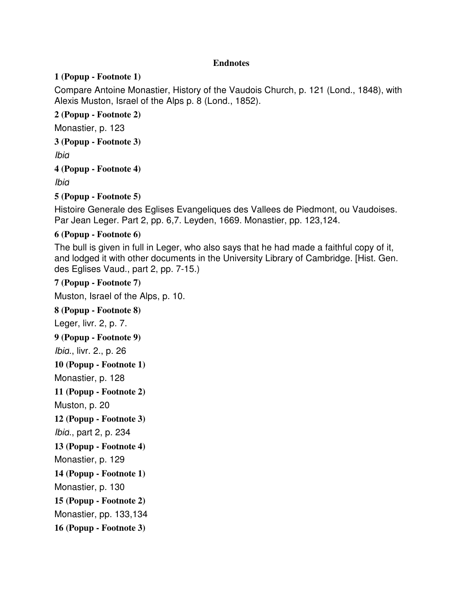### **Endnotes**

### **1 (Popup - Footnote 1)**

Compare Antoine Monastier, History of the Vaudois Church, p. 121 (Lond., 1848), with Alexis Muston, Israel of the Alps p. 8 (Lond., 1852).

### **2 (Popup - Footnote 2)**

Monastier, p. 123

**3 (Popup - Footnote 3)**

Ibid

**4 (Popup - Footnote 4)**

Ibid

**5 (Popup - Footnote 5)**

Histoire Generale des Eglises Evangeliques des Vallees de Piedmont, ou Vaudoises. Par Jean Leger. Part 2, pp. 6,7. Leyden, 1669. Monastier, pp. 123,124.

### **6 (Popup - Footnote 6)**

The bull is given in full in Leger, who also says that he had made a faithful copy of it, and lodged it with other documents in the University Library of Cambridge. [Hist. Gen. des Eglises Vaud., part 2, pp. 7-15.)

**7 (Popup - Footnote 7)**

Muston, Israel of the Alps, p. 10.

**8 (Popup - Footnote 8)** Leger, livr. 2, p. 7. **9 (Popup - Footnote 9)** Ibid., livr. 2., p. 26 **10 (Popup - Footnote 1)** Monastier, p. 128 **11 (Popup - Footnote 2)** Muston, p. 20 **12 (Popup - Footnote 3)** Ibid., part 2, p. 234 **13 (Popup - Footnote 4)** Monastier, p. 129 **14 (Popup - Footnote 1)** Monastier, p. 130 **15 (Popup - Footnote 2)** Monastier, pp. 133,134 **16 (Popup - Footnote 3)**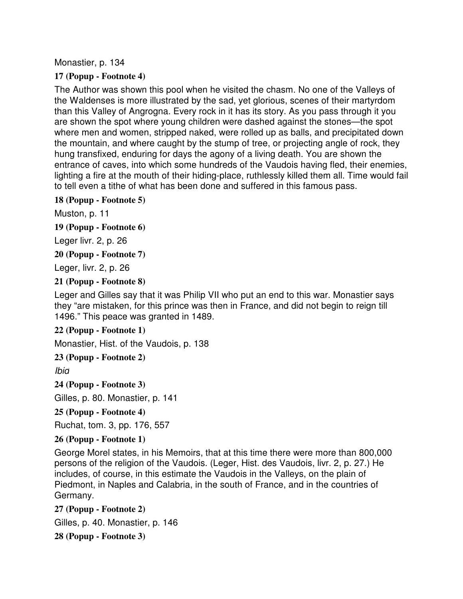Monastier, p. 134

### **17 (Popup - Footnote 4)**

The Author was shown this pool when he visited the chasm. No one of the Valleys of the Waldenses is more illustrated by the sad, yet glorious, scenes of their martyrdom than this Valley of Angrogna. Every rock in it has its story. As you pass through it you are shown the spot where young children were dashed against the stones—the spot where men and women, stripped naked, were rolled up as balls, and precipitated down the mountain, and where caught by the stump of tree, or projecting angle of rock, they hung transfixed, enduring for days the agony of a living death. You are shown the entrance of caves, into which some hundreds of the Vaudois having fled, their enemies, lighting a fire at the mouth of their hiding-place, ruthlessly killed them all. Time would fail to tell even a tithe of what has been done and suffered in this famous pass.

### **18 (Popup - Footnote 5)**

Muston, p. 11

**19 (Popup - Footnote 6)**

Leger livr. 2, p. 26

**20 (Popup - Footnote 7)**

Leger, livr. 2, p. 26

### **21 (Popup - Footnote 8)**

Leger and Gilles say that it was Philip VII who put an end to this war. Monastier says they "are mistaken, for this prince was then in France, and did not begin to reign till 1496." This peace was granted in 1489.

### **22 (Popup - Footnote 1)**

Monastier, Hist. of the Vaudois, p. 138

**23 (Popup - Footnote 2)**

Ibid

**24 (Popup - Footnote 3)** Gilles, p. 80. Monastier, p. 141

### **25 (Popup - Footnote 4)**

Ruchat, tom. 3, pp. 176, 557

### **26 (Popup - Footnote 1)**

George Morel states, in his Memoirs, that at this time there were more than 800,000 persons of the religion of the Vaudois. (Leger, Hist. des Vaudois, livr. 2, p. 27.) He includes, of course, in this estimate the Vaudois in the Valleys, on the plain of Piedmont, in Naples and Calabria, in the south of France, and in the countries of Germany.

**27 (Popup - Footnote 2)**

Gilles, p. 40. Monastier, p. 146

**28 (Popup - Footnote 3)**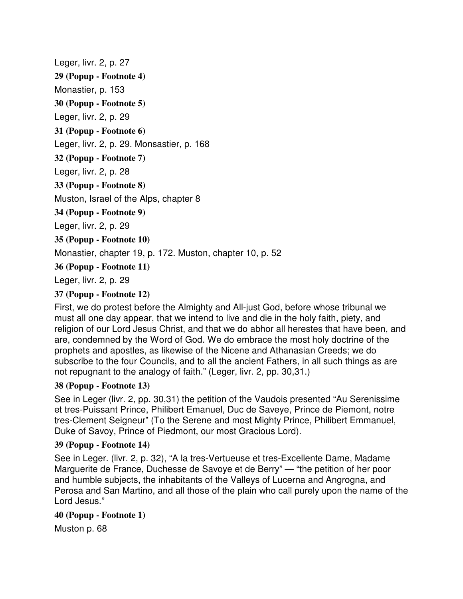Leger, livr. 2, p. 27 **29 (Popup - Footnote 4)** Monastier, p. 153 **30 (Popup - Footnote 5)** Leger, livr. 2, p. 29 **31 (Popup - Footnote 6)** Leger, livr. 2, p. 29. Monsastier, p. 168 **32 (Popup - Footnote 7)** Leger, livr. 2, p. 28 **33 (Popup - Footnote 8)** Muston, Israel of the Alps, chapter 8 **34 (Popup - Footnote 9)** Leger, livr. 2, p. 29 **35 (Popup - Footnote 10)** Monastier, chapter 19, p. 172. Muston, chapter 10, p. 52 **36 (Popup - Footnote 11)** Leger, livr. 2, p. 29

### **37 (Popup - Footnote 12)**

First, we do protest before the Almighty and All-just God, before whose tribunal we must all one day appear, that we intend to live and die in the holy faith, piety, and religion of our Lord Jesus Christ, and that we do abhor all herestes that have been, and are, condemned by the Word of God. We do embrace the most holy doctrine of the prophets and apostles, as likewise of the Nicene and Athanasian Creeds; we do subscribe to the four Councils, and to all the ancient Fathers, in all such things as are not repugnant to the analogy of faith." (Leger, livr. 2, pp. 30,31.)

### **38 (Popup - Footnote 13)**

See in Leger (livr. 2, pp. 30,31) the petition of the Vaudois presented "Au Serenissime et tres-Puissant Prince, Philibert Emanuel, Duc de Saveye, Prince de Piemont, notre tres-Clement Seigneur" (To the Serene and most Mighty Prince, Philibert Emmanuel, Duke of Savoy, Prince of Piedmont, our most Gracious Lord).

### **39 (Popup - Footnote 14)**

See in Leger. (livr. 2, p. 32), "A la tres-Vertueuse et tres-Excellente Dame, Madame Marguerite de France, Duchesse de Savoye et de Berry" — "the petition of her poor and humble subjects, the inhabitants of the Valleys of Lucerna and Angrogna, and Perosa and San Martino, and all those of the plain who call purely upon the name of the Lord Jesus."

### **40 (Popup - Footnote 1)**

Muston p. 68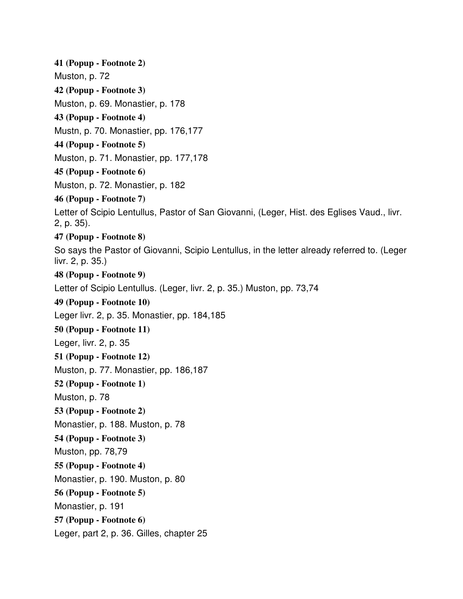**41 (Popup - Footnote 2)** Muston, p. 72 **42 (Popup - Footnote 3)** Muston, p. 69. Monastier, p. 178 **43 (Popup - Footnote 4)** Mustn, p. 70. Monastier, pp. 176,177 **44 (Popup - Footnote 5)** Muston, p. 71. Monastier, pp. 177,178 **45 (Popup - Footnote 6)** Muston, p. 72. Monastier, p. 182 **46 (Popup - Footnote 7)** Letter of Scipio Lentullus, Pastor of San Giovanni, (Leger, Hist. des Eglises Vaud., livr. 2, p. 35). **47 (Popup - Footnote 8)** So says the Pastor of Giovanni, Scipio Lentullus, in the letter already referred to. (Leger livr. 2, p. 35.) **48 (Popup - Footnote 9)** Letter of Scipio Lentullus. (Leger, livr. 2, p. 35.) Muston, pp. 73,74 **49 (Popup - Footnote 10)** Leger livr. 2, p. 35. Monastier, pp. 184,185 **50 (Popup - Footnote 11)** Leger, livr. 2, p. 35 **51 (Popup - Footnote 12)** Muston, p. 77. Monastier, pp. 186,187 **52 (Popup - Footnote 1)** Muston, p. 78 **53 (Popup - Footnote 2)** Monastier, p. 188. Muston, p. 78 **54 (Popup - Footnote 3)** Muston, pp. 78,79 **55 (Popup - Footnote 4)** Monastier, p. 190. Muston, p. 80 **56 (Popup - Footnote 5)** Monastier, p. 191 **57 (Popup - Footnote 6)** Leger, part 2, p. 36. Gilles, chapter 25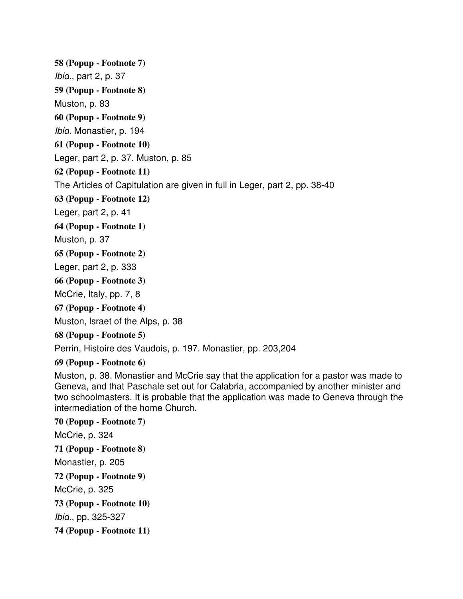**58 (Popup - Footnote 7)**

Ibid., part 2, p. 37

**59 (Popup - Footnote 8)**

Muston, p. 83

**60 (Popup - Footnote 9)**

Ibid. Monastier, p. 194

### **61 (Popup - Footnote 10)**

Leger, part 2, p. 37. Muston, p. 85

### **62 (Popup - Footnote 11)**

The Articles of Capitulation are given in full in Leger, part 2, pp. 38-40

**63 (Popup - Footnote 12)**

Leger, part 2, p. 41

**64 (Popup - Footnote 1)**

Muston, p. 37

**65 (Popup - Footnote 2)**

Leger, part 2, p. 333

### **66 (Popup - Footnote 3)**

McCrie, Italy, pp. 7, 8

**67 (Popup - Footnote 4)**

Muston, lsraet of the Alps, p. 38

**68 (Popup - Footnote 5)**

Perrin, Histoire des Vaudois, p. 197. Monastier, pp. 203,204

### **69 (Popup - Footnote 6)**

Muston, p. 38. Monastier and McCrie say that the application for a pastor was made to Geneva, and that Paschale set out for Calabria, accompanied by another minister and two schoolmasters. It is probable that the application was made to Geneva through the intermediation of the home Church.

# **70 (Popup - Footnote 7)** McCrie, p. 324 **71 (Popup - Footnote 8)** Monastier, p. 205 **72 (Popup - Footnote 9)** McCrie, p. 325 **73 (Popup - Footnote 10)** Ibid., pp. 325-327 **74 (Popup - Footnote 11)**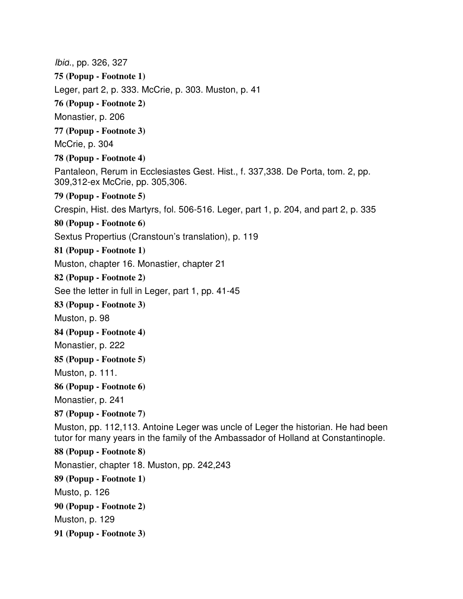Ibid., pp. 326, 327 **75 (Popup - Footnote 1)** Leger, part 2, p. 333. McCrie, p. 303. Muston, p. 41 **76 (Popup - Footnote 2)** Monastier, p. 206 **77 (Popup - Footnote 3)** McCrie, p. 304 **78 (Popup - Footnote 4)** Pantaleon, Rerum in Ecclesiastes Gest. Hist., f. 337,338. De Porta, tom. 2, pp. 309,312-ex McCrie, pp. 305,306. **79 (Popup - Footnote 5)** Crespin, Hist. des Martyrs, fol. 506-516. Leger, part 1, p. 204, and part 2, p. 335 **80 (Popup - Footnote 6)** Sextus Propertius (Cranstoun's translation), p. 119 **81 (Popup - Footnote 1)** Muston, chapter 16. Monastier, chapter 21 **82 (Popup - Footnote 2)** See the letter in full in Leger, part 1, pp. 41-45 **83 (Popup - Footnote 3)** Muston, p. 98 **84 (Popup - Footnote 4)** Monastier, p. 222 **85 (Popup - Footnote 5)** Muston, p. 111. **86 (Popup - Footnote 6)** Monastier, p. 241 **87 (Popup - Footnote 7)** Muston, pp. 112,113. Antoine Leger was uncle of Leger the historian. He had been tutor for many years in the family of the Ambassador of Holland at Constantinople. **88 (Popup - Footnote 8)** Monastier, chapter 18. Muston, pp. 242,243 **89 (Popup - Footnote 1)** Musto, p. 126 **90 (Popup - Footnote 2)** Muston, p. 129 **91 (Popup - Footnote 3)**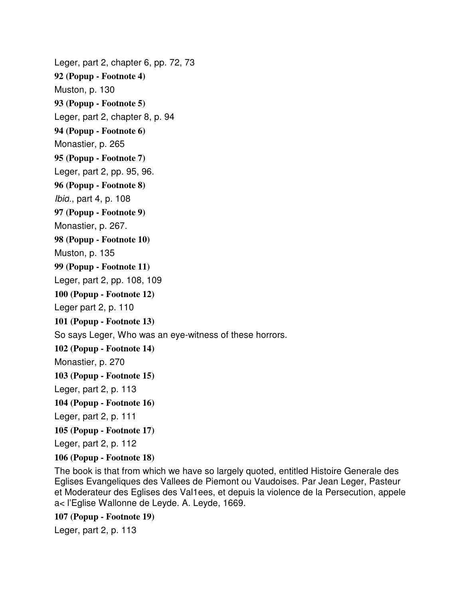Leger, part 2, chapter 6, pp. 72, 73 **92 (Popup - Footnote 4)** Muston, p. 130 **93 (Popup - Footnote 5)** Leger, part 2, chapter 8, p. 94 **94 (Popup - Footnote 6)** Monastier, p. 265 **95 (Popup - Footnote 7)** Leger, part 2, pp. 95, 96. **96 (Popup - Footnote 8)** Ibid., part 4, p. 108 **97 (Popup - Footnote 9)** Monastier, p. 267. **98 (Popup - Footnote 10)** Muston, p. 135 **99 (Popup - Footnote 11)** Leger, part 2, pp. 108, 109 **100 (Popup - Footnote 12)** Leger part 2, p. 110 **101 (Popup - Footnote 13)** So says Leger, Who was an eye-witness of these horrors. **102 (Popup - Footnote 14)** Monastier, p. 270 **103 (Popup - Footnote 15)** Leger, part 2, p. 113 **104 (Popup - Footnote 16)** Leger, part 2, p. 111 **105 (Popup - Footnote 17)** Leger, part 2, p. 112

### **106 (Popup - Footnote 18)**

The book is that from which we have so largely quoted, entitled Histoire Generale des Eglises Evangeliques des Vallees de Piemont ou Vaudoises. Par Jean Leger, Pasteur et Moderateur des Eglises des Val1ees, et depuis la violence de la Persecution, appele a< l'Eglise Wallonne de Leyde. A. Leyde, 1669.

**107 (Popup - Footnote 19)**

Leger, part 2, p. 113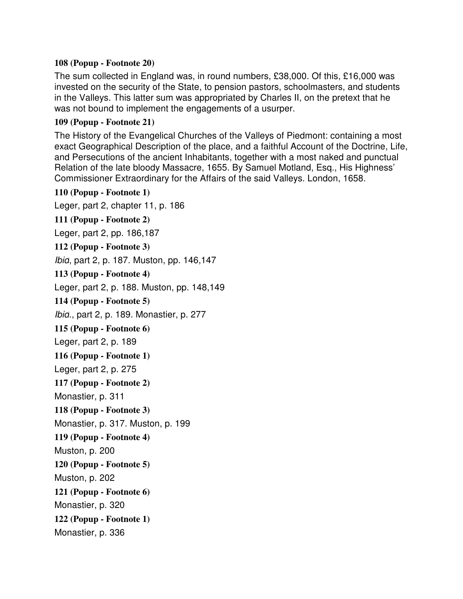### **108 (Popup - Footnote 20)**

The sum collected in England was, in round numbers, £38,000. Of this, £16,000 was invested on the security of the State, to pension pastors, schoolmasters, and students in the Valleys. This latter sum was appropriated by Charles II, on the pretext that he was not bound to implement the engagements of a usurper.

### **109 (Popup - Footnote 21)**

The History of the Evangelical Churches of the Valleys of Piedmont: containing a most exact Geographical Description of the place, and a faithful Account of the Doctrine, Life, and Persecutions of the ancient Inhabitants, together with a most naked and punctual Relation of the late bloody Massacre, 1655. By Samuel Motland, Esq., His Highness' Commissioner Extraordinary for the Affairs of the said Valleys. London, 1658.

**110 (Popup - Footnote 1)** Leger, part 2, chapter 11, p. 186 **111 (Popup - Footnote 2)** Leger, part 2, pp. 186,187 **112 (Popup - Footnote 3)** Ibid, part 2, p. 187. Muston, pp. 146,147 **113 (Popup - Footnote 4)** Leger, part 2, p. 188. Muston, pp. 148,149 **114 (Popup - Footnote 5)** Ibid., part 2, p. 189. Monastier, p. 277 **115 (Popup - Footnote 6)** Leger, part 2, p. 189 **116 (Popup - Footnote 1)** Leger, part 2, p. 275 **117 (Popup - Footnote 2)** Monastier, p. 311 **118 (Popup - Footnote 3)** Monastier, p. 317. Muston, p. 199 **119 (Popup - Footnote 4)** Muston, p. 200 **120 (Popup - Footnote 5)** Muston, p. 202 **121 (Popup - Footnote 6)** Monastier, p. 320 **122 (Popup - Footnote 1)** Monastier, p. 336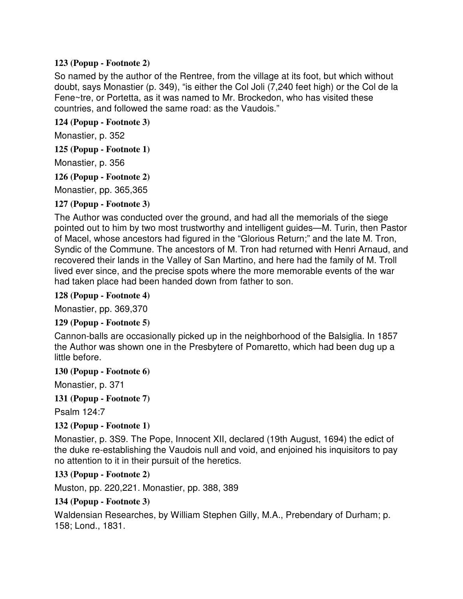### **123 (Popup - Footnote 2)**

So named by the author of the Rentree, from the village at its foot, but which without doubt, says Monastier (p. 349), "is either the Col Joli (7,240 feet high) or the Col de la Fene~tre, or Portetta, as it was named to Mr. Brockedon, who has visited these countries, and followed the same road: as the Vaudois."

#### **124 (Popup - Footnote 3)**

Monastier, p. 352

**125 (Popup - Footnote 1)**

Monastier, p. 356

**126 (Popup - Footnote 2)**

Monastier, pp. 365,365

### **127 (Popup - Footnote 3)**

The Author was conducted over the ground, and had all the memorials of the siege pointed out to him by two most trustworthy and intelligent guides—M. Turin, then Pastor of Macel, whose ancestors had figured in the "Glorious Return;" and the late M. Tron, Syndic of the Commune. The ancestors of M. Tron had returned with Henri Arnaud, and recovered their lands in the Valley of San Martino, and here had the family of M. Troll lived ever since, and the precise spots where the more memorable events of the war had taken place had been handed down from father to son.

### **128 (Popup - Footnote 4)**

Monastier, pp. 369,370

### **129 (Popup - Footnote 5)**

Cannon-balls are occasionally picked up in the neighborhood of the Balsiglia. In 1857 the Author was shown one in the Presbytere of Pomaretto, which had been dug up a little before.

### **130 (Popup - Footnote 6)**

Monastier, p. 371

### **131 (Popup - Footnote 7)**

Psalm 124:7

### **132 (Popup - Footnote 1)**

Monastier, p. 3S9. The Pope, Innocent XII, declared (19th August, 1694) the edict of the duke re-establishing the Vaudois null and void, and enjoined his inquisitors to pay no attention to it in their pursuit of the heretics.

### **133 (Popup - Footnote 2)**

Muston, pp. 220,221. Monastier, pp. 388, 389

### **134 (Popup - Footnote 3)**

Waldensian Researches, by William Stephen Gilly, M.A., Prebendary of Durham; p. 158; Lond., 1831.